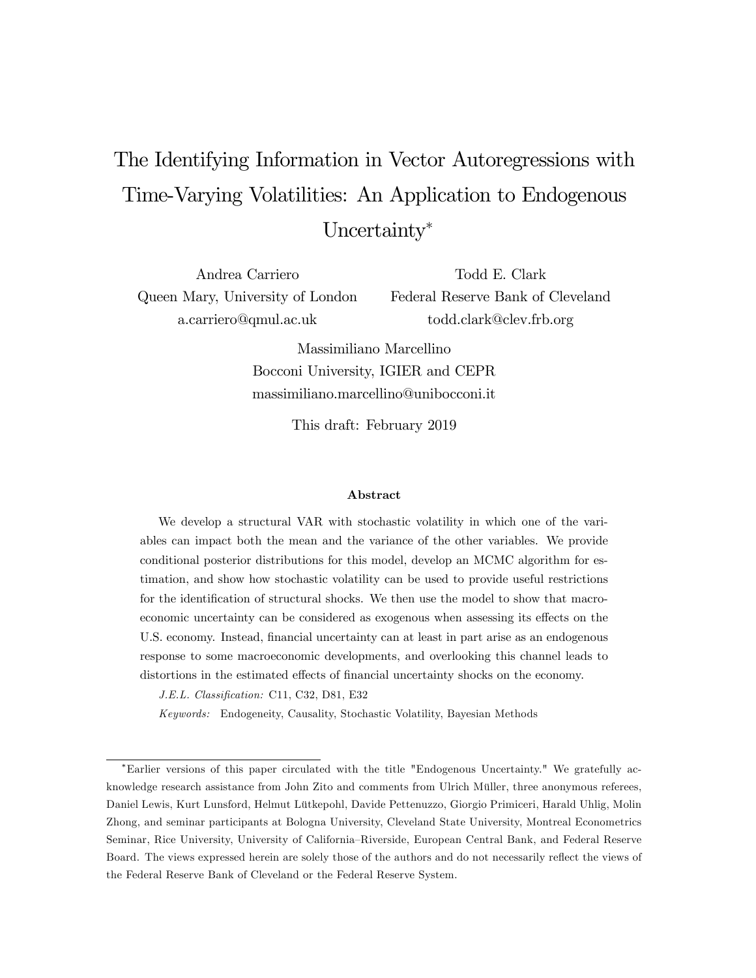# The Identifying Information in Vector Autoregressions with Time-Varying Volatilities: An Application to Endogenous Uncertainty\*

Andrea Carriero Queen Mary, University of London a.carriero@qmul.ac.uk

Todd E. Clark Federal Reserve Bank of Cleveland todd.clark@clev.frb.org

Massimiliano Marcellino Bocconi University, IGIER and CEPR massimiliano.marcellino@unibocconi.it

This draft: February 2019

#### Abstract

We develop a structural VAR with stochastic volatility in which one of the variables can impact both the mean and the variance of the other variables. We provide conditional posterior distributions for this model, develop an MCMC algorithm for estimation, and show how stochastic volatility can be used to provide useful restrictions for the identification of structural shocks. We then use the model to show that macroeconomic uncertainty can be considered as exogenous when assessing its effects on the U.S. economy. Instead, financial uncertainty can at least in part arise as an endogenous response to some macroeconomic developments, and overlooking this channel leads to distortions in the estimated effects of financial uncertainty shocks on the economy.

J.E.L. Classification: C11, C32, D81, E32

Keywords: Endogeneity, Causality, Stochastic Volatility, Bayesian Methods

Earlier versions of this paper circulated with the title "Endogenous Uncertainty." We gratefully acknowledge research assistance from John Zito and comments from Ulrich Müller, three anonymous referees, Daniel Lewis, Kurt Lunsford, Helmut Lütkepohl, Davide Pettenuzzo, Giorgio Primiceri, Harald Uhlig, Molin Zhong, and seminar participants at Bologna University, Cleveland State University, Montreal Econometrics Seminar, Rice University, University of California–Riverside, European Central Bank, and Federal Reserve Board. The views expressed herein are solely those of the authors and do not necessarily reflect the views of the Federal Reserve Bank of Cleveland or the Federal Reserve System.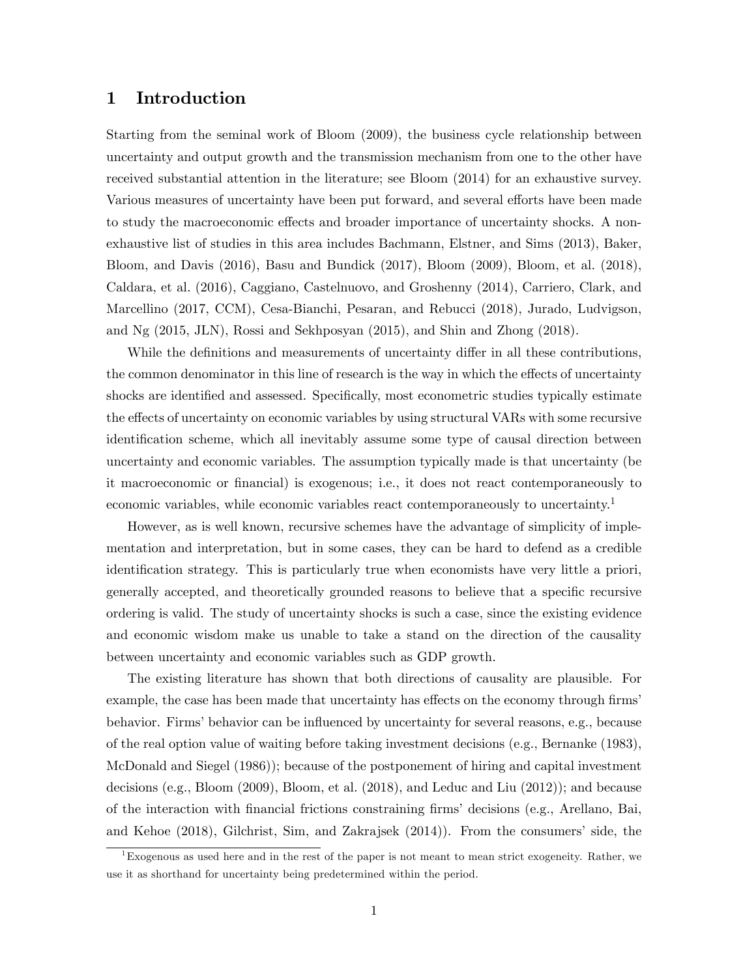## 1 Introduction

Starting from the seminal work of Bloom (2009), the business cycle relationship between uncertainty and output growth and the transmission mechanism from one to the other have received substantial attention in the literature; see Bloom (2014) for an exhaustive survey. Various measures of uncertainty have been put forward, and several efforts have been made to study the macroeconomic effects and broader importance of uncertainty shocks. A nonexhaustive list of studies in this area includes Bachmann, Elstner, and Sims (2013), Baker, Bloom, and Davis (2016), Basu and Bundick (2017), Bloom (2009), Bloom, et al. (2018), Caldara, et al. (2016), Caggiano, Castelnuovo, and Groshenny (2014), Carriero, Clark, and Marcellino (2017, CCM), Cesa-Bianchi, Pesaran, and Rebucci (2018), Jurado, Ludvigson, and Ng (2015, JLN), Rossi and Sekhposyan (2015), and Shin and Zhong (2018).

While the definitions and measurements of uncertainty differ in all these contributions, the common denominator in this line of research is the way in which the effects of uncertainty shocks are identified and assessed. Specifically, most econometric studies typically estimate the effects of uncertainty on economic variables by using structural VARs with some recursive identification scheme, which all inevitably assume some type of causal direction between uncertainty and economic variables. The assumption typically made is that uncertainty (be it macroeconomic or Önancial) is exogenous; i.e., it does not react contemporaneously to economic variables, while economic variables react contemporaneously to uncertainty.<sup>1</sup>

However, as is well known, recursive schemes have the advantage of simplicity of implementation and interpretation, but in some cases, they can be hard to defend as a credible identification strategy. This is particularly true when economists have very little a priori, generally accepted, and theoretically grounded reasons to believe that a specific recursive ordering is valid. The study of uncertainty shocks is such a case, since the existing evidence and economic wisdom make us unable to take a stand on the direction of the causality between uncertainty and economic variables such as GDP growth.

The existing literature has shown that both directions of causality are plausible. For example, the case has been made that uncertainty has effects on the economy through firms behavior. Firms' behavior can be influenced by uncertainty for several reasons, e.g., because of the real option value of waiting before taking investment decisions (e.g., Bernanke (1983), McDonald and Siegel (1986)); because of the postponement of hiring and capital investment decisions (e.g., Bloom (2009), Bloom, et al. (2018), and Leduc and Liu (2012)); and because of the interaction with Önancial frictions constraining Örmsídecisions (e.g., Arellano, Bai, and Kehoe  $(2018)$ , Gilchrist, Sim, and Zakrajsek  $(2014)$ ). From the consumers' side, the

<sup>&</sup>lt;sup>1</sup>Exogenous as used here and in the rest of the paper is not meant to mean strict exogeneity. Rather, we use it as shorthand for uncertainty being predetermined within the period.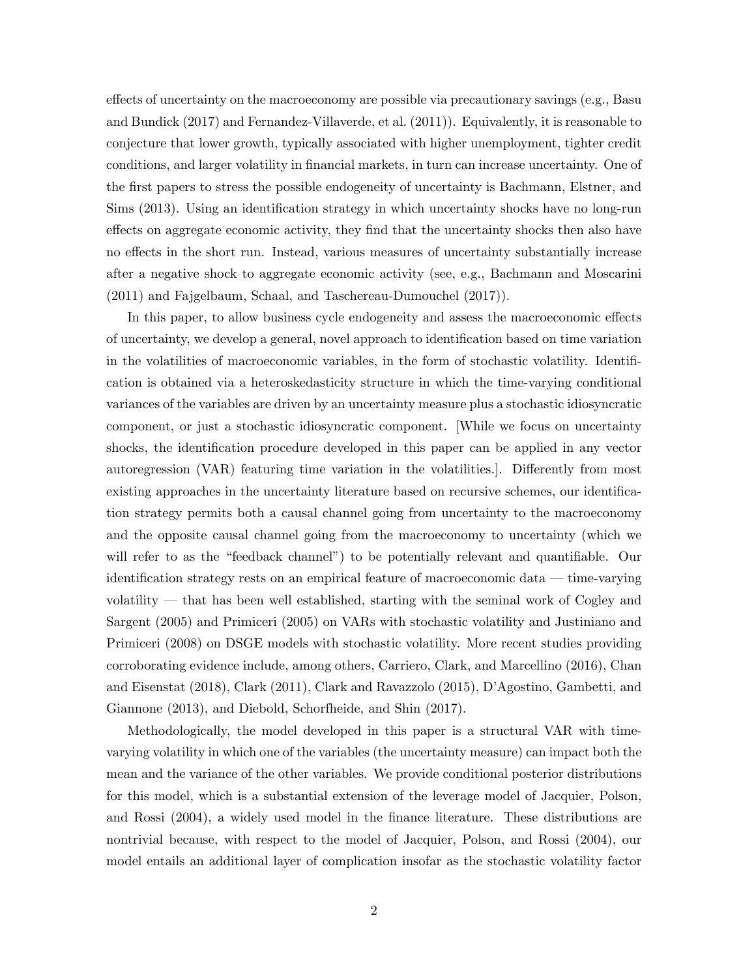effects of uncertainty on the macroeconomy are possible via precautionary savings (e.g., Basu and Bundick (2017) and Fernandez-Villaverde, et al. (2011)). Equivalently, it is reasonable to conjecture that lower growth, typically associated with higher unemployment, tighter credit conditions, and larger volatility in financial markets, in turn can increase uncertainty. One of the first papers to stress the possible endogeneity of uncertainty is Bachmann, Elstner, and Sims (2013). Using an identification strategy in which uncertainty shocks have no long-run effects on aggregate economic activity, they find that the uncertainty shocks then also have no effects in the short run. Instead, various measures of uncertainty substantially increase after a negative shock to aggregate economic activity (see, e.g., Bachmann and Moscarini (2011) and Fajgelbaum, Schaal, and Taschereau-Dumouchel (2017)).

In this paper, to allow business cycle endogeneity and assess the macroeconomic effects of uncertainty, we develop a general, novel approach to identification based on time variation in the volatilities of macroeconomic variables, in the form of stochastic volatility. Identification is obtained via a heteroskedasticity structure in which the time-varying conditional variances of the variables are driven by an uncertainty measure plus a stochastic idiosyncratic component, or just a stochastic idiosyncratic component. [While we focus on uncertainty shocks, the identification procedure developed in this paper can be applied in any vector autoregression (VAR) featuring time variation in the volatilities... Differently from most existing approaches in the uncertainty literature based on recursive schemes, our identification strategy permits both a causal channel going from uncertainty to the macroeconomy and the opposite causal channel going from the macroeconomy to uncertainty (which we will refer to as the "feedback channel") to be potentially relevant and quantifiable. Our identification strategy rests on an empirical feature of macroeconomic data – time-varying volatility  $-$  that has been well established, starting with the seminal work of Cogley and Sargent (2005) and Primiceri (2005) on VARs with stochastic volatility and Justiniano and Primiceri (2008) on DSGE models with stochastic volatility. More recent studies providing corroborating evidence include, among others, Carriero, Clark, and Marcellino (2016), Chan and Eisenstat (2018), Clark (2011), Clark and Ravazzolo (2015), D'Agostino, Gambetti, and Giannone (2013), and Diebold, Schorfheide, and Shin (2017).

Methodologically, the model developed in this paper is a structural VAR with timevarying volatility in which one of the variables (the uncertainty measure) can impact both the mean and the variance of the other variables. We provide conditional posterior distributions for this model, which is a substantial extension of the leverage model of Jacquier, Polson, and Rossi (2004), a widely used model in the finance literature. These distributions are nontrivial because, with respect to the model of Jacquier, Polson, and Rossi (2004), our model entails an additional layer of complication insofar as the stochastic volatility factor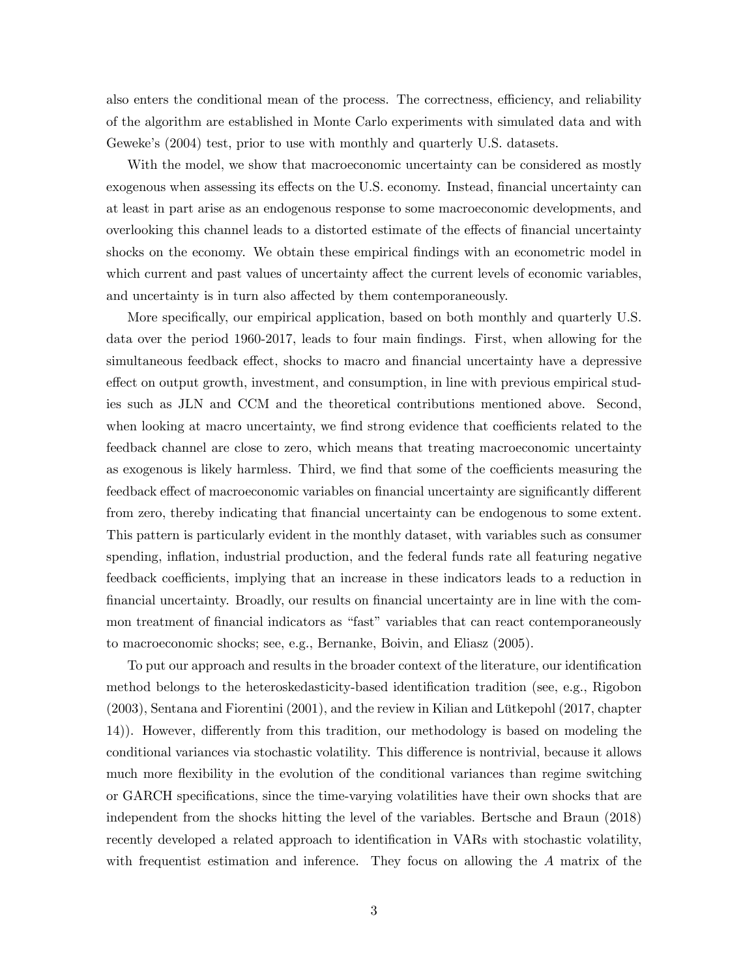also enters the conditional mean of the process. The correctness, efficiency, and reliability of the algorithm are established in Monte Carlo experiments with simulated data and with Geweke's  $(2004)$  test, prior to use with monthly and quarterly U.S. datasets.

With the model, we show that macroeconomic uncertainty can be considered as mostly exogenous when assessing its effects on the U.S. economy. Instead, financial uncertainty can at least in part arise as an endogenous response to some macroeconomic developments, and overlooking this channel leads to a distorted estimate of the effects of financial uncertainty shocks on the economy. We obtain these empirical findings with an econometric model in which current and past values of uncertainty affect the current levels of economic variables, and uncertainty is in turn also affected by them contemporaneously.

More specifically, our empirical application, based on both monthly and quarterly U.S. data over the period 1960-2017, leads to four main findings. First, when allowing for the simultaneous feedback effect, shocks to macro and financial uncertainty have a depressive effect on output growth, investment, and consumption, in line with previous empirical studies such as JLN and CCM and the theoretical contributions mentioned above. Second, when looking at macro uncertainty, we find strong evidence that coefficients related to the feedback channel are close to zero, which means that treating macroeconomic uncertainty as exogenous is likely harmless. Third, we find that some of the coefficients measuring the feedback effect of macroeconomic variables on financial uncertainty are significantly different from zero, thereby indicating that financial uncertainty can be endogenous to some extent. This pattern is particularly evident in the monthly dataset, with variables such as consumer spending, inflation, industrial production, and the federal funds rate all featuring negative feedback coefficients, implying that an increase in these indicators leads to a reduction in financial uncertainty. Broadly, our results on financial uncertainty are in line with the common treatment of financial indicators as "fast" variables that can react contemporaneously to macroeconomic shocks; see, e.g., Bernanke, Boivin, and Eliasz (2005).

To put our approach and results in the broader context of the literature, our identification method belongs to the heteroskedasticity-based identification tradition (see, e.g., Rigobon  $(2003)$ , Sentana and Fiorentini  $(2001)$ , and the review in Kilian and Lütkepohl  $(2017)$ , chapter 14). However, differently from this tradition, our methodology is based on modeling the conditional variances via stochastic volatility. This difference is nontrivial, because it allows much more flexibility in the evolution of the conditional variances than regime switching or GARCH specifications, since the time-varying volatilities have their own shocks that are independent from the shocks hitting the level of the variables. Bertsche and Braun (2018) recently developed a related approach to identification in VARs with stochastic volatility, with frequentist estimation and inference. They focus on allowing the A matrix of the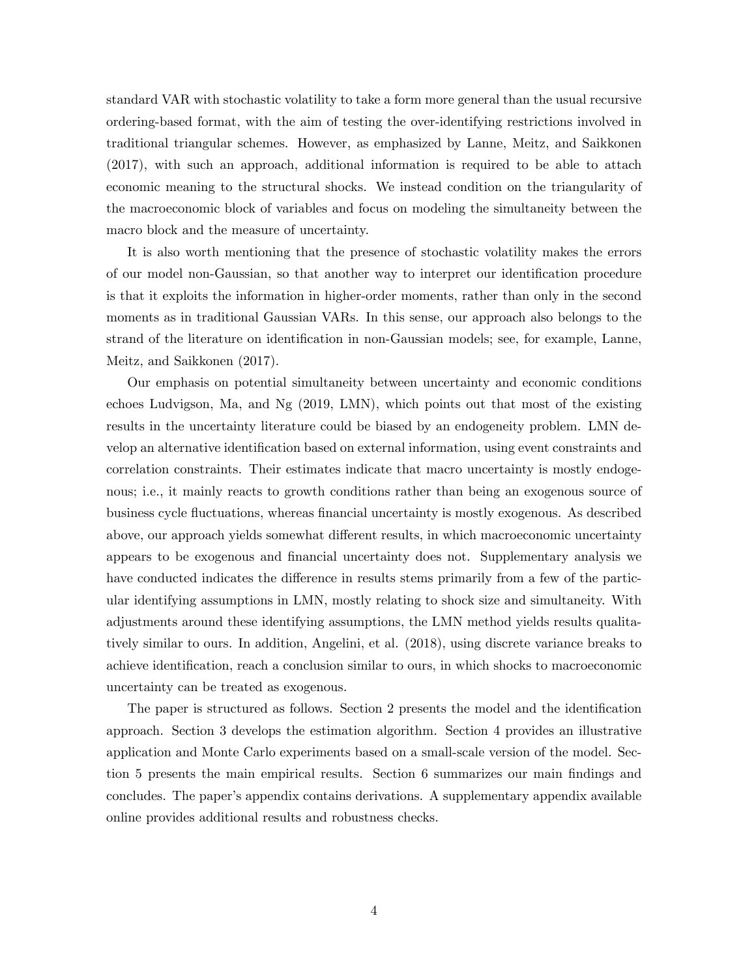standard VAR with stochastic volatility to take a form more general than the usual recursive ordering-based format, with the aim of testing the over-identifying restrictions involved in traditional triangular schemes. However, as emphasized by Lanne, Meitz, and Saikkonen (2017), with such an approach, additional information is required to be able to attach economic meaning to the structural shocks. We instead condition on the triangularity of the macroeconomic block of variables and focus on modeling the simultaneity between the macro block and the measure of uncertainty.

It is also worth mentioning that the presence of stochastic volatility makes the errors of our model non-Gaussian, so that another way to interpret our identification procedure is that it exploits the information in higher-order moments, rather than only in the second moments as in traditional Gaussian VARs. In this sense, our approach also belongs to the strand of the literature on identification in non-Gaussian models; see, for example, Lanne, Meitz, and Saikkonen (2017).

Our emphasis on potential simultaneity between uncertainty and economic conditions echoes Ludvigson, Ma, and Ng (2019, LMN), which points out that most of the existing results in the uncertainty literature could be biased by an endogeneity problem. LMN develop an alternative identification based on external information, using event constraints and correlation constraints. Their estimates indicate that macro uncertainty is mostly endogenous; i.e., it mainly reacts to growth conditions rather than being an exogenous source of business cycle fluctuations, whereas financial uncertainty is mostly exogenous. As described above, our approach yields somewhat different results, in which macroeconomic uncertainty appears to be exogenous and Önancial uncertainty does not. Supplementary analysis we have conducted indicates the difference in results stems primarily from a few of the particular identifying assumptions in LMN, mostly relating to shock size and simultaneity. With adjustments around these identifying assumptions, the LMN method yields results qualitatively similar to ours. In addition, Angelini, et al. (2018), using discrete variance breaks to achieve identification, reach a conclusion similar to ours, in which shocks to macroeconomic uncertainty can be treated as exogenous.

The paper is structured as follows. Section 2 presents the model and the identification approach. Section 3 develops the estimation algorithm. Section 4 provides an illustrative application and Monte Carlo experiments based on a small-scale version of the model. Section 5 presents the main empirical results. Section 6 summarizes our main findings and concludes. The paperís appendix contains derivations. A supplementary appendix available online provides additional results and robustness checks.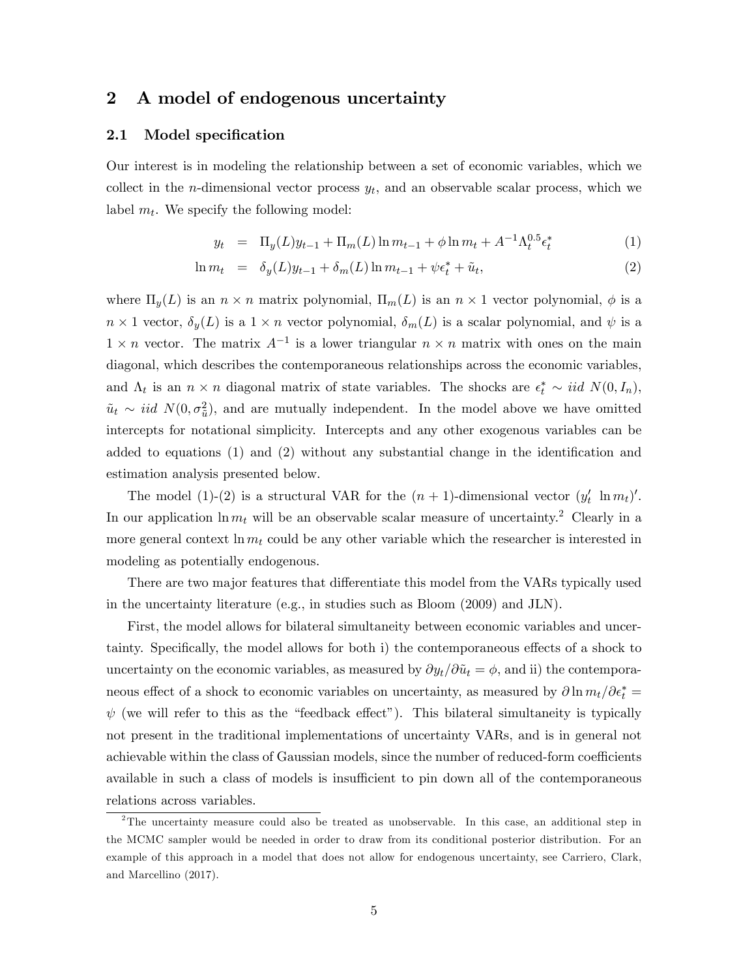## 2 A model of endogenous uncertainty

#### 2.1 Model specification

Our interest is in modeling the relationship between a set of economic variables, which we collect in the *n*-dimensional vector process  $y_t$ , and an observable scalar process, which we label  $m_t$ . We specify the following model:

$$
y_t = \Pi_y(L)y_{t-1} + \Pi_m(L)\ln m_{t-1} + \phi \ln m_t + A^{-1}\Lambda_t^{0.5} \epsilon_t^*
$$
 (1)

$$
\ln m_t = \delta_y(L)y_{t-1} + \delta_m(L)\ln m_{t-1} + \psi \epsilon_t^* + \tilde{u}_t, \tag{2}
$$

where  $\Pi_y(L)$  is an  $n \times n$  matrix polynomial,  $\Pi_m(L)$  is an  $n \times 1$  vector polynomial,  $\phi$  is a  $n \times 1$  vector,  $\delta_y(L)$  is a  $1 \times n$  vector polynomial,  $\delta_m(L)$  is a scalar polynomial, and  $\psi$  is a  $1 \times n$  vector. The matrix  $A^{-1}$  is a lower triangular  $n \times n$  matrix with ones on the main diagonal, which describes the contemporaneous relationships across the economic variables, and  $\Lambda_t$  is an  $n \times n$  diagonal matrix of state variables. The shocks are  $\epsilon_t^* \sim \text{iid } N(0, I_n)$ ,  $\tilde{u}_t \sim \text{iid } N(0, \sigma_u^2)$ , and are mutually independent. In the model above we have omitted intercepts for notational simplicity. Intercepts and any other exogenous variables can be added to equations  $(1)$  and  $(2)$  without any substantial change in the identification and estimation analysis presented below.

The model (1)-(2) is a structural VAR for the  $(n + 1)$ -dimensional vector  $(y'_t \ln m_t)'$ . In our application  $\ln m_t$  will be an observable scalar measure of uncertainty.<sup>2</sup> Clearly in a more general context  $\ln m_t$  could be any other variable which the researcher is interested in modeling as potentially endogenous.

There are two major features that differentiate this model from the VARs typically used in the uncertainty literature (e.g., in studies such as Bloom (2009) and JLN).

First, the model allows for bilateral simultaneity between economic variables and uncertainty. Specifically, the model allows for both i) the contemporaneous effects of a shock to uncertainty on the economic variables, as measured by  $\partial y_t/\partial \tilde{u}_t = \phi$ , and ii) the contemporaneous effect of a shock to economic variables on uncertainty, as measured by  $\partial \ln m_t/\partial \epsilon_t^* =$  $\psi$  (we will refer to this as the "feedback effect"). This bilateral simultaneity is typically not present in the traditional implementations of uncertainty VARs, and is in general not achievable within the class of Gaussian models, since the number of reduced-form coefficients available in such a class of models is insufficient to pin down all of the contemporaneous relations across variables.

<sup>&</sup>lt;sup>2</sup>The uncertainty measure could also be treated as unobservable. In this case, an additional step in the MCMC sampler would be needed in order to draw from its conditional posterior distribution. For an example of this approach in a model that does not allow for endogenous uncertainty, see Carriero, Clark, and Marcellino (2017).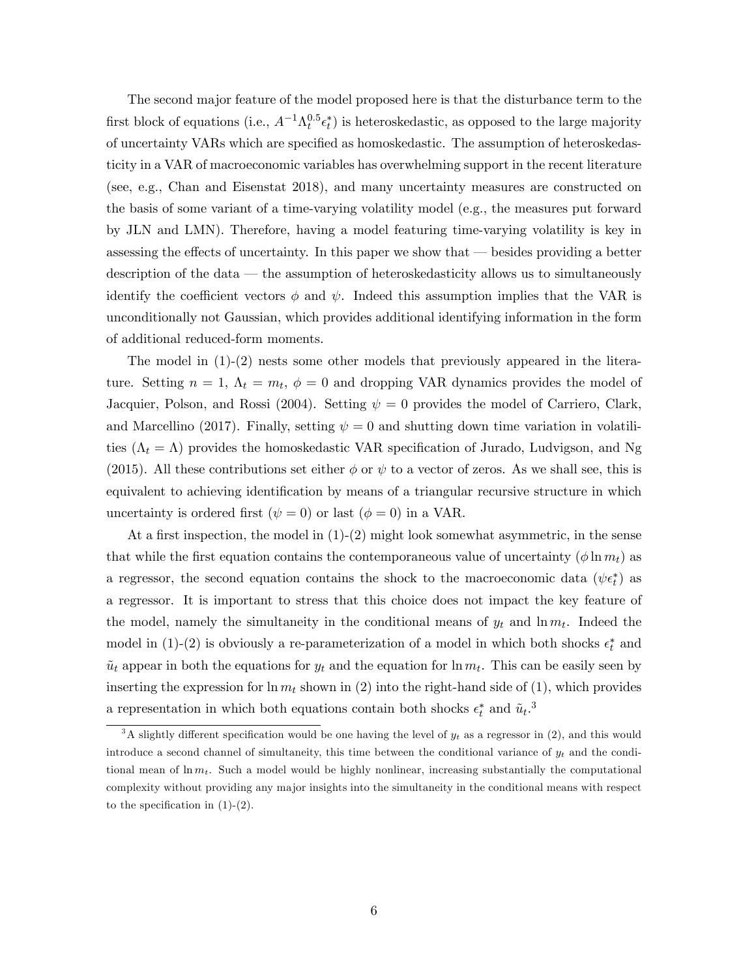The second major feature of the model proposed here is that the disturbance term to the first block of equations (i.e.,  $A^{-1}\Lambda_t^{0.5} \epsilon_t^*$ ) is heteroskedastic, as opposed to the large majority of uncertainty VARs which are specified as homoskedastic. The assumption of heteroskedasticity in a VAR of macroeconomic variables has overwhelming support in the recent literature (see, e.g., Chan and Eisenstat 2018), and many uncertainty measures are constructed on the basis of some variant of a time-varying volatility model (e.g., the measures put forward by JLN and LMN). Therefore, having a model featuring time-varying volatility is key in assessing the effects of uncertainty. In this paper we show that  $-$  besides providing a better description of the data  $-$  the assumption of heteroskedasticity allows us to simultaneously identify the coefficient vectors  $\phi$  and  $\psi$ . Indeed this assumption implies that the VAR is unconditionally not Gaussian, which provides additional identifying information in the form of additional reduced-form moments.

The model in  $(1)-(2)$  nests some other models that previously appeared in the literature. Setting  $n = 1$ ,  $\Lambda_t = m_t$ ,  $\phi = 0$  and dropping VAR dynamics provides the model of Jacquier, Polson, and Rossi (2004). Setting  $\psi = 0$  provides the model of Carriero, Clark, and Marcellino (2017). Finally, setting  $\psi = 0$  and shutting down time variation in volatilities  $(\Lambda_t = \Lambda)$  provides the homoskedastic VAR specification of Jurado, Ludvigson, and Ng (2015). All these contributions set either  $\phi$  or  $\psi$  to a vector of zeros. As we shall see, this is equivalent to achieving identification by means of a triangular recursive structure in which uncertainty is ordered first  $(\psi = 0)$  or last  $(\phi = 0)$  in a VAR.

At a first inspection, the model in  $(1)-(2)$  might look somewhat asymmetric, in the sense that while the first equation contains the contemporaneous value of uncertainty  $(\phi \ln m_t)$  as a regressor, the second equation contains the shock to the macroeconomic data  $(\psi \epsilon_t^*)$  as a regressor. It is important to stress that this choice does not impact the key feature of the model, namely the simultaneity in the conditional means of  $y_t$  and  $\ln m_t$ . Indeed the model in (1)-(2) is obviously a re-parameterization of a model in which both shocks  $\epsilon_t^*$  and  $\tilde{u}_t$  appear in both the equations for  $y_t$  and the equation for  $\ln m_t$ . This can be easily seen by inserting the expression for  $\ln m_t$  shown in (2) into the right-hand side of (1), which provides a representation in which both equations contain both shocks  $\epsilon_t^*$  and  $\tilde{u}_t$ .<sup>3</sup>

<sup>&</sup>lt;sup>3</sup>A slightly different specification would be one having the level of  $y_t$  as a regressor in (2), and this would introduce a second channel of simultaneity, this time between the conditional variance of  $y_t$  and the conditional mean of  $\ln m_t$ . Such a model would be highly nonlinear, increasing substantially the computational complexity without providing any major insights into the simultaneity in the conditional means with respect to the specification in  $(1)-(2)$ .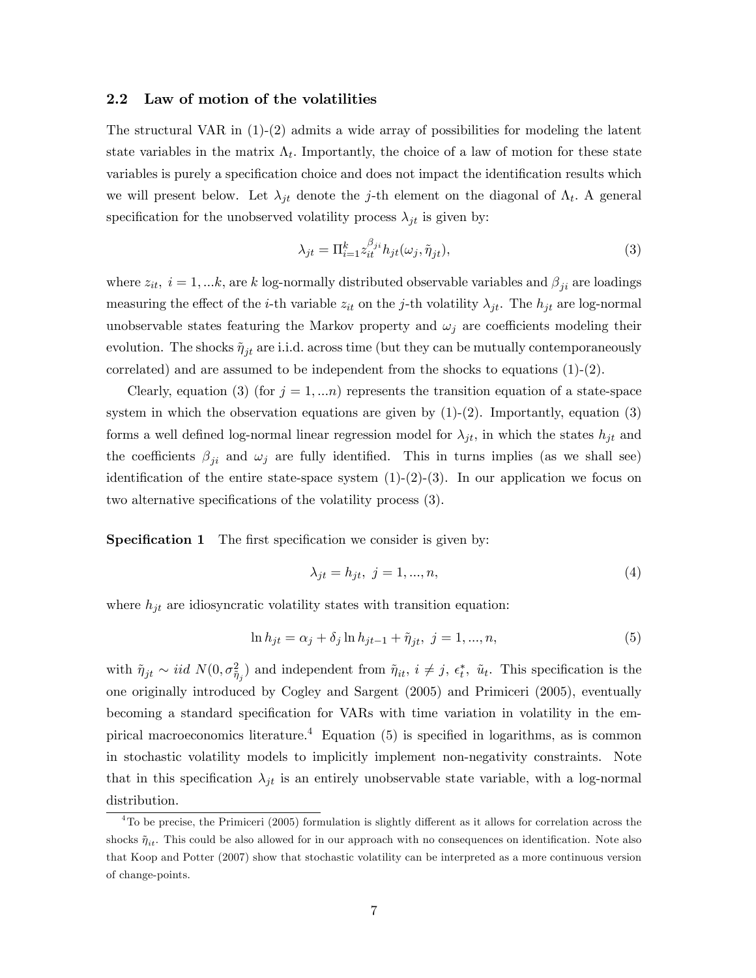#### 2.2 Law of motion of the volatilities

The structural VAR in  $(1)-(2)$  admits a wide array of possibilities for modeling the latent state variables in the matrix  $\Lambda_t$ . Importantly, the choice of a law of motion for these state variables is purely a specification choice and does not impact the identification results which we will present below. Let  $\lambda_{jt}$  denote the j-th element on the diagonal of  $\Lambda_t$ . A general specification for the unobserved volatility process  $\lambda_{it}$  is given by:

$$
\lambda_{jt} = \Pi_{i=1}^k z_{it}^{\beta_{ji}} h_{jt}(\omega_j, \tilde{\eta}_{jt}),\tag{3}
$$

where  $z_{it}$ ,  $i = 1,...k$ , are k log-normally distributed observable variables and  $\beta_{ji}$  are loadings measuring the effect of the *i*-th variable  $z_{it}$  on the *j*-th volatility  $\lambda_{jt}$ . The  $h_{jt}$  are log-normal unobservable states featuring the Markov property and  $\omega_j$  are coefficients modeling their evolution. The shocks  $\tilde{\eta}_{it}$  are i.i.d. across time (but they can be mutually contemporaneously correlated) and are assumed to be independent from the shocks to equations  $(1)-(2)$ .

Clearly, equation (3) (for  $j = 1,...n$ ) represents the transition equation of a state-space system in which the observation equations are given by  $(1)-(2)$ . Importantly, equation  $(3)$ forms a well defined log-normal linear regression model for  $\lambda_{it}$ , in which the states  $h_{it}$  and the coefficients  $\beta_{ji}$  and  $\omega_j$  are fully identified. This in turns implies (as we shall see) identification of the entire state-space system  $(1)-(2)-(3)$ . In our application we focus on two alternative specifications of the volatility process (3).

**Specification 1** The first specification we consider is given by:

$$
\lambda_{jt} = h_{jt}, \ j = 1, ..., n,
$$
\n(4)

where  $h_{jt}$  are idiosyncratic volatility states with transition equation:

$$
\ln h_{jt} = \alpha_j + \delta_j \ln h_{jt-1} + \tilde{\eta}_{jt}, \ j = 1, ..., n,
$$
\n(5)

with  $\tilde{\eta}_{jt} \sim iid N(0, \sigma_{\tilde{\eta}_j}^2)$  and independent from  $\tilde{\eta}_{it}$ ,  $i \neq j$ ,  $\epsilon_t^*$ ,  $\tilde{u}_t$ . This specification is the one originally introduced by Cogley and Sargent (2005) and Primiceri (2005), eventually becoming a standard specification for VARs with time variation in volatility in the empirical macroeconomics literature.<sup>4</sup> Equation (5) is specified in logarithms, as is common in stochastic volatility models to implicitly implement non-negativity constraints. Note that in this specification  $\lambda_{jt}$  is an entirely unobservable state variable, with a log-normal distribution.

 $4$ To be precise, the Primiceri (2005) formulation is slightly different as it allows for correlation across the shocks  $\tilde{\eta}_{it}$ . This could be also allowed for in our approach with no consequences on identification. Note also that Koop and Potter (2007) show that stochastic volatility can be interpreted as a more continuous version of change-points.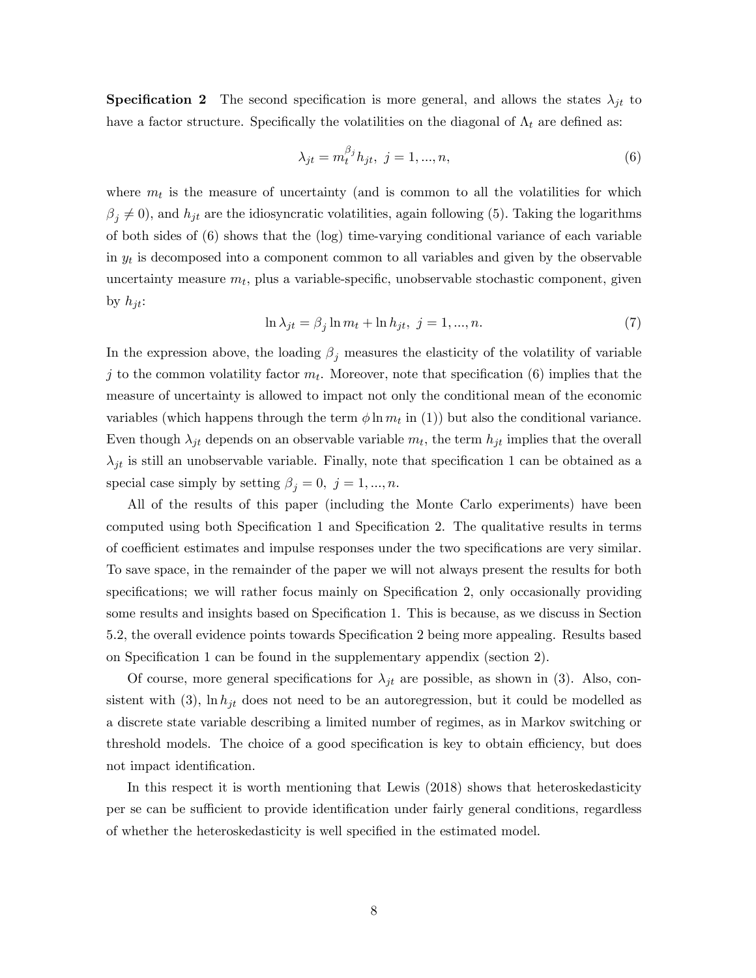**Specification 2** The second specification is more general, and allows the states  $\lambda_{jt}$  to have a factor structure. Specifically the volatilities on the diagonal of  $\Lambda_t$  are defined as:

$$
\lambda_{jt} = m_t^{\beta_j} h_{jt}, \ j = 1, ..., n,
$$
\n(6)

where  $m_t$  is the measure of uncertainty (and is common to all the volatilities for which  $\beta_j \neq 0$ , and  $h_{jt}$  are the idiosyncratic volatilities, again following (5). Taking the logarithms of both sides of (6) shows that the (log) time-varying conditional variance of each variable in  $y_t$  is decomposed into a component common to all variables and given by the observable uncertainty measure  $m_t$ , plus a variable-specific, unobservable stochastic component, given by  $h_{it}$ :

$$
\ln \lambda_{jt} = \beta_j \ln m_t + \ln h_{jt}, \quad j = 1, \dots, n. \tag{7}
$$

In the expression above, the loading  $\beta_j$  measures the elasticity of the volatility of variable j to the common volatility factor  $m_t$ . Moreover, note that specification (6) implies that the measure of uncertainty is allowed to impact not only the conditional mean of the economic variables (which happens through the term  $\phi \ln m_t$  in (1)) but also the conditional variance. Even though  $\lambda_{jt}$  depends on an observable variable  $m_t$ , the term  $h_{jt}$  implies that the overall  $\lambda_{jt}$  is still an unobservable variable. Finally, note that specification 1 can be obtained as a special case simply by setting  $\beta_j = 0, j = 1, ..., n$ .

All of the results of this paper (including the Monte Carlo experiments) have been computed using both Specification 1 and Specification 2. The qualitative results in terms of coefficient estimates and impulse responses under the two specifications are very similar. To save space, in the remainder of the paper we will not always present the results for both specifications; we will rather focus mainly on Specification 2, only occasionally providing some results and insights based on Specification 1. This is because, as we discuss in Section 5.2, the overall evidence points towards Specification 2 being more appealing. Results based on Specification 1 can be found in the supplementary appendix (section 2).

Of course, more general specifications for  $\lambda_{jt}$  are possible, as shown in (3). Also, consistent with (3),  $\ln h_{jt}$  does not need to be an autoregression, but it could be modelled as a discrete state variable describing a limited number of regimes, as in Markov switching or threshold models. The choice of a good specification is key to obtain efficiency, but does not impact identification.

In this respect it is worth mentioning that Lewis (2018) shows that heteroskedasticity per se can be sufficient to provide identification under fairly general conditions, regardless of whether the heteroskedasticity is well specified in the estimated model.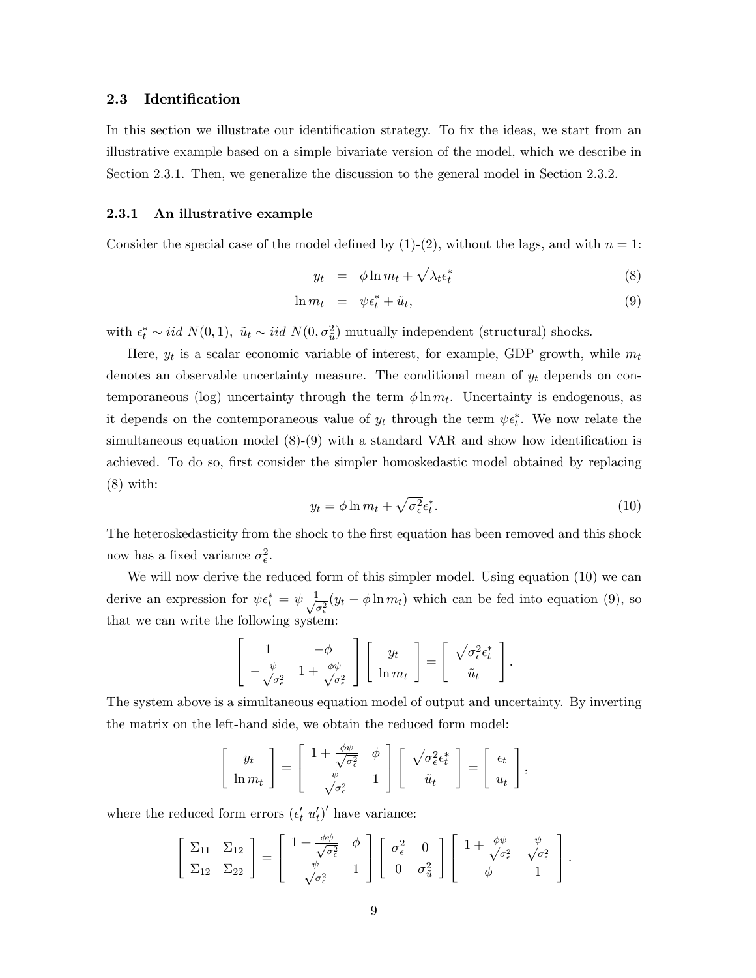#### 2.3 Identification

In this section we illustrate our identification strategy. To fix the ideas, we start from an illustrative example based on a simple bivariate version of the model, which we describe in Section 2.3.1. Then, we generalize the discussion to the general model in Section 2.3.2.

#### 2.3.1 An illustrative example

Consider the special case of the model defined by  $(1)-(2)$ , without the lags, and with  $n=1$ :

$$
y_t = \phi \ln m_t + \sqrt{\lambda_t} \epsilon_t^* \tag{8}
$$

$$
\ln m_t = \psi \epsilon_t^* + \tilde{u}_t, \tag{9}
$$

with  $\epsilon_t^* \sim \text{iid } N(0, 1)$ ,  $\tilde{u}_t \sim \text{iid } N(0, \sigma_{\tilde{u}}^2)$  mutually independent (structural) shocks.

Here,  $y_t$  is a scalar economic variable of interest, for example, GDP growth, while  $m_t$ denotes an observable uncertainty measure. The conditional mean of  $y_t$  depends on contemporaneous (log) uncertainty through the term  $\phi \ln m_t$ . Uncertainty is endogenous, as it depends on the contemporaneous value of  $y_t$  through the term  $\psi \epsilon_t^*$ . We now relate the simultaneous equation model  $(8)-(9)$  with a standard VAR and show how identification is achieved. To do so, first consider the simpler homoskedastic model obtained by replacing (8) with:

$$
y_t = \phi \ln m_t + \sqrt{\sigma_\epsilon^2} \epsilon_t^*.
$$
 (10)

The heteroskedasticity from the shock to the first equation has been removed and this shock now has a fixed variance  $\sigma_{\epsilon}^2$ .

We will now derive the reduced form of this simpler model. Using equation (10) we can derive an expression for  $\psi \epsilon_t^* = \psi \frac{1}{\sqrt{2\pi}}$  $\frac{1}{\sigma_{\epsilon}^2}(y_t - \phi \ln m_t)$  which can be fed into equation (9), so that we can write the following system:

$$
\begin{bmatrix} 1 & -\phi \\ -\frac{\psi}{\sqrt{\sigma_{\epsilon}^2}} & 1 + \frac{\phi\psi}{\sqrt{\sigma_{\epsilon}^2}} \end{bmatrix} \begin{bmatrix} y_t \\ \ln m_t \end{bmatrix} = \begin{bmatrix} \sqrt{\sigma_{\epsilon}^2} \epsilon_t^* \\ \tilde{u}_t \end{bmatrix}.
$$

The system above is a simultaneous equation model of output and uncertainty. By inverting the matrix on the left-hand side, we obtain the reduced form model:

$$
\begin{bmatrix} y_t \\ \ln m_t \end{bmatrix} = \begin{bmatrix} 1 + \frac{\phi \psi}{\sqrt{\sigma_{\epsilon}^2}} & \phi \\ \frac{\psi}{\sqrt{\sigma_{\epsilon}^2}} & 1 \end{bmatrix} \begin{bmatrix} \sqrt{\sigma_{\epsilon}^2} \epsilon_t^* \\ \tilde{u}_t \end{bmatrix} = \begin{bmatrix} \epsilon_t \\ u_t \end{bmatrix},
$$

where the reduced form errors  $(\epsilon'_t u'_t)'$  have variance:

$$
\begin{bmatrix} \Sigma_{11} & \Sigma_{12} \\ \Sigma_{12} & \Sigma_{22} \end{bmatrix} = \begin{bmatrix} 1 + \frac{\phi\psi}{\sqrt{\sigma_{\epsilon}^2}} & \phi \\ \frac{\psi}{\sqrt{\sigma_{\epsilon}^2}} & 1 \end{bmatrix} \begin{bmatrix} \sigma_{\epsilon}^2 & 0 \\ 0 & \sigma_{\tilde{u}}^2 \end{bmatrix} \begin{bmatrix} 1 + \frac{\phi\psi}{\sqrt{\sigma_{\epsilon}^2}} & \frac{\psi}{\sqrt{\sigma_{\epsilon}^2}} \\ \phi & 1 \end{bmatrix}.
$$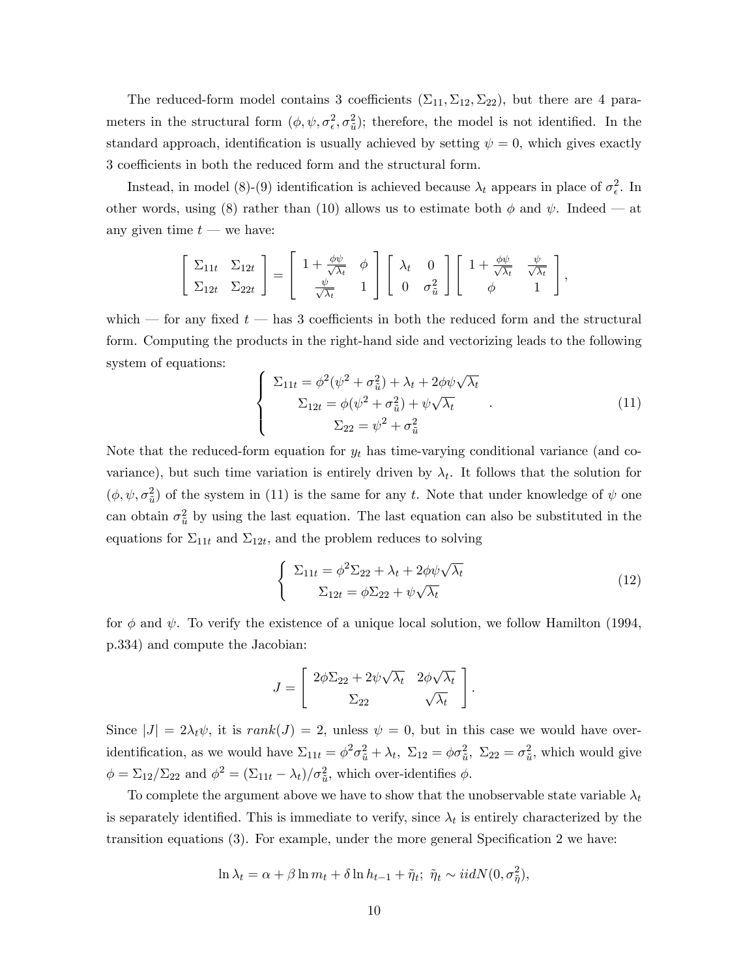The reduced-form model contains 3 coefficients  $(\Sigma_{11}, \Sigma_{12}, \Sigma_{22})$ , but there are 4 parameters in the structural form  $(\phi, \psi, \sigma_{\epsilon}^2, \sigma_{\tilde{u}}^2)$ ; therefore, the model is not identified. In the standard approach, identification is usually achieved by setting  $\psi = 0$ , which gives exactly 3 coefficients in both the reduced form and the structural form.

Instead, in model (8)-(9) identification is achieved because  $\lambda_t$  appears in place of  $\sigma_{\epsilon}^2$ . In other words, using (8) rather than (10) allows us to estimate both  $\phi$  and  $\psi$ . Indeed – at any given time  $t$  — we have:

$$
\begin{bmatrix} \Sigma_{11t} & \Sigma_{12t} \\ \Sigma_{12t} & \Sigma_{22t} \end{bmatrix} = \begin{bmatrix} 1 + \frac{\phi\psi}{\sqrt{\lambda_t}} & \phi \\ \frac{\psi}{\sqrt{\lambda_t}} & 1 \end{bmatrix} \begin{bmatrix} \lambda_t & 0 \\ 0 & \sigma_{\tilde{u}}^2 \end{bmatrix} \begin{bmatrix} 1 + \frac{\phi\psi}{\sqrt{\lambda_t}} & \frac{\psi}{\sqrt{\lambda_t}} \\ \phi & 1 \end{bmatrix},
$$

which  $\sim$  for any fixed t  $\sim$  has 3 coefficients in both the reduced form and the structural form. Computing the products in the right-hand side and vectorizing leads to the following system of equations:

$$
\begin{cases}\n\Sigma_{11t} = \phi^2(\psi^2 + \sigma_{\tilde{u}}^2) + \lambda_t + 2\phi\psi\sqrt{\lambda_t} \\
\Sigma_{12t} = \phi(\psi^2 + \sigma_{\tilde{u}}^2) + \psi\sqrt{\lambda_t} \\
\Sigma_{22} = \psi^2 + \sigma_{\tilde{u}}^2\n\end{cases}.
$$
\n(11)

Note that the reduced-form equation for  $y_t$  has time-varying conditional variance (and covariance), but such time variation is entirely driven by  $\lambda_t$ . It follows that the solution for  $(\phi, \psi, \sigma_{\tilde{u}}^2)$  of the system in (11) is the same for any t. Note that under knowledge of  $\psi$  one can obtain  $\sigma_{\tilde{u}}^2$  by using the last equation. The last equation can also be substituted in the equations for  $\Sigma_{11t}$  and  $\Sigma_{12t}$ , and the problem reduces to solving

$$
\begin{cases}\n\Sigma_{11t} = \phi^2 \Sigma_{22} + \lambda_t + 2\phi \psi \sqrt{\lambda_t} \\
\Sigma_{12t} = \phi \Sigma_{22} + \psi \sqrt{\lambda_t}\n\end{cases}
$$
\n(12)

:

for  $\phi$  and  $\psi$ . To verify the existence of a unique local solution, we follow Hamilton (1994, p.334) and compute the Jacobian:

$$
J = \begin{bmatrix} 2\phi\Sigma_{22} + 2\psi\sqrt{\lambda_t} & 2\phi\sqrt{\lambda_t} \\ \Sigma_{22} & \sqrt{\lambda_t} \end{bmatrix}
$$

Since  $|J| = 2\lambda_t \psi$ , it is rank $(J) = 2$ , unless  $\psi = 0$ , but in this case we would have overidentification, as we would have  $\Sigma_{11t} = \phi^2 \sigma_{\tilde{u}}^2 + \lambda_t$ ,  $\Sigma_{12} = \phi \sigma_{\tilde{u}}^2$ ,  $\Sigma_{22} = \sigma_{\tilde{u}}^2$ , which would give  $\phi = \Sigma_{12}/\Sigma_{22}$  and  $\phi^2 = (\Sigma_{11t} - \lambda_t)/\sigma_{\tilde{u}}^2$ , which over-identifies  $\phi$ .

To complete the argument above we have to show that the unobservable state variable  $\lambda_t$ is separately identified. This is immediate to verify, since  $\lambda_t$  is entirely characterized by the transition equations  $(3)$ . For example, under the more general Specification 2 we have:

$$
\ln \lambda_t = \alpha + \beta \ln m_t + \delta \ln h_{t-1} + \tilde{\eta}_t; \ \tilde{\eta}_t \sim i i dN(0, \sigma_{\tilde{\eta}}^2),
$$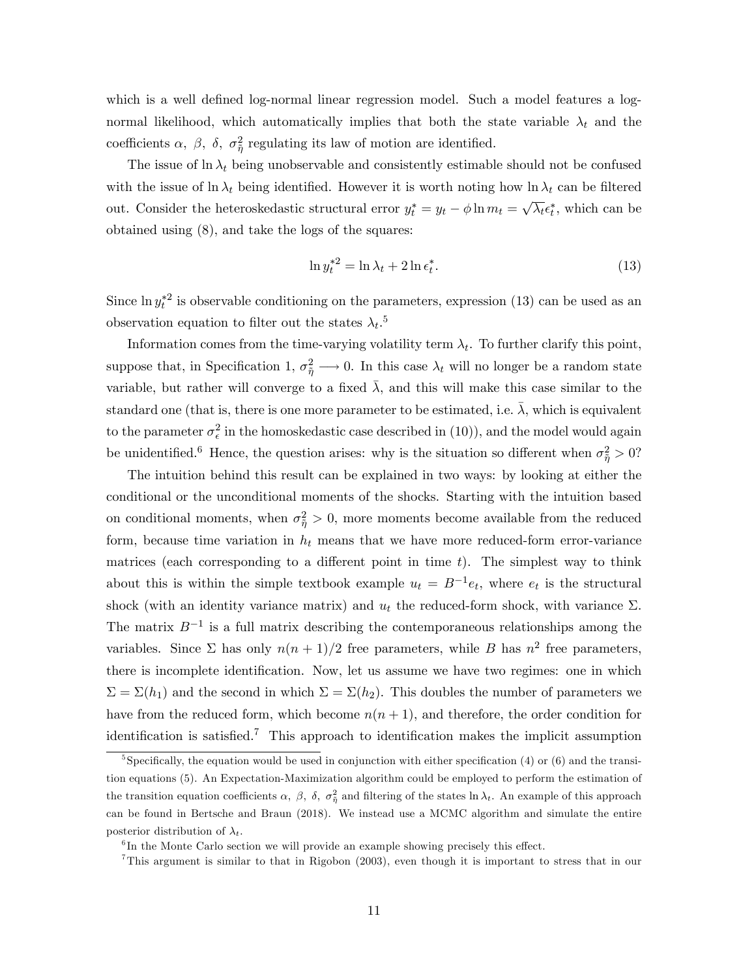which is a well defined log-normal linear regression model. Such a model features a lognormal likelihood, which automatically implies that both the state variable  $\lambda_t$  and the coefficients  $\alpha$ ,  $\beta$ ,  $\delta$ ,  $\sigma_{\tilde{\eta}}^2$  regulating its law of motion are identified.

The issue of  $\ln \lambda_t$  being unobservable and consistently estimable should not be confused with the issue of ln  $\lambda_t$  being identified. However it is worth noting how ln  $\lambda_t$  can be filtered out. Consider the heteroskedastic structural error  $y_t^* = y_t - \phi \ln m_t = \sqrt{\lambda_t} \epsilon_t^*$ , which can be obtained using (8), and take the logs of the squares:

$$
\ln y_t^{*2} = \ln \lambda_t + 2 \ln \epsilon_t^*.
$$
\n(13)

Since  $\ln y_t^*{}^2$  is observable conditioning on the parameters, expression (13) can be used as an observation equation to filter out the states  $\lambda_t$ <sup>5</sup>

Information comes from the time-varying volatility term  $\lambda_t$ . To further clarify this point, suppose that, in Specification 1,  $\sigma_{\tilde{\eta}}^2 \longrightarrow 0$ . In this case  $\lambda_t$  will no longer be a random state variable, but rather will converge to a fixed  $\overline{\lambda}$ , and this will make this case similar to the standard one (that is, there is one more parameter to be estimated, i.e.  $\bar{\lambda}$ , which is equivalent to the parameter  $\sigma_{\epsilon}^2$  in the homoskedastic case described in (10)), and the model would again be unidentified.<sup>6</sup> Hence, the question arises: why is the situation so different when  $\sigma_{\tilde{\eta}}^2 > 0$ ?

The intuition behind this result can be explained in two ways: by looking at either the conditional or the unconditional moments of the shocks. Starting with the intuition based on conditional moments, when  $\sigma_{\tilde{\eta}}^2 > 0$ , more moments become available from the reduced form, because time variation in  $h_t$  means that we have more reduced-form error-variance matrices (each corresponding to a different point in time  $t$ ). The simplest way to think about this is within the simple textbook example  $u_t = B^{-1}e_t$ , where  $e_t$  is the structural shock (with an identity variance matrix) and  $u_t$  the reduced-form shock, with variance  $\Sigma$ . The matrix  $B^{-1}$  is a full matrix describing the contemporaneous relationships among the variables. Since  $\Sigma$  has only  $n(n + 1)/2$  free parameters, while B has  $n^2$  free parameters, there is incomplete identification. Now, let us assume we have two regimes: one in which  $\Sigma = \Sigma(h_1)$  and the second in which  $\Sigma = \Sigma(h_2)$ . This doubles the number of parameters we have from the reduced form, which become  $n(n + 1)$ , and therefore, the order condition for identification is satisfied.<sup>7</sup> This approach to identification makes the implicit assumption

<sup>&</sup>lt;sup>5</sup>Specifically, the equation would be used in conjunction with either specification (4) or (6) and the transition equations (5). An Expectation-Maximization algorithm could be employed to perform the estimation of the transition equation coefficients  $\alpha$ ,  $\beta$ ,  $\delta$ ,  $\sigma_{\tilde{\eta}}^2$  and filtering of the states  $\ln \lambda_t$ . An example of this approach can be found in Bertsche and Braun (2018). We instead use a MCMC algorithm and simulate the entire posterior distribution of  $\lambda_t$ .

 ${}^{6}$ In the Monte Carlo section we will provide an example showing precisely this effect.

<sup>7</sup>This argument is similar to that in Rigobon (2003), even though it is important to stress that in our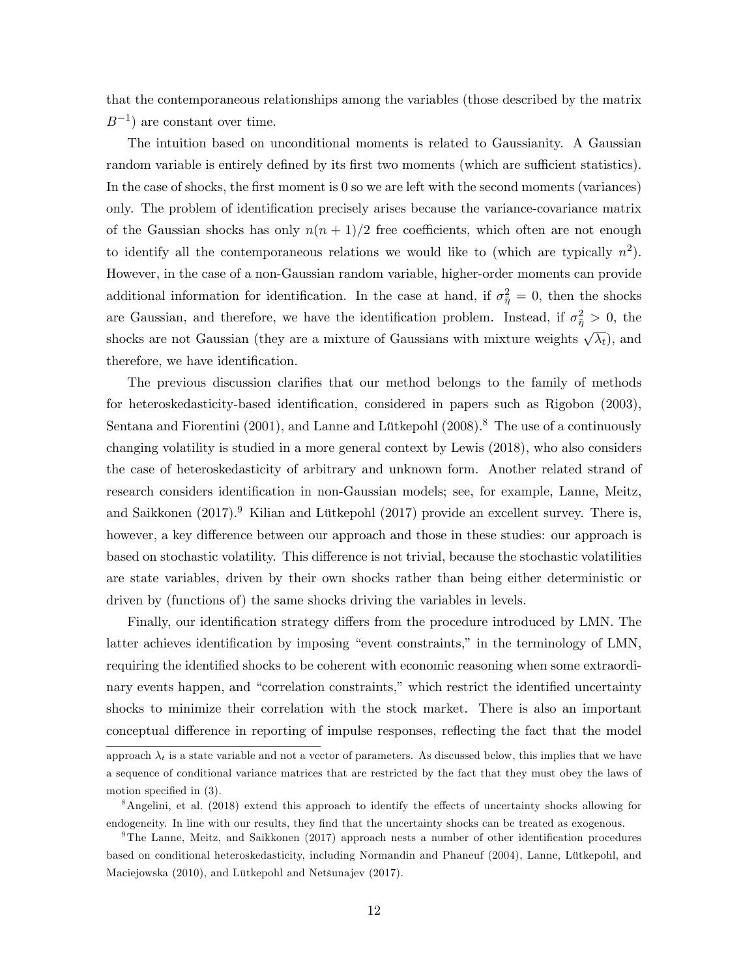that the contemporaneous relationships among the variables (those described by the matrix  $B^{-1}$ ) are constant over time.

The intuition based on unconditional moments is related to Gaussianity. A Gaussian random variable is entirely defined by its first two moments (which are sufficient statistics). In the case of shocks, the first moment is 0 so we are left with the second moments (variances) only. The problem of identification precisely arises because the variance-covariance matrix of the Gaussian shocks has only  $n(n + 1)/2$  free coefficients, which often are not enough to identify all the contemporaneous relations we would like to (which are typically  $n^2$ ). However, in the case of a non-Gaussian random variable, higher-order moments can provide additional information for identification. In the case at hand, if  $\sigma_{\tilde{\eta}}^2 = 0$ , then the shocks are Gaussian, and therefore, we have the identification problem. Instead, if  $\sigma_{\tilde{\eta}}^2 > 0$ , the shocks are not Gaussian (they are a mixture of Gaussians with mixture weights  $\sqrt{\lambda_t}$ ), and therefore, we have identification.

The previous discussion clarifies that our method belongs to the family of methods for heteroskedasticity-based identification, considered in papers such as Rigobon (2003), Sentana and Fiorentini (2001), and Lanne and Lütkepohl (2008).<sup>8</sup> The use of a continuously changing volatility is studied in a more general context by Lewis (2018), who also considers the case of heteroskedasticity of arbitrary and unknown form. Another related strand of research considers identification in non-Gaussian models; see, for example, Lanne, Meitz, and Saikkonen (2017).<sup>9</sup> Kilian and Lütkepohl (2017) provide an excellent survey. There is, however, a key difference between our approach and those in these studies: our approach is based on stochastic volatility. This difference is not trivial, because the stochastic volatilities are state variables, driven by their own shocks rather than being either deterministic or driven by (functions of) the same shocks driving the variables in levels.

Finally, our identification strategy differs from the procedure introduced by LMN. The latter achieves identification by imposing "event constraints," in the terminology of LMN, requiring the identified shocks to be coherent with economic reasoning when some extraordinary events happen, and "correlation constraints," which restrict the identified uncertainty shocks to minimize their correlation with the stock market. There is also an important conceptual difference in reporting of impulse responses, reflecting the fact that the model

approach  $\lambda_t$  is a state variable and not a vector of parameters. As discussed below, this implies that we have a sequence of conditional variance matrices that are restricted by the fact that they must obey the laws of motion specified in  $(3)$ .

<sup>&</sup>lt;sup>8</sup>Angelini, et al. (2018) extend this approach to identify the effects of uncertainty shocks allowing for endogeneity. In line with our results, they find that the uncertainty shocks can be treated as exogenous.

<sup>&</sup>lt;sup>9</sup>The Lanne, Meitz, and Saikkonen (2017) approach nests a number of other identification procedures based on conditional heteroskedasticity, including Normandin and Phaneuf (2004), Lanne, Lütkepohl, and Maciejowska (2010), and Lütkepohl and Netšunajev (2017).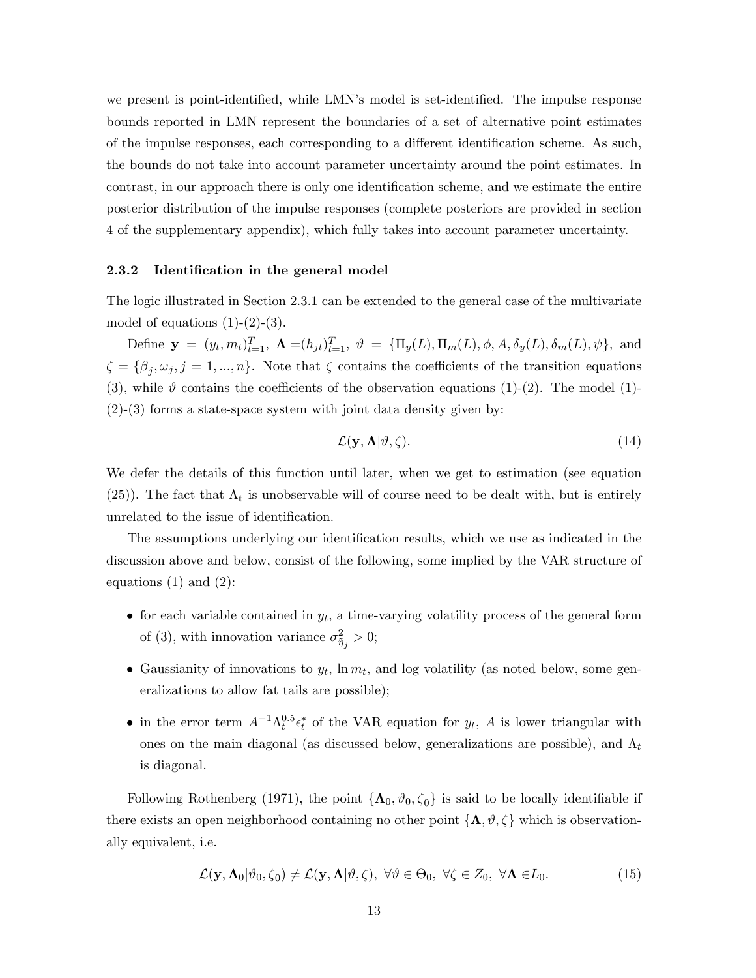we present is point-identified, while LMN's model is set-identified. The impulse response bounds reported in LMN represent the boundaries of a set of alternative point estimates of the impulse responses, each corresponding to a different identification scheme. As such, the bounds do not take into account parameter uncertainty around the point estimates. In contrast, in our approach there is only one identification scheme, and we estimate the entire posterior distribution of the impulse responses (complete posteriors are provided in section 4 of the supplementary appendix), which fully takes into account parameter uncertainty.

#### 2.3.2 Identification in the general model

The logic illustrated in Section 2.3.1 can be extended to the general case of the multivariate model of equations  $(1)-(2)-(3)$ .

Define  $\mathbf{y} = (y_t, m_t)_{t=1}^T$ ,  $\mathbf{\Lambda} = (h_{jt})_{t=1}^T$ ,  $\vartheta = {\{\Pi_y(L), \Pi_m(L), \phi, A, \delta_y(L), \delta_m(L), \psi\}}$ , and  $\zeta = {\beta_j, \omega_j, j = 1, ..., n}$ . Note that  $\zeta$  contains the coefficients of the transition equations (3), while  $\vartheta$  contains the coefficients of the observation equations (1)-(2). The model (1)- $(2)-(3)$  forms a state-space system with joint data density given by:

$$
\mathcal{L}(\mathbf{y}, \mathbf{\Lambda}|\vartheta, \zeta). \tag{14}
$$

We defer the details of this function until later, when we get to estimation (see equation (25)). The fact that  $\Lambda_t$  is unobservable will of course need to be dealt with, but is entirely unrelated to the issue of identification.

The assumptions underlying our identification results, which we use as indicated in the discussion above and below, consist of the following, some implied by the VAR structure of equations  $(1)$  and  $(2)$ :

- for each variable contained in  $y_t$ , a time-varying volatility process of the general form of (3), with innovation variance  $\sigma_{\tilde{\eta}_j}^2 > 0$ ;
- Gaussianity of innovations to  $y_t$ ,  $\ln m_t$ , and log volatility (as noted below, some generalizations to allow fat tails are possible);
- in the error term  $A^{-1}\Lambda_t^{0.5} \epsilon_t^*$  of the VAR equation for  $y_t$ , A is lower triangular with ones on the main diagonal (as discussed below, generalizations are possible), and  $\Lambda_t$ is diagonal.

Following Rothenberg (1971), the point  $\{\Lambda_0, \vartheta_0, \zeta_0\}$  is said to be locally identifiable if there exists an open neighborhood containing no other point  $\{\Lambda, \vartheta, \zeta\}$  which is observationally equivalent, i.e.

$$
\mathcal{L}(\mathbf{y}, \mathbf{\Lambda}_0 | \vartheta_0, \zeta_0) \neq \mathcal{L}(\mathbf{y}, \mathbf{\Lambda} | \vartheta, \zeta), \ \forall \vartheta \in \Theta_0, \ \forall \zeta \in Z_0, \ \forall \mathbf{\Lambda} \in L_0.
$$
 (15)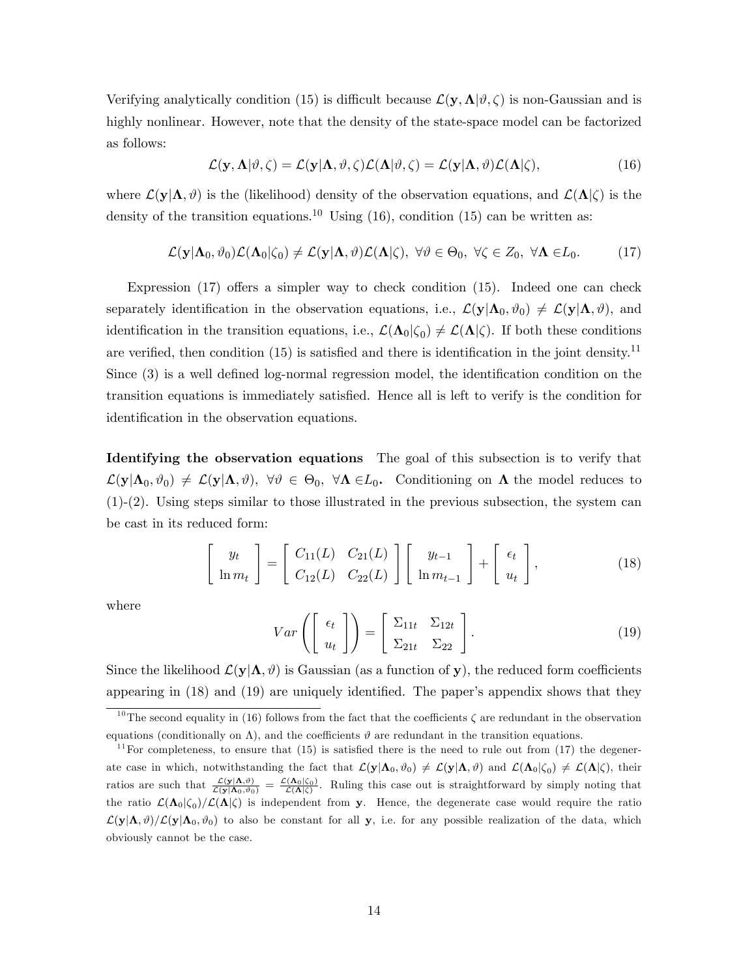Verifying analytically condition (15) is difficult because  $\mathcal{L}(\mathbf{y}, \mathbf{\Lambda}|\theta, \zeta)$  is non-Gaussian and is highly nonlinear. However, note that the density of the state-space model can be factorized as follows:

$$
\mathcal{L}(\mathbf{y}, \mathbf{\Lambda}|\vartheta, \zeta) = \mathcal{L}(\mathbf{y}|\mathbf{\Lambda}, \vartheta, \zeta) \mathcal{L}(\mathbf{\Lambda}|\vartheta, \zeta) = \mathcal{L}(\mathbf{y}|\mathbf{\Lambda}, \vartheta) \mathcal{L}(\mathbf{\Lambda}|\zeta),
$$
(16)

where  $\mathcal{L}(\mathbf{y}|\mathbf{\Lambda}, \vartheta)$  is the (likelihood) density of the observation equations, and  $\mathcal{L}(\mathbf{\Lambda}|\zeta)$  is the density of the transition equations.<sup>10</sup> Using (16), condition (15) can be written as:

$$
\mathcal{L}(\mathbf{y}|\mathbf{\Lambda}_0, \vartheta_0)\mathcal{L}(\mathbf{\Lambda}_0|\zeta_0) \neq \mathcal{L}(\mathbf{y}|\mathbf{\Lambda}, \vartheta)\mathcal{L}(\mathbf{\Lambda}|\zeta), \ \forall \vartheta \in \Theta_0, \ \forall \zeta \in Z_0, \ \forall \mathbf{\Lambda} \in L_0.
$$
 (17)

Expression  $(17)$  offers a simpler way to check condition  $(15)$ . Indeed one can check separately identification in the observation equations, i.e.,  $\mathcal{L}(\mathbf{y}|\mathbf{\Lambda}_0, \vartheta_0) \neq \mathcal{L}(\mathbf{y}|\mathbf{\Lambda}, \vartheta)$ , and identification in the transition equations, i.e.,  $\mathcal{L}(\Lambda_0|\zeta_0) \neq \mathcal{L}(\Lambda|\zeta)$ . If both these conditions are verified, then condition  $(15)$  is satisfied and there is identification in the joint density.<sup>11</sup> Since  $(3)$  is a well defined log-normal regression model, the identification condition on the transition equations is immediately satisfied. Hence all is left to verify is the condition for identification in the observation equations.

Identifying the observation equations The goal of this subsection is to verify that  $\mathcal{L}(\mathbf{y}|\mathbf{\Lambda}_0, \vartheta_0) \neq \mathcal{L}(\mathbf{y}|\mathbf{\Lambda}, \vartheta), \ \forall \vartheta \in \Theta_0, \ \forall \mathbf{\Lambda} \in L_0$ . Conditioning on  $\mathbf{\Lambda}$  the model reduces to (1)-(2). Using steps similar to those illustrated in the previous subsection, the system can be cast in its reduced form:

$$
\begin{bmatrix} y_t \\ \ln m_t \end{bmatrix} = \begin{bmatrix} C_{11}(L) & C_{21}(L) \\ C_{12}(L) & C_{22}(L) \end{bmatrix} \begin{bmatrix} y_{t-1} \\ \ln m_{t-1} \end{bmatrix} + \begin{bmatrix} \epsilon_t \\ u_t \end{bmatrix},
$$
(18)

where

$$
Var\left(\left[\begin{array}{c}\epsilon_t\\u_t\end{array}\right]\right) = \left[\begin{array}{cc}\Sigma_{11t} & \Sigma_{12t} \\ \Sigma_{21t} & \Sigma_{22}\end{array}\right].
$$
\n(19)

Since the likelihood  $\mathcal{L}(\mathbf{y}|\mathbf{\Lambda}, \vartheta)$  is Gaussian (as a function of y), the reduced form coefficients appearing in  $(18)$  and  $(19)$  are uniquely identified. The paper's appendix shows that they

<sup>&</sup>lt;sup>10</sup>The second equality in (16) follows from the fact that the coefficients  $\zeta$  are redundant in the observation equations (conditionally on  $\Lambda$ ), and the coefficients  $\vartheta$  are redundant in the transition equations.

<sup>&</sup>lt;sup>11</sup>For completeness, to ensure that (15) is satisfied there is the need to rule out from (17) the degenerate case in which, notwithstanding the fact that  $\mathcal{L}(\mathbf{y}|\mathbf{\Lambda}_0, \vartheta_0) \neq \mathcal{L}(\mathbf{y}|\mathbf{\Lambda}, \vartheta)$  and  $\mathcal{L}(\mathbf{\Lambda}_0|\zeta_0) \neq \mathcal{L}(\mathbf{\Lambda}|\zeta)$ , their ratios are such that  $\frac{\mathcal{L}(\mathbf{y}|\mathbf{\Lambda}, \theta)}{\mathcal{L}(\mathbf{y}|\mathbf{\Lambda}_0, \theta_0)} = \frac{\mathcal{L}(\mathbf{\Lambda}_0|\zeta_0)}{\mathcal{L}(\mathbf{\Lambda}|\zeta)}$ . Ruling this case out is straightforward by simply noting that the ratio  $\mathcal{L}(\mathbf{\Lambda}_0|\zeta_0)/\mathcal{L}(\mathbf{\Lambda}|\zeta)$  is independent from y. Hence, the degenerate case would require the ratio  $\mathcal{L}(\mathbf{y}|\mathbf{\Lambda}, \vartheta)/\mathcal{L}(\mathbf{y}|\mathbf{\Lambda}_0, \vartheta_0)$  to also be constant for all y, i.e. for any possible realization of the data, which obviously cannot be the case.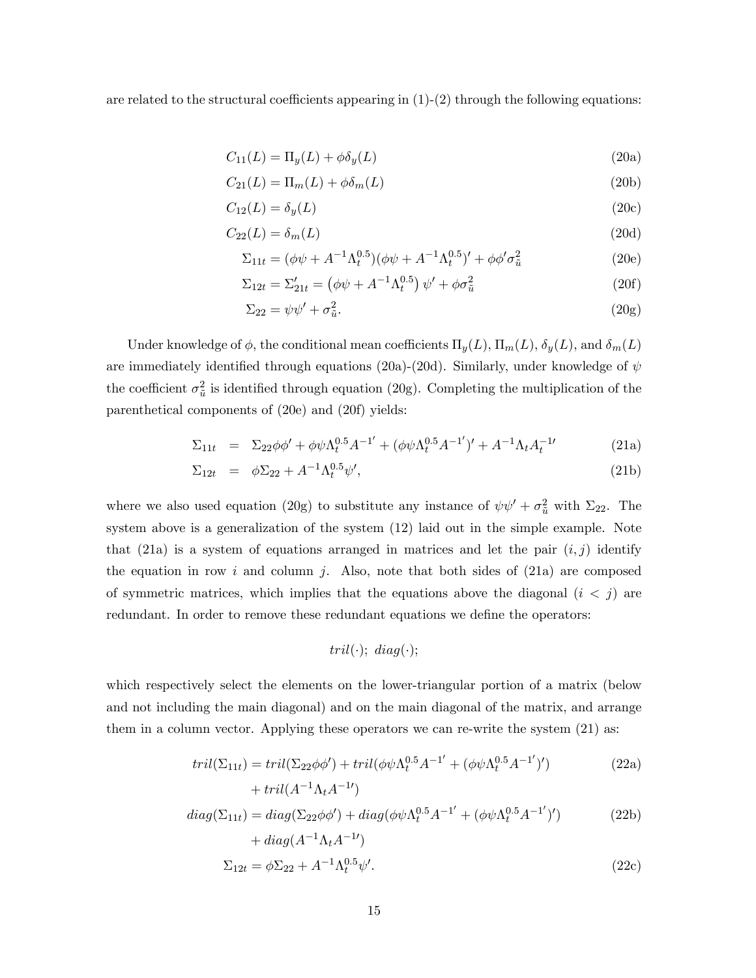are related to the structural coefficients appearing in  $(1)-(2)$  through the following equations:

$$
C_{11}(L) = \Pi_y(L) + \phi \delta_y(L) \tag{20a}
$$

$$
C_{21}(L) = \Pi_m(L) + \phi \delta_m(L) \tag{20b}
$$

$$
C_{12}(L) = \delta_y(L) \tag{20c}
$$

$$
C_{22}(L) = \delta_m(L) \tag{20d}
$$

$$
\Sigma_{11t} = (\phi\psi + A^{-1}\Lambda_t^{0.5})(\phi\psi + A^{-1}\Lambda_t^{0.5})' + \phi\phi'\sigma_{\tilde{u}}^2
$$
\n(20e)

$$
\Sigma_{12t} = \Sigma'_{21t} = (\phi\psi + A^{-1}\Lambda_t^{0.5})\,\psi' + \phi\sigma_{\tilde{u}}^2 \tag{20f}
$$

$$
\Sigma_{22} = \psi \psi' + \sigma_{\tilde{u}}^2. \tag{20g}
$$

Under knowledge of  $\phi$ , the conditional mean coefficients  $\Pi_y(L)$ ,  $\Pi_m(L)$ ,  $\delta_y(L)$ , and  $\delta_m(L)$ are immediately identified through equations (20a)-(20d). Similarly, under knowledge of  $\psi$ the coefficient  $\sigma_{\tilde{u}}^2$  is identified through equation (20g). Completing the multiplication of the parenthetical components of (20e) and (20f) yields:

$$
\Sigma_{11t} = \Sigma_{22}\phi\phi' + \phi\psi\Lambda_t^{0.5}A^{-1'} + (\phi\psi\Lambda_t^{0.5}A^{-1'})' + A^{-1}\Lambda_tA_t^{-1'}
$$
(21a)

$$
\Sigma_{12t} = \phi \Sigma_{22} + A^{-1} \Lambda_t^{0.5} \psi', \tag{21b}
$$

where we also used equation (20g) to substitute any instance of  $\psi \psi' + \sigma_{\tilde{u}}^2$  with  $\Sigma_{22}$ . The system above is a generalization of the system (12) laid out in the simple example. Note that (21a) is a system of equations arranged in matrices and let the pair  $(i, j)$  identify the equation in row i and column j. Also, note that both sides of  $(21a)$  are composed of symmetric matrices, which implies that the equations above the diagonal  $(i < j)$  are redundant. In order to remove these redundant equations we define the operators:

$$
tril(\cdot); \ diag(\cdot);
$$

which respectively select the elements on the lower-triangular portion of a matrix (below and not including the main diagonal) and on the main diagonal of the matrix, and arrange them in a column vector. Applying these operators we can re-write the system (21) as:

$$
tril(\Sigma_{11t}) = tril(\Sigma_{22}\phi\phi') + tril(\phi\psi\Lambda_t^{0.5}A^{-1'} + (\phi\psi\Lambda_t^{0.5}A^{-1'})')
$$
\n
$$
+ tril(A^{-1}\Lambda_tA^{-1'})
$$
\n(22a)

$$
diag(\Sigma_{11t}) = diag(\Sigma_{22}\phi\phi') + diag(\phi\phi\Lambda_t^{0.5}A^{-1'} + (\phi\phi\Lambda_t^{0.5}A^{-1'})') + diag(A^{-1}\Lambda_tA^{-1'})
$$
 (22b)

$$
\Sigma_{12t} = \phi \Sigma_{22} + A^{-1} \Lambda_t^{0.5} \psi'. \tag{22c}
$$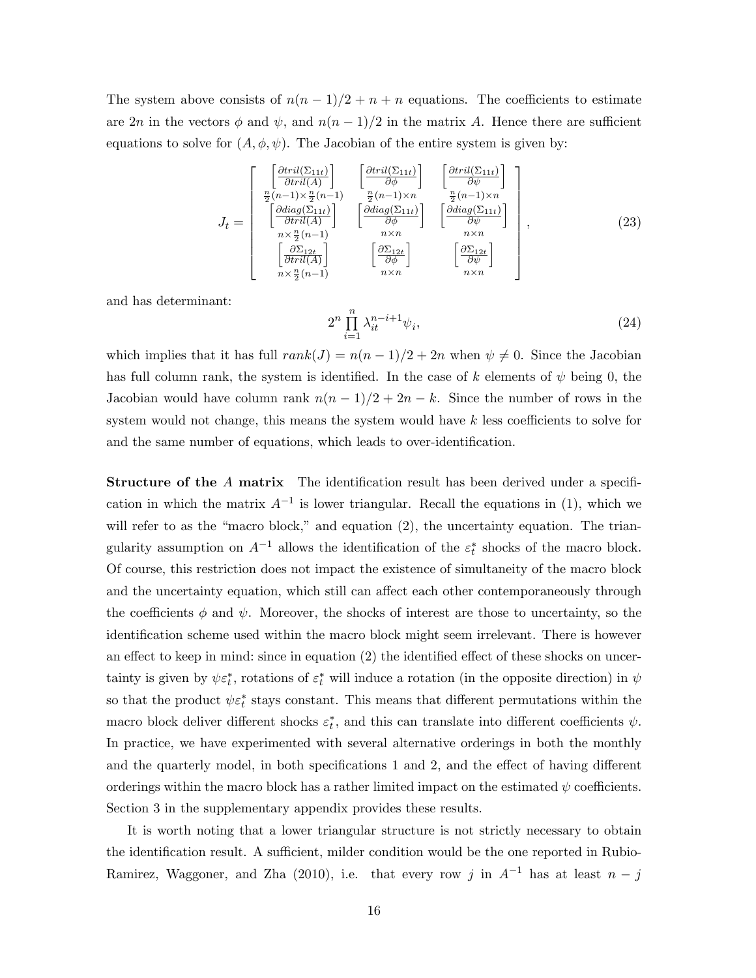The system above consists of  $n(n-1)/2 + n + n$  equations. The coefficients to estimate are  $2n$  in the vectors  $\phi$  and  $\psi$ , and  $n(n-1)/2$  in the matrix A. Hence there are sufficient equations to solve for  $(A, \phi, \psi)$ . The Jacobian of the entire system is given by:

$$
J_{t} = \begin{bmatrix} \frac{\left[\frac{\partial tril(\Sigma_{11t})}{\partial tril(A)}\right]}{\frac{n}{2}(n-1)\times\frac{n}{2}(n-1)} & \frac{\left[\frac{\partial tril(\Sigma_{11t})}{\partial\phi}\right]}{\frac{n}{2}(n-1)\times n} & \frac{\left[\frac{\partial tril(\Sigma_{11t})}{\partial\psi}\right]}{\frac{n}{2}(n-1)\times n} \\ \frac{\left[\frac{\partial diag(\Sigma_{11t})}{\partial tril(A)}\right]}{\frac{n\times n}{2}(n-1)} & \frac{\left[\frac{\partial diag(\Sigma_{11t})}{\partial\phi}\right]}{\frac{n\times n}{2}} & \frac{\left[\frac{\partial diag(\Sigma_{11t})}{\partial\psi}\right]}{\frac{n\times n}{2}(n-1)} \\ \frac{\left[\frac{\partial \Sigma_{12t}}{\partial tril(A)}\right]}{\frac{n\times n}{2}(n-1)} & \frac{\left[\frac{\partial \Sigma_{12t}}{\partial\phi}\right]}{\frac{n\times n}{2}(n-1)} & \frac{\left[\frac{\partial \Sigma_{12t}}{\partial\psi}\right]}{\frac{n\times n}{2}(n-1)} \end{bmatrix}, \quad (23)
$$

and has determinant:

$$
2^n \prod_{i=1}^n \lambda_{it}^{n-i+1} \psi_i,\tag{24}
$$

which implies that it has full  $rank(J) = n(n-1)/2 + 2n$  when  $\psi \neq 0$ . Since the Jacobian has full column rank, the system is identified. In the case of k elements of  $\psi$  being 0, the Jacobian would have column rank  $n(n-1)/2 + 2n - k$ . Since the number of rows in the system would not change, this means the system would have  $k$  less coefficients to solve for and the same number of equations, which leads to over-identification.

**Structure of the A matrix** The identification result has been derived under a specification in which the matrix  $A^{-1}$  is lower triangular. Recall the equations in (1), which we will refer to as the "macro block," and equation  $(2)$ , the uncertainty equation. The triangularity assumption on  $A^{-1}$  allows the identification of the  $\varepsilon_t^*$  shocks of the macro block. Of course, this restriction does not impact the existence of simultaneity of the macro block and the uncertainty equation, which still can affect each other contemporaneously through the coefficients  $\phi$  and  $\psi$ . Moreover, the shocks of interest are those to uncertainty, so the identification scheme used within the macro block might seem irrelevant. There is however an effect to keep in mind: since in equation  $(2)$  the identified effect of these shocks on uncertainty is given by  $\psi \varepsilon_t^*$ , rotations of  $\varepsilon_t^*$  will induce a rotation (in the opposite direction) in  $\psi$ so that the product  $\psi \varepsilon_t^*$  stays constant. This means that different permutations within the macro block deliver different shocks  $\varepsilon_t^*$ , and this can translate into different coefficients  $\psi$ . In practice, we have experimented with several alternative orderings in both the monthly and the quarterly model, in both specifications  $1$  and  $2$ , and the effect of having different orderings within the macro block has a rather limited impact on the estimated  $\psi$  coefficients. Section 3 in the supplementary appendix provides these results.

It is worth noting that a lower triangular structure is not strictly necessary to obtain the identification result. A sufficient, milder condition would be the one reported in Rubio-Ramirez, Waggoner, and Zha (2010), i.e. that every row j in  $A^{-1}$  has at least  $n - j$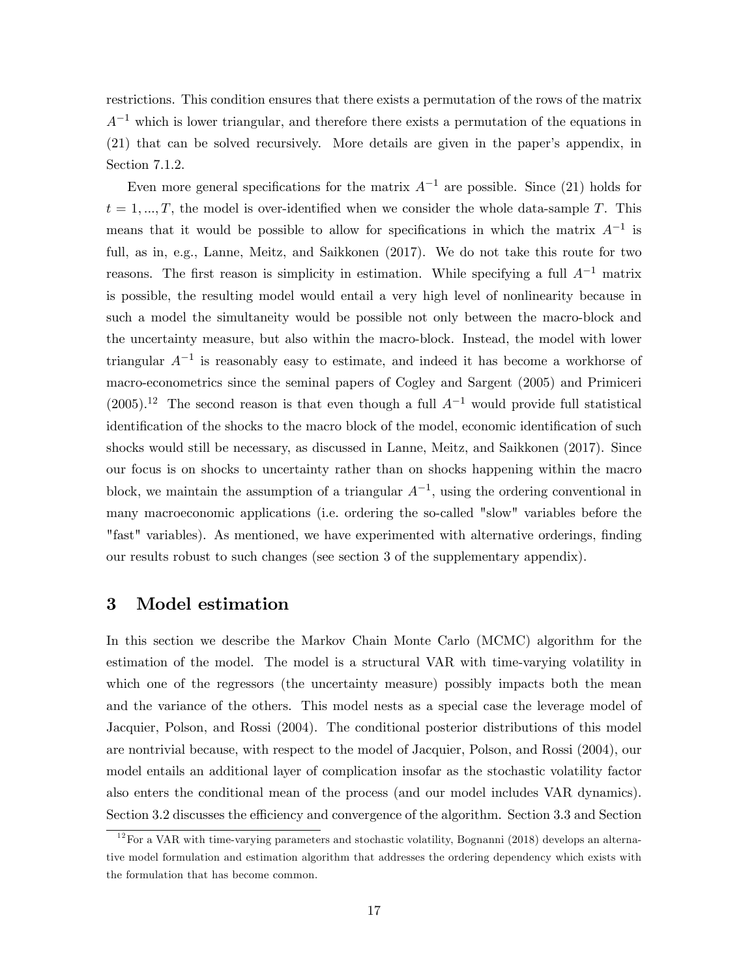restrictions. This condition ensures that there exists a permutation of the rows of the matrix  $A^{-1}$  which is lower triangular, and therefore there exists a permutation of the equations in (21) that can be solved recursively. More details are given in the paperís appendix, in Section 7.1.2.

Even more general specifications for the matrix  $A^{-1}$  are possible. Since (21) holds for  $t = 1, ..., T$ , the model is over-identified when we consider the whole data-sample T. This means that it would be possible to allow for specifications in which the matrix  $A^{-1}$  is full, as in, e.g., Lanne, Meitz, and Saikkonen (2017). We do not take this route for two reasons. The first reason is simplicity in estimation. While specifying a full  $A^{-1}$  matrix is possible, the resulting model would entail a very high level of nonlinearity because in such a model the simultaneity would be possible not only between the macro-block and the uncertainty measure, but also within the macro-block. Instead, the model with lower triangular  $A^{-1}$  is reasonably easy to estimate, and indeed it has become a workhorse of macro-econometrics since the seminal papers of Cogley and Sargent (2005) and Primiceri  $(2005).$ <sup>12</sup> The second reason is that even though a full  $A^{-1}$  would provide full statistical identification of the shocks to the macro block of the model, economic identification of such shocks would still be necessary, as discussed in Lanne, Meitz, and Saikkonen (2017). Since our focus is on shocks to uncertainty rather than on shocks happening within the macro block, we maintain the assumption of a triangular  $A^{-1}$ , using the ordering conventional in many macroeconomic applications (i.e. ordering the so-called "slow" variables before the "fast" variables). As mentioned, we have experimented with alternative orderings, finding our results robust to such changes (see section 3 of the supplementary appendix).

### 3 Model estimation

In this section we describe the Markov Chain Monte Carlo (MCMC) algorithm for the estimation of the model. The model is a structural VAR with time-varying volatility in which one of the regressors (the uncertainty measure) possibly impacts both the mean and the variance of the others. This model nests as a special case the leverage model of Jacquier, Polson, and Rossi (2004). The conditional posterior distributions of this model are nontrivial because, with respect to the model of Jacquier, Polson, and Rossi (2004), our model entails an additional layer of complication insofar as the stochastic volatility factor also enters the conditional mean of the process (and our model includes VAR dynamics). Section 3.2 discusses the efficiency and convergence of the algorithm. Section 3.3 and Section

 $12$  For a VAR with time-varying parameters and stochastic volatility, Bognanni (2018) develops an alternative model formulation and estimation algorithm that addresses the ordering dependency which exists with the formulation that has become common.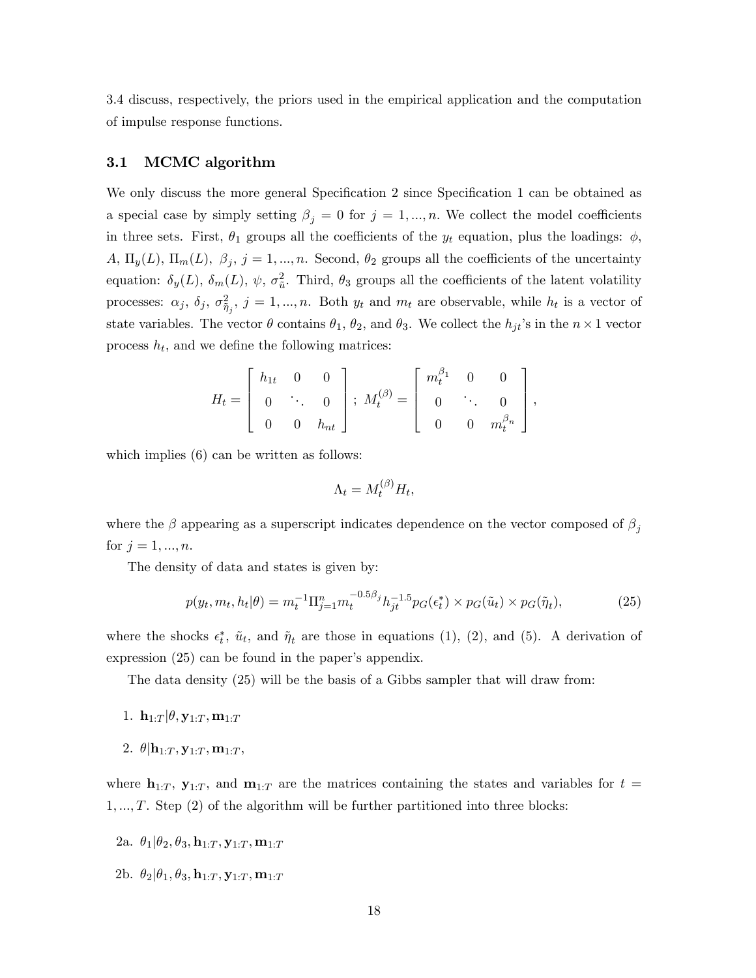3.4 discuss, respectively, the priors used in the empirical application and the computation of impulse response functions.

#### 3.1 MCMC algorithm

We only discuss the more general Specification 2 since Specification 1 can be obtained as a special case by simply setting  $\beta_j = 0$  for  $j = 1, ..., n$ . We collect the model coefficients in three sets. First,  $\theta_1$  groups all the coefficients of the  $y_t$  equation, plus the loadings:  $\phi$ ,  $A, \Pi_y(L), \Pi_m(L), \beta_j, j = 1, ..., n$ . Second,  $\theta_2$  groups all the coefficients of the uncertainty equation:  $\delta_y(L)$ ,  $\delta_m(L)$ ,  $\psi$ ,  $\sigma_{\tilde{u}}^2$ . Third,  $\theta_3$  groups all the coefficients of the latent volatility processes:  $\alpha_j$ ,  $\delta_j$ ,  $\sigma_{\tilde{\eta}_j}^2$ ,  $j = 1, ..., n$ . Both  $y_t$  and  $m_t$  are observable, while  $h_t$  is a vector of state variables. The vector  $\theta$  contains  $\theta_1$ ,  $\theta_2$ , and  $\theta_3$ . We collect the  $h_{jt}$ 's in the  $n \times 1$  vector process  $h_t$ , and we define the following matrices:

$$
H_t = \left[ \begin{array}{ccc} h_{1t} & 0 & 0 \\ 0 & \ddots & 0 \\ 0 & 0 & h_{nt} \end{array} \right]; \ M_t^{(\beta)} = \left[ \begin{array}{ccc} m_t^{\beta_1} & 0 & 0 \\ 0 & \ddots & 0 \\ 0 & 0 & m_t^{\beta_n} \end{array} \right],
$$

which implies  $(6)$  can be written as follows:

$$
\Lambda_t = M_t^{(\beta)} H_t,
$$

where the  $\beta$  appearing as a superscript indicates dependence on the vector composed of  $\beta_j$ for  $j = 1, ..., n$ .

The density of data and states is given by:

$$
p(y_t, m_t, h_t | \theta) = m_t^{-1} \Pi_{j=1}^n m_t^{-0.5\beta_j} h_{jt}^{-1.5} p_G(\epsilon_t^*) \times p_G(\tilde{u}_t) \times p_G(\tilde{\eta}_t),
$$
\n(25)

where the shocks  $\epsilon_t^*$ ,  $\tilde{u}_t$ , and  $\tilde{\eta}_t$  are those in equations (1), (2), and (5). A derivation of expression  $(25)$  can be found in the paper's appendix.

The data density (25) will be the basis of a Gibbs sampler that will draw from:

- 1.  $\mathbf{h}_{1:T}|\theta, \mathbf{y}_{1:T}, \mathbf{m}_{1:T}$
- 2.  $\theta$  $|\mathbf{h}_{1:T}, \mathbf{y}_{1:T}, \mathbf{m}_{1:T},$

where  $\mathbf{h}_{1:T}$ ,  $\mathbf{y}_{1:T}$ , and  $\mathbf{m}_{1:T}$  are the matrices containing the states and variables for  $t =$  $1, \ldots, T$ . Step (2) of the algorithm will be further partitioned into three blocks:

- 2a.  $\theta_1 | \theta_2, \theta_3, \mathbf{h}_{1:T}, \mathbf{y}_{1:T}, \mathbf{m}_{1:T}$
- 2b.  $\theta_2 | \theta_1, \theta_3, \mathbf{h}_{1:T}, \mathbf{y}_{1:T}, \mathbf{m}_{1:T}$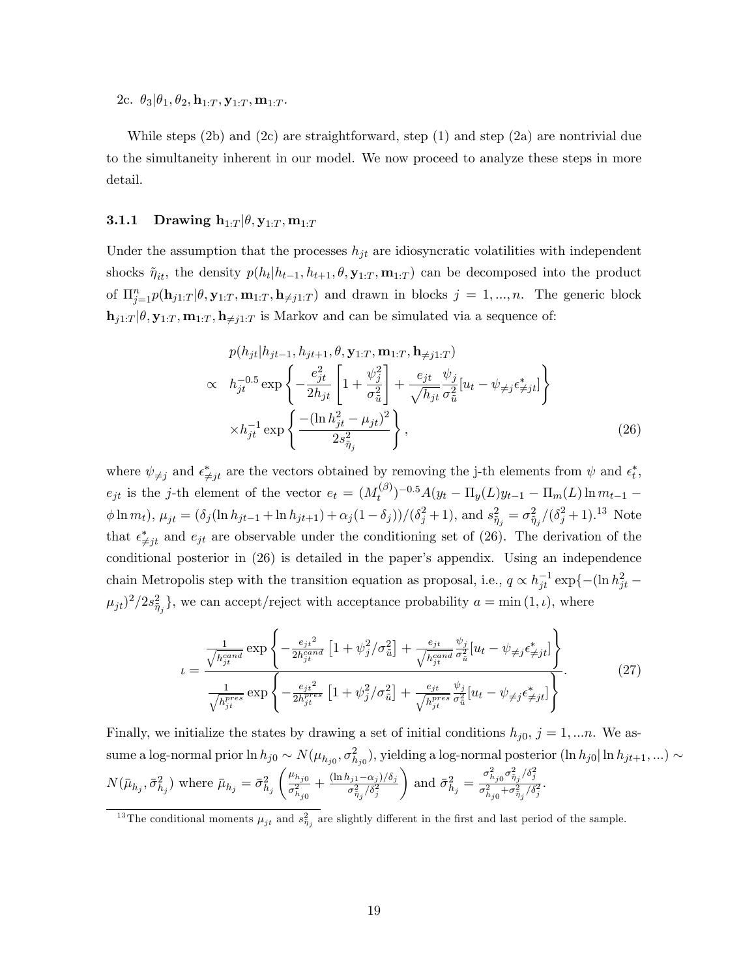2c.  $\theta_3|\theta_1, \theta_2, \mathbf{h}_{1:T}, \mathbf{y}_{1:T}, \mathbf{m}_{1:T}$ .

While steps  $(2b)$  and  $(2c)$  are straightforward, step  $(1)$  and step  $(2a)$  are nontrivial due to the simultaneity inherent in our model. We now proceed to analyze these steps in more detail.

#### 3.1.1 Drawing  $\mathbf{h}_{1:T} | \theta, \mathbf{y}_{1:T}, \mathbf{m}_{1:T}$

Under the assumption that the processes  $h_{jt}$  are idiosyncratic volatilities with independent shocks  $\tilde{\eta}_{it}$ , the density  $p(h_t|h_{t-1}, h_{t+1}, \theta, \mathbf{y}_{1:T}, \mathbf{m}_{1:T})$  can be decomposed into the product of  $\Pi_{j=1}^n p(\mathbf{h}_{j1:T}|\theta, \mathbf{y}_{1:T}, \mathbf{m}_{1:T}, \mathbf{h}_{\neq j1:T})$  and drawn in blocks  $j=1,...,n$ . The generic block  $\mathbf{h}_{j1:T}|\theta, \mathbf{y}_{1:T}, \mathbf{m}_{1:T}, \mathbf{h}_{\neq j1:T}$  is Markov and can be simulated via a sequence of:

$$
p(h_{jt}|h_{jt-1}, h_{jt+1}, \theta, \mathbf{y}_{1:T}, \mathbf{m}_{1:T}, \mathbf{h}_{\neq j1:T})
$$
  
\n
$$
\propto h_{jt}^{-0.5} \exp\left\{-\frac{e_{jt}^2}{2h_{jt}} \left[1 + \frac{\psi_j^2}{\sigma_{\tilde{u}}^2}\right] + \frac{e_{jt}}{\sqrt{h_{jt}}}\frac{\psi_j}{\sigma_{\tilde{u}}^2}[u_t - \psi_{\neq j}\epsilon_{\neq jt}^*]\right\}
$$
  
\n
$$
\times h_{jt}^{-1} \exp\left\{\frac{-(\ln h_{jt}^2 - \mu_{jt})^2}{2s_{\tilde{\eta}_j}^2}\right\},
$$
\n(26)

where  $\psi_{\neq j}$  and  $\epsilon_{\neq j}^{*}$  are the vectors obtained by removing the j-th elements from  $\psi$  and  $\epsilon_{t}^{*}$ ,  $e_{jt}$  is the j-th element of the vector  $e_t = (M_t^{(\beta)})$  $(t^{(3)}_t)^{-0.5}A(y_t - \Pi_y(L)y_{t-1} - \Pi_m(L)\ln m_{t-1}$  $\phi \ln m_t$ ),  $\mu_{jt} = (\delta_j (\ln h_{jt-1} + \ln h_{jt+1}) + \alpha_j (1 - \delta_j)) / (\delta_j^2 + 1)$ , and  $s_{\tilde{\eta}_j}^2 = \sigma_{\tilde{\eta}_j}^2 / (\delta_j^2 + 1)$ .<sup>13</sup> Note that  $\epsilon_{\neq j}^*$  and  $e_{jt}$  are observable under the conditioning set of (26). The derivation of the conditional posterior in  $(26)$  is detailed in the paper's appendix. Using an independence chain Metropolis step with the transition equation as proposal, i.e.,  $q \propto h_{jt}^{-1} \exp\{-(\ln h_{jt}^2 (\mu_{jt})^2/2s_{\tilde{\eta}_j}^2\}$ , we can accept/reject with acceptance probability  $a = \min(1, \iota)$ , where

$$
t = \frac{\frac{1}{\sqrt{h_{jt}^{cand}}} \exp\left\{-\frac{e_{jt}^2}{2h_{jt}^{cand}} \left[1 + \psi_j^2/\sigma_{\tilde{u}}^2\right] + \frac{e_{jt}}{\sqrt{h_{jt}^{cand}} \sigma_{\tilde{u}}^2} \left[u_t - \psi_{\neq j}\epsilon_{\neq jt}^*\right]\right\}}{\frac{1}{\sqrt{h_{jt}^{pres}}} \exp\left\{-\frac{e_{jt}^2}{2h_{jt}^{pres}} \left[1 + \psi_j^2/\sigma_{\tilde{u}}^2\right] + \frac{e_{jt}}{\sqrt{h_{jt}^{pres}} \sigma_{\tilde{u}}^2} \left[u_t - \psi_{\neq j}\epsilon_{\neq jt}^*\right]\right\}}.
$$
(27)

Finally, we initialize the states by drawing a set of initial conditions  $h_{i0}$ ,  $j = 1,...n$ . We assume a log-normal prior  $\ln h_{j0} \sim N(\mu_{h_{j0}}, \sigma_{h_{j0}}^2)$ , yielding a log-normal posterior  $(\ln h_{j0}|\ln h_{jt+1}, ...)$  $N(\bar{\mu}_{h_j}, \bar{\sigma}^2_{h_j})$  where  $\bar{\mu}_{h_j} = \bar{\sigma}^2_{h_j}$  $\int \mu_{h_{j0}}$  $\overline{\sigma_{h_{j0}}^2}$  $+\frac{(\ln h_{j1} - \alpha_j)/\delta_j}{\sigma^2_{\tilde{\eta}_j}/\delta^2_j}$  $\setminus$ and  $\bar{\sigma}_{h_j}^2 = \frac{\sigma_{h_{j0}}^2 \sigma_{\tilde{\eta}_j}^2 / \delta_j^2}{\sigma_{h_j}^2 + \sigma_{\tilde{\pi}}^2 / \delta}$  $\frac{n_{j0} \eta_{j} \eta_{j}+j_{0}}{\sigma_{h_{j0}}^{2}+\sigma_{\tilde{\eta}_{j}}^{2}/\delta_{j}^{2}}$ .

<sup>&</sup>lt;sup>13</sup>The conditional moments  $\mu_{jt}$  and  $s_{\tilde{\eta}_j}^2$  are slightly different in the first and last period of the sample.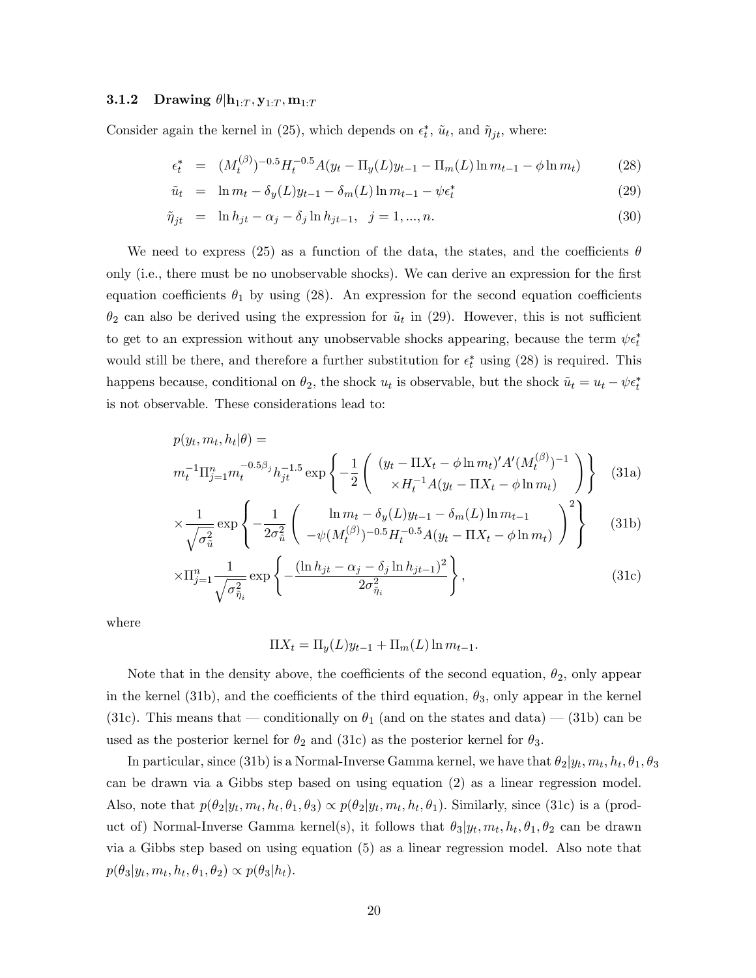#### **3.1.2** Drawing  $\theta | \mathbf{h}_{1:T}, \mathbf{y}_{1:T}, \mathbf{m}_{1:T}$

Consider again the kernel in (25), which depends on  $\epsilon_t^*$ ,  $\tilde{u}_t$ , and  $\tilde{\eta}_{jt}$ , where:

$$
\epsilon_t^* = (M_t^{(\beta)})^{-0.5} H_t^{-0.5} A(y_t - \Pi_y(L)y_{t-1} - \Pi_m(L) \ln m_{t-1} - \phi \ln m_t)
$$
 (28)

$$
\tilde{u}_t = \ln m_t - \delta_y(L)y_{t-1} - \delta_m(L)\ln m_{t-1} - \psi \epsilon_t^* \tag{29}
$$

$$
\tilde{\eta}_{jt} = \ln h_{jt} - \alpha_j - \delta_j \ln h_{jt-1}, \ \ j = 1, ..., n. \tag{30}
$$

We need to express (25) as a function of the data, the states, and the coefficients  $\theta$ only (i.e., there must be no unobservable shocks). We can derive an expression for the first equation coefficients  $\theta_1$  by using (28). An expression for the second equation coefficients  $\theta_2$  can also be derived using the expression for  $\tilde{u}_t$  in (29). However, this is not sufficient to get to an expression without any unobservable shocks appearing, because the term  $\psi \epsilon_t^*$ would still be there, and therefore a further substitution for  $\epsilon_t^*$  using (28) is required. This happens because, conditional on  $\theta_2$ , the shock  $u_t$  is observable, but the shock  $\tilde{u}_t = u_t - \psi \epsilon_t^*$ is not observable. These considerations lead to:

$$
p(y_t, m_t, h_t | \theta) =
$$
  
\n
$$
m_t^{-1} \Pi_{j=1}^n m_t^{-0.5\beta_j} h_{jt}^{-1.5} \exp \left\{ -\frac{1}{2} \left( \begin{array}{c} (y_t - \Pi X_t - \phi \ln m_t)' A' (M_t^{(\beta)})^{-1} \\ \times H_t^{-1} A (y_t - \Pi X_t - \phi \ln m_t) \end{array} \right) \right\}
$$
 (31a)

$$
\times \frac{1}{\sqrt{\sigma_{\tilde{u}}^2}} \exp \left\{ -\frac{1}{2\sigma_{\tilde{u}}^2} \left( \frac{\ln m_t - \delta_y(L)y_{t-1} - \delta_m(L)\ln m_{t-1}}{-\psi(M_t^{(\beta)})^{-0.5}H_t^{-0.5}A(y_t - \Pi X_t - \phi \ln m_t)} \right)^2 \right\}
$$
(31b)

$$
\times \Pi_{j=1}^{n} \frac{1}{\sqrt{\sigma_{\tilde{\eta}_i}^2}} \exp\left\{-\frac{(\ln h_{jt} - \alpha_j - \delta_j \ln h_{jt-1})^2}{2\sigma_{\tilde{\eta}_i}^2}\right\},\tag{31c}
$$

where

$$
\Pi X_t = \Pi_y(L)y_{t-1} + \Pi_m(L)\ln m_{t-1}.
$$

Note that in the density above, the coefficients of the second equation,  $\theta_2$ , only appear in the kernel (31b), and the coefficients of the third equation,  $\theta_3$ , only appear in the kernel (31c). This means that – conditionally on  $\theta_1$  (and on the states and data) – (31b) can be used as the posterior kernel for  $\theta_2$  and (31c) as the posterior kernel for  $\theta_3$ .

In particular, since (31b) is a Normal-Inverse Gamma kernel, we have that  $\theta_2|y_t, m_t, h_t, \theta_1, \theta_3$ can be drawn via a Gibbs step based on using equation (2) as a linear regression model. Also, note that  $p(\theta_2|y_t, m_t, h_t, \theta_1, \theta_3) \propto p(\theta_2|y_t, m_t, h_t, \theta_1)$ . Similarly, since (31c) is a (product of) Normal-Inverse Gamma kernel(s), it follows that  $\theta_3|y_t, m_t, h_t, \theta_1, \theta_2$  can be drawn via a Gibbs step based on using equation (5) as a linear regression model. Also note that  $p(\theta_3|y_t, m_t, h_t, \theta_1, \theta_2) \propto p(\theta_3|h_t).$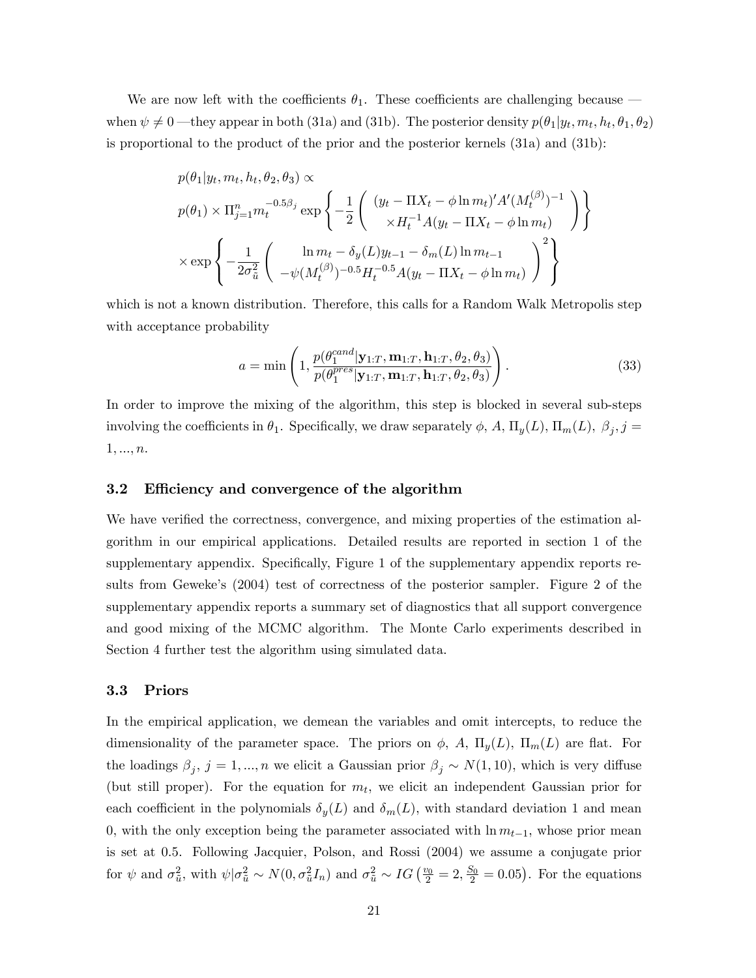We are now left with the coefficients  $\theta_1$ . These coefficients are challenging because  $\overline{\phantom{a}}$ when  $\psi \neq 0$ —they appear in both (31a) and (31b). The posterior density  $p(\theta_1|y_t, m_t, h_t, \theta_1, \theta_2)$ is proportional to the product of the prior and the posterior kernels (31a) and (31b):

$$
p(\theta_1|y_t, m_t, h_t, \theta_2, \theta_3) \propto
$$
  
\n
$$
p(\theta_1) \times \Pi_{j=1}^n m_t^{-0.5\beta_j} \exp \left\{ -\frac{1}{2} \left( \begin{array}{c} (y_t - \Pi X_t - \phi \ln m_t)' A' (M_t^{(\beta)})^{-1} \\ \times H_t^{-1} A (y_t - \Pi X_t - \phi \ln m_t) \end{array} \right) \right\}
$$
  
\n
$$
\times \exp \left\{ -\frac{1}{2\sigma_u^2} \left( \begin{array}{c} \ln m_t - \delta_y(L) y_{t-1} - \delta_m(L) \ln m_{t-1} \\ -\psi(M_t^{(\beta)})^{-0.5} H_t^{-0.5} A (y_t - \Pi X_t - \phi \ln m_t) \end{array} \right)^2 \right\}
$$

which is not a known distribution. Therefore, this calls for a Random Walk Metropolis step with acceptance probability

$$
a = \min\left(1, \frac{p(\theta_1^{cand}|\mathbf{y}_{1:T}, \mathbf{m}_{1:T}, \mathbf{h}_{1:T}, \theta_2, \theta_3)}{p(\theta_1^{pres}|\mathbf{y}_{1:T}, \mathbf{m}_{1:T}, \mathbf{h}_{1:T}, \theta_2, \theta_3)}\right).
$$
(33)

In order to improve the mixing of the algorithm, this step is blocked in several sub-steps involving the coefficients in  $\theta_1$ . Specifically, we draw separately  $\phi$ , A,  $\Pi_y(L)$ ,  $\Pi_m(L)$ ,  $\beta_j$ ,  $j =$  $1, ..., n.$ 

#### 3.2 Efficiency and convergence of the algorithm

We have verified the correctness, convergence, and mixing properties of the estimation algorithm in our empirical applications. Detailed results are reported in section 1 of the supplementary appendix. Specifically, Figure 1 of the supplementary appendix reports results from Geweke's (2004) test of correctness of the posterior sampler. Figure 2 of the supplementary appendix reports a summary set of diagnostics that all support convergence and good mixing of the MCMC algorithm. The Monte Carlo experiments described in Section 4 further test the algorithm using simulated data.

#### 3.3 Priors

In the empirical application, we demean the variables and omit intercepts, to reduce the dimensionality of the parameter space. The priors on  $\phi$ , A,  $\Pi_y(L)$ ,  $\Pi_m(L)$  are flat. For the loadings  $\beta_j$ ,  $j = 1, ..., n$  we elicit a Gaussian prior  $\beta_j \sim N(1, 10)$ , which is very diffuse (but still proper). For the equation for  $m_t$ , we elicit an independent Gaussian prior for each coefficient in the polynomials  $\delta_y(L)$  and  $\delta_m(L)$ , with standard deviation 1 and mean 0, with the only exception being the parameter associated with  $\ln m_{t-1}$ , whose prior mean is set at 0:5. Following Jacquier, Polson, and Rossi (2004) we assume a conjugate prior for  $\psi$  and  $\sigma_{\tilde{u}}^2$ , with  $\psi|\sigma_{\tilde{u}}^2 \sim N(0, \sigma_{\tilde{u}}^2 I_n)$  and  $\sigma_{\tilde{u}}^2 \sim IG\left(\frac{v_0}{2} = 2, \frac{S_0}{2} = 0.05\right)$ . For the equations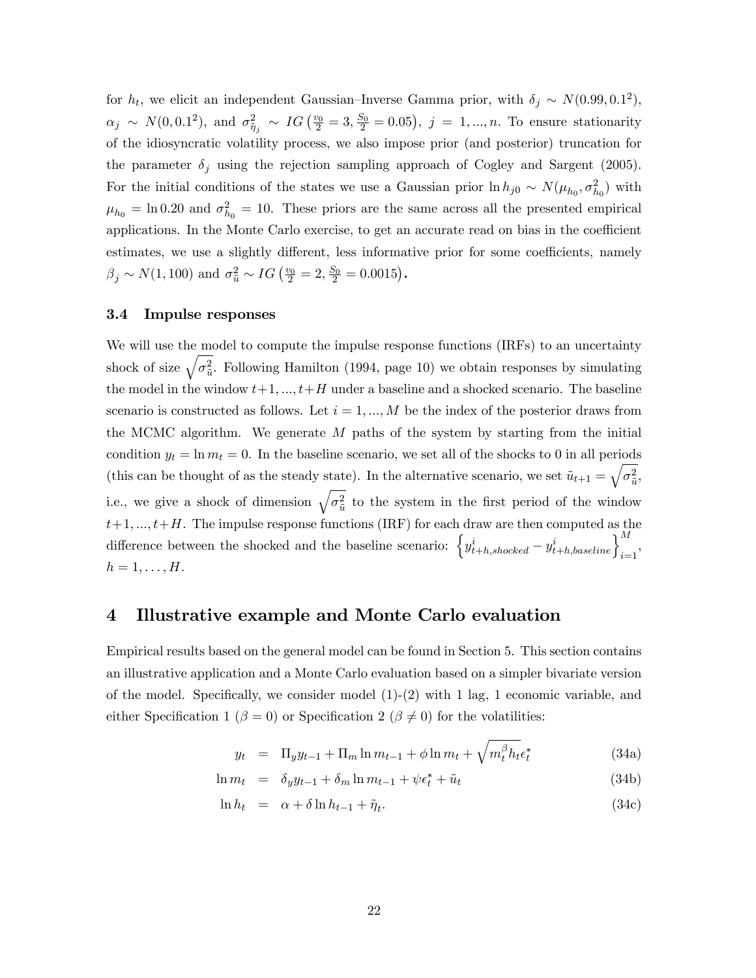for  $h_t$ , we elicit an independent Gaussian–Inverse Gamma prior, with  $\delta_j \sim N(0.99, 0.1^2)$ ,  $\alpha_j \sim N(0, 0.1^2)$ , and  $\sigma_{\tilde{\eta}_j}^2 \sim IG(\frac{v_0}{2} = 3, \frac{S_0}{2} = 0.05)$ ,  $j = 1, ..., n$ . To ensure stationarity of the idiosyncratic volatility process, we also impose prior (and posterior) truncation for the parameter  $\delta_j$  using the rejection sampling approach of Cogley and Sargent (2005). For the initial conditions of the states we use a Gaussian prior  $\ln h_{j0} \sim N(\mu_{h_0}, \sigma_{h_0}^2)$  with  $\mu_{h_0} = \ln 0.20$  and  $\sigma_{h_0}^2 = 10$ . These priors are the same across all the presented empirical applications. In the Monte Carlo exercise, to get an accurate read on bias in the coefficient estimates, we use a slightly different, less informative prior for some coefficients, namely  $\beta_j \sim N(1, 100)$  and  $\sigma_{\tilde{u}}^2 \sim IG\left(\frac{v_0}{2} = 2, \frac{S_0}{2} = 0.0015\right)$ .

#### 3.4 Impulse responses

We will use the model to compute the impulse response functions (IRFs) to an uncertainty shock of size  $\sqrt{\sigma_{\tilde{u}}^2}$ . Following Hamilton (1994, page 10) we obtain responses by simulating the model in the window  $t+1, ..., t+H$  under a baseline and a shocked scenario. The baseline scenario is constructed as follows. Let  $i = 1, ..., M$  be the index of the posterior draws from the MCMC algorithm. We generate  $M$  paths of the system by starting from the initial condition  $y_t = \ln m_t = 0$ . In the baseline scenario, we set all of the shocks to 0 in all periods (this can be thought of as the steady state). In the alternative scenario, we set  $\tilde{u}_{t+1} = \sqrt{\sigma_{\tilde{u}}^2}$ , i.e., we give a shock of dimension  $\sqrt{\sigma_{\tilde{u}}^2}$  to the system in the first period of the window  $t+1, ..., t+H$ . The impulse response functions (IRF) for each draw are then computed as the difference between the shocked and the baseline scenario:  $\left\{y_{t+h,shocked}^i - y_{t+h,baseline}^i\right\}_{i=1}^M$ ,  $h=1,\ldots,H.$ 

## 4 Illustrative example and Monte Carlo evaluation

Empirical results based on the general model can be found in Section 5. This section contains an illustrative application and a Monte Carlo evaluation based on a simpler bivariate version of the model. Specifically, we consider model  $(1)-(2)$  with 1 lag, 1 economic variable, and either Specification 1 ( $\beta = 0$ ) or Specification 2 ( $\beta \neq 0$ ) for the volatilities:

$$
y_t = \Pi_y y_{t-1} + \Pi_m \ln m_{t-1} + \phi \ln m_t + \sqrt{m_t^{\beta} h_t} \epsilon_t^*
$$
 (34a)

$$
\ln m_t = \delta_y y_{t-1} + \delta_m \ln m_{t-1} + \psi \epsilon_t^* + \tilde{u}_t \tag{34b}
$$

$$
\ln h_t = \alpha + \delta \ln h_{t-1} + \tilde{\eta}_t. \tag{34c}
$$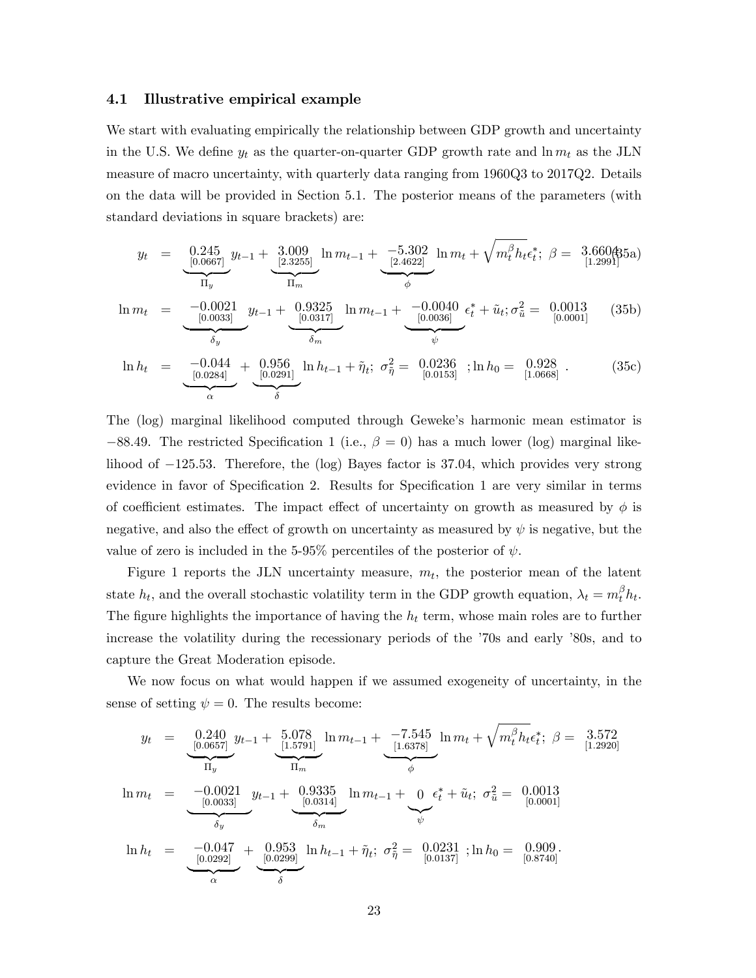#### 4.1 Illustrative empirical example

We start with evaluating empirically the relationship between GDP growth and uncertainty in the U.S. We define  $y_t$  as the quarter-on-quarter GDP growth rate and  $\ln m_t$  as the JLN measure of macro uncertainty, with quarterly data ranging from 1960Q3 to 2017Q2. Details on the data will be provided in Section 5.1. The posterior means of the parameters (with standard deviations in square brackets) are:

$$
y_t = \underbrace{0.245}_{[0.0667]} y_{t-1} + \underbrace{3.009}_{[2.3255]} \ln m_{t-1} + \underbrace{-5.302}_{[2.4622]} \ln m_t + \sqrt{m_t^{\beta} h_t} \epsilon_t^*; \ \beta = \underbrace{3.660435a}_{[1.2991]})
$$

$$
\ln m_t = \underbrace{-0.0021}_{[0.0033]} y_{t-1} + \underbrace{0.9325}_{[0.0317]} \ln m_{t-1} + \underbrace{-0.0040}_{[0.0036]} \epsilon_t^* + \tilde{u}_t; \sigma_{\tilde{u}}^2 = \underbrace{0.0013}_{[0.0001]} \quad (35b)
$$

$$
\ln h_t = \underbrace{-0.044}_{[0.0284]} + \underbrace{0.956}_{[0.0291]} \ln h_{t-1} + \tilde{\eta}_t; \ \sigma_{\tilde{\eta}}^2 = \underbrace{0.0236}_{[0.0153]}; \ln h_0 = \underbrace{0.928}_{[1.0668]}.
$$
 (35c)

The (log) marginal likelihood computed through Geweke's harmonic mean estimator is  $-88.49$ . The restricted Specification 1 (i.e.,  $\beta = 0$ ) has a much lower (log) marginal likelihood of  $-125.53$ . Therefore, the (log) Bayes factor is 37.04, which provides very strong evidence in favor of Specification 2. Results for Specification 1 are very similar in terms of coefficient estimates. The impact effect of uncertainty on growth as measured by  $\phi$  is negative, and also the effect of growth on uncertainty as measured by  $\psi$  is negative, but the value of zero is included in the 5-95% percentiles of the posterior of  $\psi$ .

Figure 1 reports the JLN uncertainty measure,  $m_t$ , the posterior mean of the latent state  $h_t$ , and the overall stochastic volatility term in the GDP growth equation,  $\lambda_t = m_t^{\beta} h_t$ . The figure highlights the importance of having the  $h_t$  term, whose main roles are to further increase the volatility during the recessionary periods of the  $\dot{70s}$  and early  $\dot{80s}$ , and to capture the Great Moderation episode.

We now focus on what would happen if we assumed exogeneity of uncertainty, in the sense of setting  $\psi = 0$ . The results become:

$$
y_{t} = \underbrace{0.240}_{[0.0657]} y_{t-1} + \underbrace{5.078}_{[1.5791]} \ln m_{t-1} + \underbrace{-7.545}_{[1.6378]} \ln m_{t} + \sqrt{m_{t}^{\beta} h_{t}} \epsilon_{t}^{*}; \ \beta = 3.572}_{[1.2920]}
$$
\n
$$
\ln m_{t} = \underbrace{-0.0021}_{\delta_{y}} y_{t-1} + \underbrace{0.9335}_{\delta_{m}} \ln m_{t-1} + \underbrace{0}_{\psi} \epsilon_{t}^{*} + \tilde{u}_{t}; \ \sigma_{\tilde{u}}^{2} = 0.0013
$$
\n
$$
\ln h_{t} = \underbrace{-0.047}_{[0.0292]} + \underbrace{0.953}_{[0.0299]} \ln h_{t-1} + \tilde{\eta}_{t}; \ \sigma_{\tilde{\eta}}^{2} = \underbrace{0.0231}_{[0.0137]}; \ln h_{0} = \underbrace{0.909}_{[0.8740]}.
$$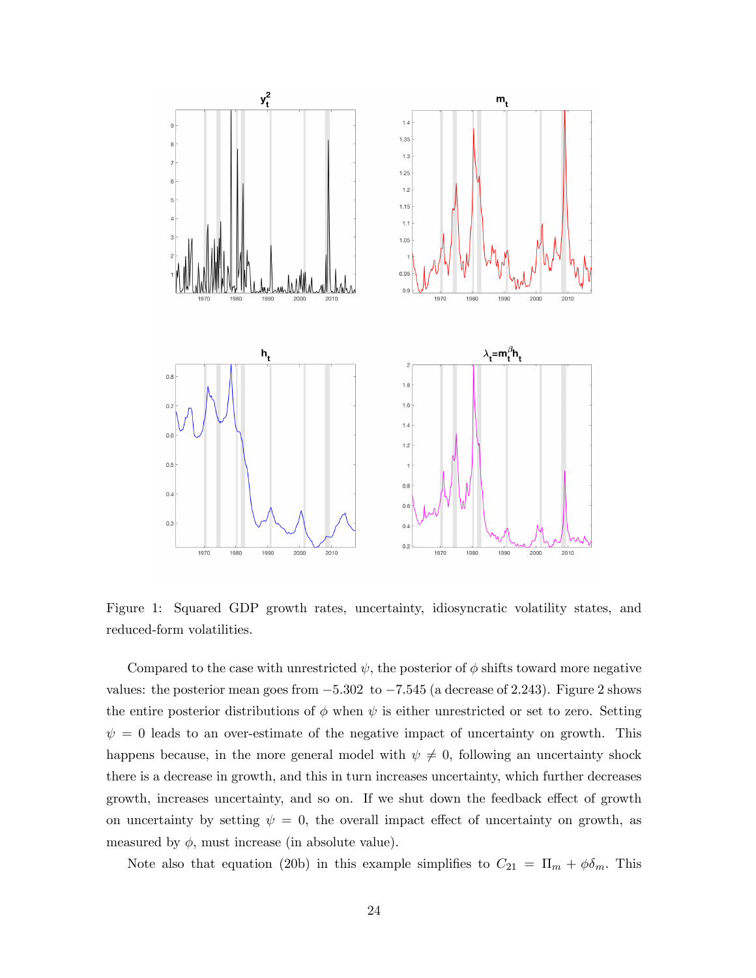

Figure 1: Squared GDP growth rates, uncertainty, idiosyncratic volatility states, and reduced-form volatilities.

Compared to the case with unrestricted  $\psi$ , the posterior of  $\phi$  shifts toward more negative values: the posterior mean goes from  $-5.302$  to  $-7.545$  (a decrease of 2.243). Figure 2 shows the entire posterior distributions of  $\phi$  when  $\psi$  is either unrestricted or set to zero. Setting  $\psi = 0$  leads to an over-estimate of the negative impact of uncertainty on growth. This happens because, in the more general model with  $\psi \neq 0$ , following an uncertainty shock there is a decrease in growth, and this in turn increases uncertainty, which further decreases growth, increases uncertainty, and so on. If we shut down the feedback effect of growth on uncertainty by setting  $\psi = 0$ , the overall impact effect of uncertainty on growth, as measured by  $\phi$ , must increase (in absolute value).

Note also that equation (20b) in this example simplifies to  $C_{21} = \Pi_m + \phi \delta_m$ . This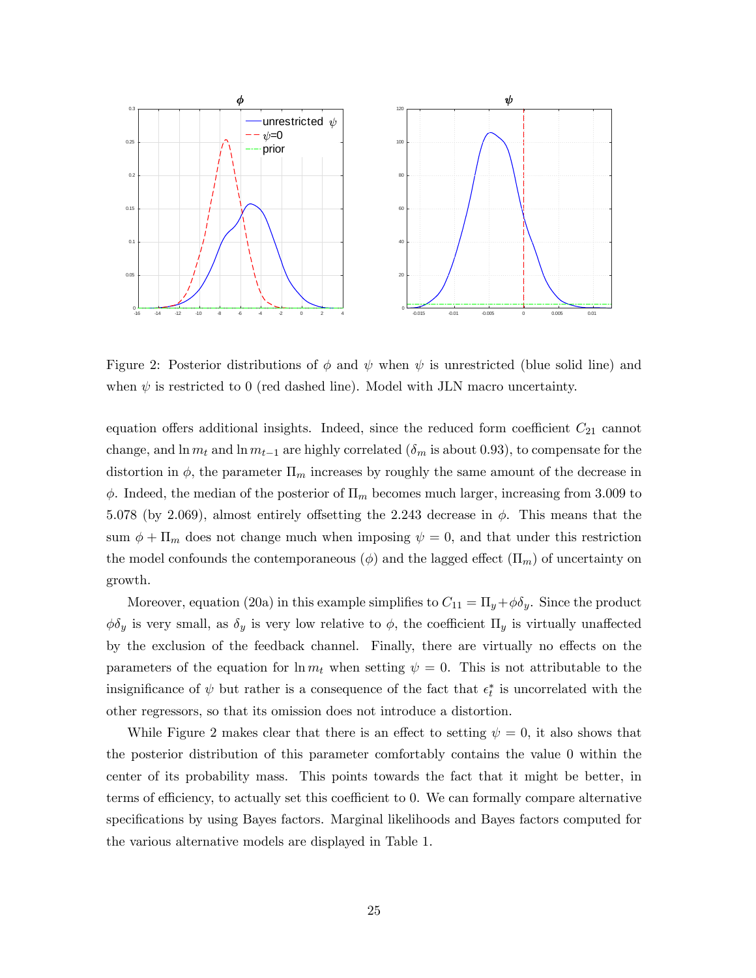

Figure 2: Posterior distributions of  $\phi$  and  $\psi$  when  $\psi$  is unrestricted (blue solid line) and when  $\psi$  is restricted to 0 (red dashed line). Model with JLN macro uncertainty.

equation offers additional insights. Indeed, since the reduced form coefficient  $C_{21}$  cannot change, and  $\ln m_t$  and  $\ln m_{t-1}$  are highly correlated ( $\delta_m$  is about 0.93), to compensate for the distortion in  $\phi$ , the parameter  $\Pi_m$  increases by roughly the same amount of the decrease in  $\phi$ . Indeed, the median of the posterior of  $\Pi_m$  becomes much larger, increasing from 3.009 to 5.078 (by 2.069), almost entirely offsetting the 2.243 decrease in  $\phi$ . This means that the sum  $\phi + \Pi_m$  does not change much when imposing  $\psi = 0$ , and that under this restriction the model confounds the contemporaneous ( $\phi$ ) and the lagged effect ( $\Pi_m$ ) of uncertainty on growth.

Moreover, equation (20a) in this example simplifies to  $C_{11} = \Pi_y + \phi \delta_y$ . Since the product  $\phi \delta_y$  is very small, as  $\delta_y$  is very low relative to  $\phi$ , the coefficient  $\Pi_y$  is virtually unaffected by the exclusion of the feedback channel. Finally, there are virtually no effects on the parameters of the equation for  $\ln m_t$  when setting  $\psi = 0$ . This is not attributable to the insignificance of  $\psi$  but rather is a consequence of the fact that  $\epsilon_t^*$  is uncorrelated with the other regressors, so that its omission does not introduce a distortion.

While Figure 2 makes clear that there is an effect to setting  $\psi = 0$ , it also shows that the posterior distribution of this parameter comfortably contains the value 0 within the center of its probability mass. This points towards the fact that it might be better, in terms of efficiency, to actually set this coefficient to 0. We can formally compare alternative specifications by using Bayes factors. Marginal likelihoods and Bayes factors computed for the various alternative models are displayed in Table 1.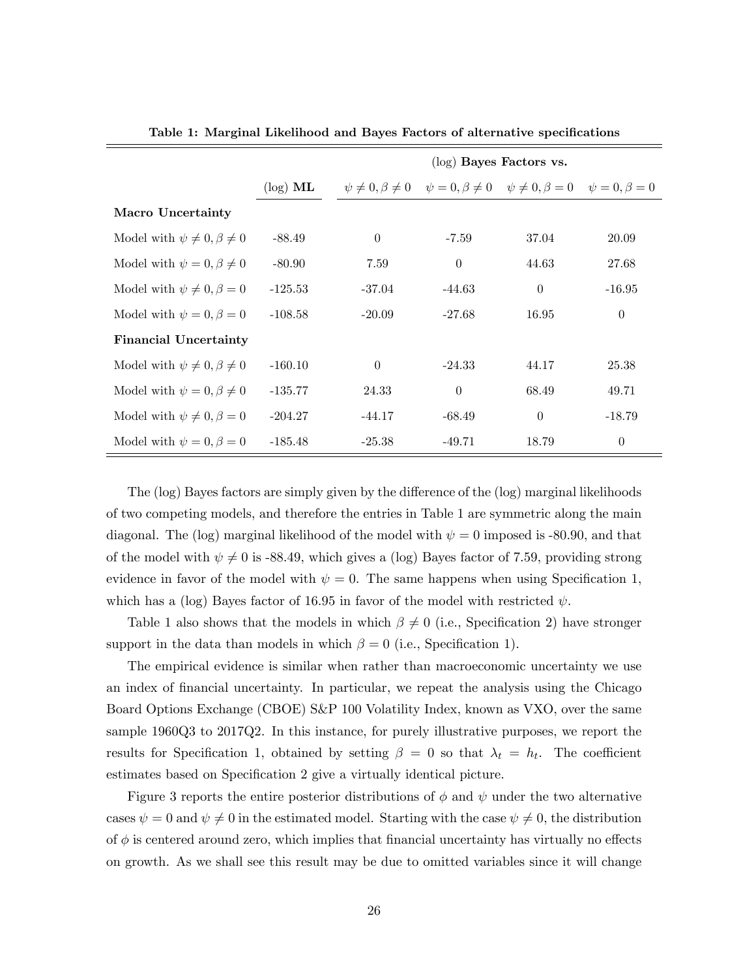|                                        |             | $(\log)$ Bayes Factors vs.                                                                          |                |          |          |
|----------------------------------------|-------------|-----------------------------------------------------------------------------------------------------|----------------|----------|----------|
|                                        | $(\log)$ ML | $\psi \neq 0, \beta \neq 0$ $\psi = 0, \beta \neq 0$ $\psi \neq 0, \beta = 0$ $\psi = 0, \beta = 0$ |                |          |          |
| <b>Macro Uncertainty</b>               |             |                                                                                                     |                |          |          |
| Model with $\psi \neq 0, \beta \neq 0$ | $-88.49$    | $\theta$                                                                                            | -7.59          | 37.04    | 20.09    |
| Model with $\psi = 0, \beta \neq 0$    | $-80.90$    | 7.59                                                                                                | $\overline{0}$ | 44.63    | 27.68    |
| Model with $\psi \neq 0, \beta = 0$    | $-125.53$   | $-37.04$                                                                                            | $-44.63$       | $\theta$ | $-16.95$ |
| Model with $\psi = 0, \beta = 0$       | $-108.58$   | $-20.09$                                                                                            | -27.68         | 16.95    | $\theta$ |
| <b>Financial Uncertainty</b>           |             |                                                                                                     |                |          |          |
| Model with $\psi \neq 0, \beta \neq 0$ | $-160.10$   | $\theta$                                                                                            | $-24.33$       | 44.17    | 25.38    |
| Model with $\psi = 0, \beta \neq 0$    | $-135.77$   | 24.33                                                                                               | $\overline{0}$ | 68.49    | 49.71    |
| Model with $\psi \neq 0, \beta = 0$    | $-204.27$   | $-44.17$                                                                                            | $-68.49$       | $\theta$ | $-18.79$ |
| Model with $\psi = 0, \beta = 0$       | $-185.48$   | $-25.38$                                                                                            | $-49.71$       | 18.79    | $\theta$ |

Table 1: Marginal Likelihood and Bayes Factors of alternative specifications

The (log) Bayes factors are simply given by the difference of the (log) marginal likelihoods of two competing models, and therefore the entries in Table 1 are symmetric along the main diagonal. The (log) marginal likelihood of the model with  $\psi = 0$  imposed is -80.90, and that of the model with  $\psi \neq 0$  is -88.49, which gives a (log) Bayes factor of 7.59, providing strong evidence in favor of the model with  $\psi = 0$ . The same happens when using Specification 1, which has a (log) Bayes factor of 16.95 in favor of the model with restricted  $\psi$ .

Table 1 also shows that the models in which  $\beta \neq 0$  (i.e., Specification 2) have stronger support in the data than models in which  $\beta = 0$  (i.e., Specification 1).

The empirical evidence is similar when rather than macroeconomic uncertainty we use an index of financial uncertainty. In particular, we repeat the analysis using the Chicago Board Options Exchange (CBOE) S&P 100 Volatility Index, known as VXO, over the same sample 1960Q3 to 2017Q2. In this instance, for purely illustrative purposes, we report the results for Specification 1, obtained by setting  $\beta = 0$  so that  $\lambda_t = h_t$ . The coefficient estimates based on Specification 2 give a virtually identical picture.

Figure 3 reports the entire posterior distributions of  $\phi$  and  $\psi$  under the two alternative cases  $\psi = 0$  and  $\psi \neq 0$  in the estimated model. Starting with the case  $\psi \neq 0$ , the distribution of  $\phi$  is centered around zero, which implies that financial uncertainty has virtually no effects on growth. As we shall see this result may be due to omitted variables since it will change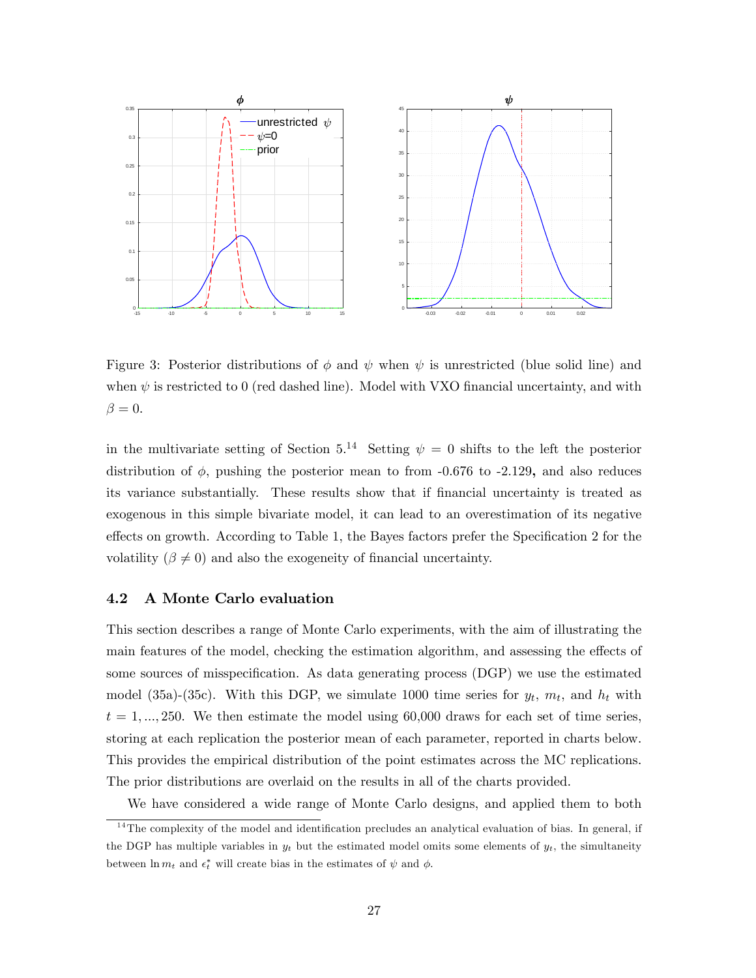

Figure 3: Posterior distributions of  $\phi$  and  $\psi$  when  $\psi$  is unrestricted (blue solid line) and when  $\psi$  is restricted to 0 (red dashed line). Model with VXO financial uncertainty, and with  $\beta = 0.$ 

in the multivariate setting of Section 5.<sup>14</sup> Setting  $\psi = 0$  shifts to the left the posterior distribution of  $\phi$ , pushing the posterior mean to from -0.676 to -2.129, and also reduces its variance substantially. These results show that if Önancial uncertainty is treated as exogenous in this simple bivariate model, it can lead to an overestimation of its negative effects on growth. According to Table 1, the Bayes factors prefer the Specification 2 for the volatility ( $\beta \neq 0$ ) and also the exogeneity of financial uncertainty.

#### 4.2 A Monte Carlo evaluation

This section describes a range of Monte Carlo experiments, with the aim of illustrating the main features of the model, checking the estimation algorithm, and assessing the effects of some sources of misspecification. As data generating process (DGP) we use the estimated model (35a)-(35c). With this DGP, we simulate 1000 time series for  $y_t$ ,  $m_t$ , and  $h_t$  with  $t = 1, \ldots, 250$ . We then estimate the model using 60,000 draws for each set of time series, storing at each replication the posterior mean of each parameter, reported in charts below. This provides the empirical distribution of the point estimates across the MC replications. The prior distributions are overlaid on the results in all of the charts provided.

We have considered a wide range of Monte Carlo designs, and applied them to both

 $14$ The complexity of the model and identification precludes an analytical evaluation of bias. In general, if the DGP has multiple variables in  $y_t$  but the estimated model omits some elements of  $y_t$ , the simultaneity between  $\ln m_t$  and  $\epsilon_t^*$  will create bias in the estimates of  $\psi$  and  $\phi$ .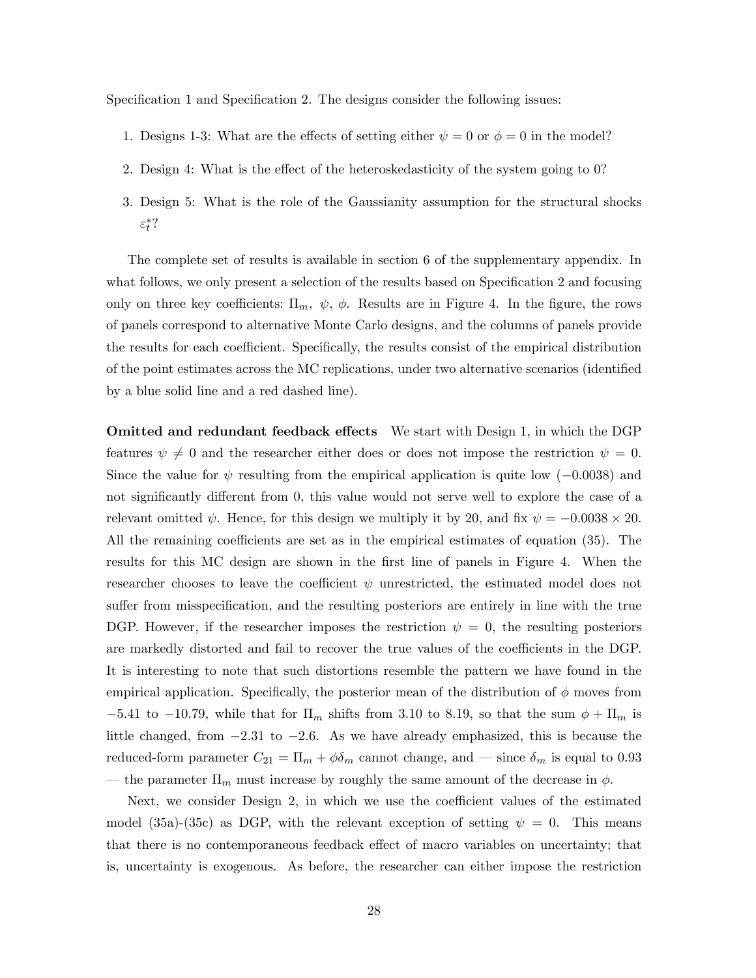Specification 1 and Specification 2. The designs consider the following issues:

- 1. Designs 1-3: What are the effects of setting either  $\psi = 0$  or  $\phi = 0$  in the model?
- 2. Design 4: What is the effect of the heteroskedasticity of the system going to 0?
- 3. Design 5: What is the role of the Gaussianity assumption for the structural shocks  $\varepsilon_t^{*}$ ?

The complete set of results is available in section 6 of the supplementary appendix. In what follows, we only present a selection of the results based on Specification 2 and focusing only on three key coefficients:  $\Pi_m$ ,  $\psi$ ,  $\phi$ . Results are in Figure 4. In the figure, the rows of panels correspond to alternative Monte Carlo designs, and the columns of panels provide the results for each coefficient. Specifically, the results consist of the empirical distribution of the point estimates across the MC replications, under two alternative scenarios (identified by a blue solid line and a red dashed line).

Omitted and redundant feedback effects We start with Design 1, in which the DGP features  $\psi \neq 0$  and the researcher either does or does not impose the restriction  $\psi = 0$ . Since the value for  $\psi$  resulting from the empirical application is quite low (-0.0038) and not significantly different from 0, this value would not serve well to explore the case of a relevant omitted  $\psi$ . Hence, for this design we multiply it by 20, and fix  $\psi = -0.0038 \times 20$ . All the remaining coefficients are set as in the empirical estimates of equation (35). The results for this MC design are shown in the first line of panels in Figure 4. When the researcher chooses to leave the coefficient  $\psi$  unrestricted, the estimated model does not suffer from misspecification, and the resulting posteriors are entirely in line with the true DGP. However, if the researcher imposes the restriction  $\psi = 0$ , the resulting posteriors are markedly distorted and fail to recover the true values of the coefficients in the DGP. It is interesting to note that such distortions resemble the pattern we have found in the empirical application. Specifically, the posterior mean of the distribution of  $\phi$  moves from  $-5.41$  to  $-10.79$ , while that for  $\Pi_m$  shifts from 3.10 to 8.19, so that the sum  $\phi + \Pi_m$  is little changed, from  $-2.31$  to  $-2.6$ . As we have already emphasized, this is because the reduced-form parameter  $C_{21} = \Pi_m + \phi \delta_m$  cannot change, and  $\sim$  since  $\delta_m$  is equal to 0.93 the parameter  $\Pi_m$  must increase by roughly the same amount of the decrease in  $\phi$ .

Next, we consider Design 2, in which we use the coefficient values of the estimated model (35a)-(35c) as DGP, with the relevant exception of setting  $\psi = 0$ . This means that there is no contemporaneous feedback effect of macro variables on uncertainty; that is, uncertainty is exogenous. As before, the researcher can either impose the restriction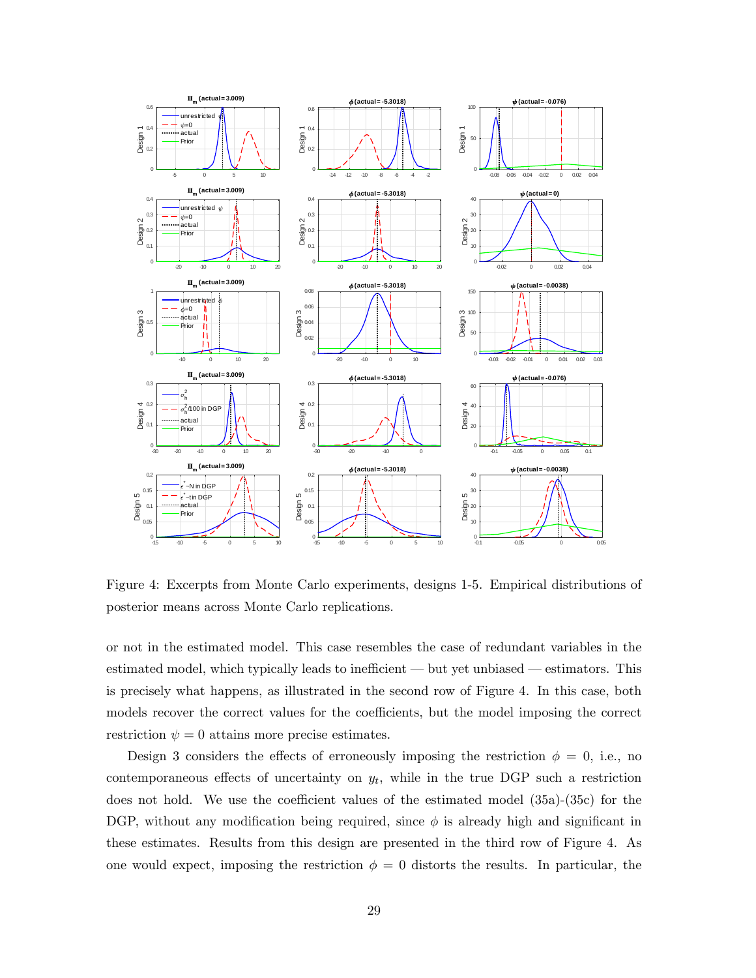

Figure 4: Excerpts from Monte Carlo experiments, designs 1-5. Empirical distributions of posterior means across Monte Carlo replications.

or not in the estimated model. This case resembles the case of redundant variables in the estimated model, which typically leads to inefficient  $-$  but yet unbiased  $-$  estimators. This is precisely what happens, as illustrated in the second row of Figure 4. In this case, both models recover the correct values for the coefficients, but the model imposing the correct restriction  $\psi = 0$  attains more precise estimates.

Design 3 considers the effects of erroneously imposing the restriction  $\phi = 0$ , i.e., no contemporaneous effects of uncertainty on  $y_t$ , while in the true DGP such a restriction does not hold. We use the coefficient values of the estimated model  $(35a)-(35c)$  for the DGP, without any modification being required, since  $\phi$  is already high and significant in these estimates. Results from this design are presented in the third row of Figure 4. As one would expect, imposing the restriction  $\phi = 0$  distorts the results. In particular, the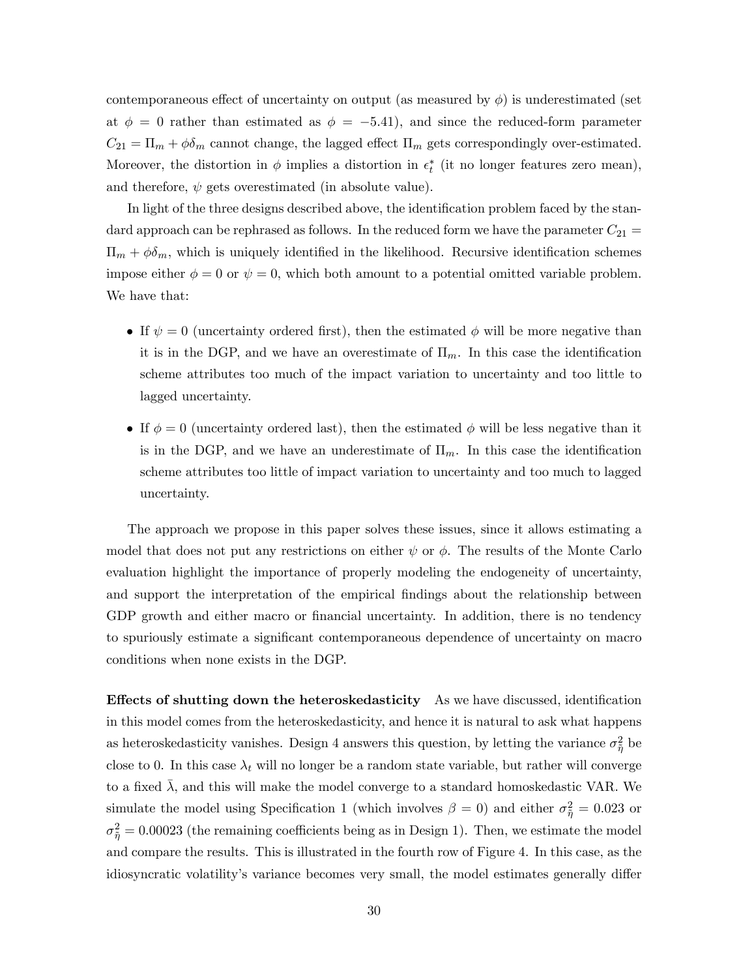contemporaneous effect of uncertainty on output (as measured by  $\phi$ ) is underestimated (set at  $\phi = 0$  rather than estimated as  $\phi = -5.41$ , and since the reduced-form parameter  $C_{21} = \Pi_m + \phi \delta_m$  cannot change, the lagged effect  $\Pi_m$  gets correspondingly over-estimated. Moreover, the distortion in  $\phi$  implies a distortion in  $\epsilon_t^*$  (it no longer features zero mean), and therefore,  $\psi$  gets overestimated (in absolute value).

In light of the three designs described above, the identification problem faced by the standard approach can be rephrased as follows. In the reduced form we have the parameter  $C_{21}$  $\Pi_m + \phi \delta_m$ , which is uniquely identified in the likelihood. Recursive identification schemes impose either  $\phi = 0$  or  $\psi = 0$ , which both amount to a potential omitted variable problem. We have that:

- If  $\psi = 0$  (uncertainty ordered first), then the estimated  $\phi$  will be more negative than it is in the DGP, and we have an overestimate of  $\Pi_m$ . In this case the identification scheme attributes too much of the impact variation to uncertainty and too little to lagged uncertainty.
- If  $\phi = 0$  (uncertainty ordered last), then the estimated  $\phi$  will be less negative than it is in the DGP, and we have an underestimate of  $\Pi_m$ . In this case the identification scheme attributes too little of impact variation to uncertainty and too much to lagged uncertainty.

The approach we propose in this paper solves these issues, since it allows estimating a model that does not put any restrictions on either  $\psi$  or  $\phi$ . The results of the Monte Carlo evaluation highlight the importance of properly modeling the endogeneity of uncertainty, and support the interpretation of the empirical findings about the relationship between GDP growth and either macro or financial uncertainty. In addition, there is no tendency to spuriously estimate a significant contemporaneous dependence of uncertainty on macro conditions when none exists in the DGP.

**Effects of shutting down the heteroskedasticity** As we have discussed, identification in this model comes from the heteroskedasticity, and hence it is natural to ask what happens as heteroskedasticity vanishes. Design 4 answers this question, by letting the variance  $\sigma_{\tilde{\eta}}^2$  be close to 0. In this case  $\lambda_t$  will no longer be a random state variable, but rather will converge to a fixed  $\overline{\lambda}$ , and this will make the model converge to a standard homoskedastic VAR. We simulate the model using Specification 1 (which involves  $\beta = 0$ ) and either  $\sigma_{\tilde{\eta}}^2 = 0.023$  or  $\sigma_{\tilde{\eta}}^2 = 0.00023$  (the remaining coefficients being as in Design 1). Then, we estimate the model and compare the results. This is illustrated in the fourth row of Figure 4. In this case, as the idiosyncratic volatility's variance becomes very small, the model estimates generally differ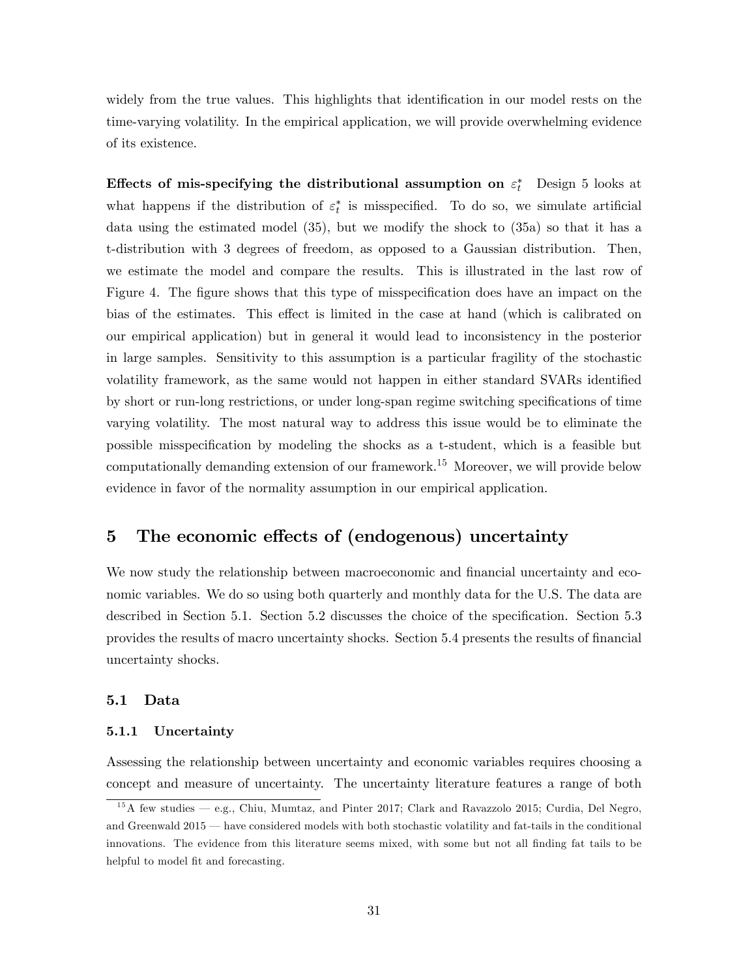widely from the true values. This highlights that identification in our model rests on the time-varying volatility. In the empirical application, we will provide overwhelming evidence of its existence.

Effects of mis-specifying the distributional assumption on  $\varepsilon_t^*$  Design 5 looks at what happens if the distribution of  $\varepsilon_t^*$  is misspecified. To do so, we simulate artificial data using the estimated model (35), but we modify the shock to (35a) so that it has a t-distribution with 3 degrees of freedom, as opposed to a Gaussian distribution. Then, we estimate the model and compare the results. This is illustrated in the last row of Figure 4. The figure shows that this type of misspecification does have an impact on the bias of the estimates. This effect is limited in the case at hand (which is calibrated on our empirical application) but in general it would lead to inconsistency in the posterior in large samples. Sensitivity to this assumption is a particular fragility of the stochastic volatility framework, as the same would not happen in either standard SVARs identified by short or run-long restrictions, or under long-span regime switching specifications of time varying volatility. The most natural way to address this issue would be to eliminate the possible misspecification by modeling the shocks as a t-student, which is a feasible but computationally demanding extension of our framework.<sup>15</sup> Moreover, we will provide below evidence in favor of the normality assumption in our empirical application.

## 5 The economic effects of (endogenous) uncertainty

We now study the relationship between macroeconomic and financial uncertainty and economic variables. We do so using both quarterly and monthly data for the U.S. The data are described in Section 5.1. Section 5.2 discusses the choice of the specification. Section 5.3 provides the results of macro uncertainty shocks. Section 5.4 presents the results of financial uncertainty shocks.

#### 5.1 Data

#### 5.1.1 Uncertainty

Assessing the relationship between uncertainty and economic variables requires choosing a concept and measure of uncertainty. The uncertainty literature features a range of both

 $15A$  few studies  $-$  e.g., Chiu, Mumtaz, and Pinter 2017; Clark and Ravazzolo 2015; Curdia, Del Negro, and Greenwald  $2015$   $-$  have considered models with both stochastic volatility and fat-tails in the conditional innovations. The evidence from this literature seems mixed, with some but not all finding fat tails to be helpful to model fit and forecasting.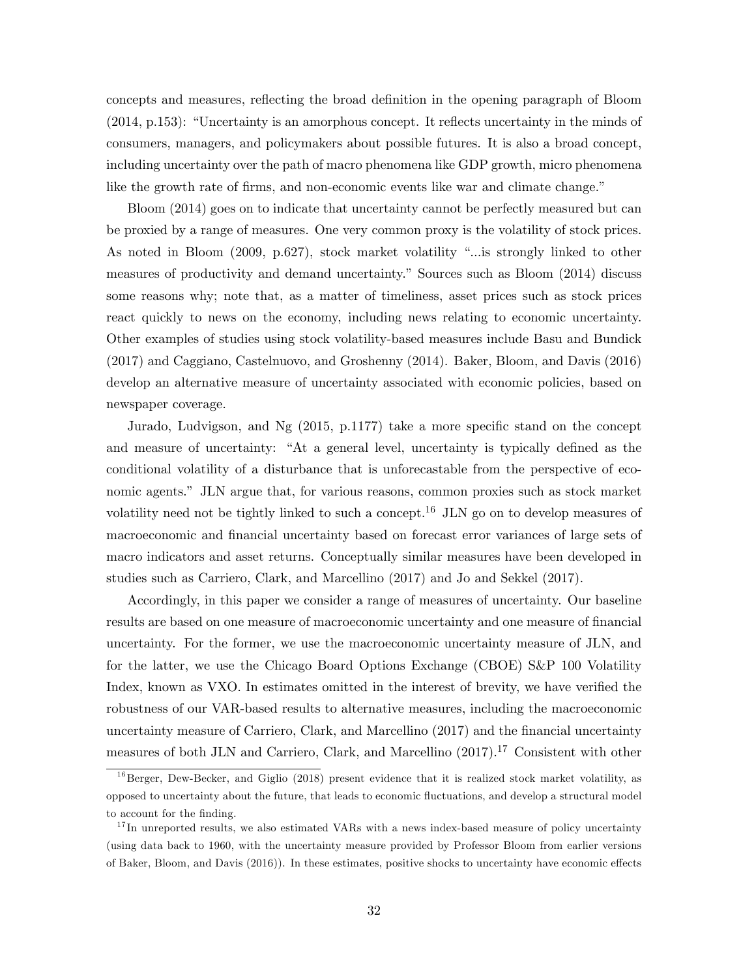concepts and measures, reflecting the broad definition in the opening paragraph of Bloom  $(2014, p.153)$ : "Uncertainty is an amorphous concept. It reflects uncertainty in the minds of consumers, managers, and policymakers about possible futures. It is also a broad concept, including uncertainty over the path of macro phenomena like GDP growth, micro phenomena like the growth rate of firms, and non-economic events like war and climate change."

Bloom (2014) goes on to indicate that uncertainty cannot be perfectly measured but can be proxied by a range of measures. One very common proxy is the volatility of stock prices. As noted in Bloom  $(2009, p.627)$ , stock market volatility "... is strongly linked to other measures of productivity and demand uncertainty.î Sources such as Bloom (2014) discuss some reasons why; note that, as a matter of timeliness, asset prices such as stock prices react quickly to news on the economy, including news relating to economic uncertainty. Other examples of studies using stock volatility-based measures include Basu and Bundick (2017) and Caggiano, Castelnuovo, and Groshenny (2014). Baker, Bloom, and Davis (2016) develop an alternative measure of uncertainty associated with economic policies, based on newspaper coverage.

Jurado, Ludvigson, and Ng  $(2015, p.1177)$  take a more specific stand on the concept and measure of uncertainty: "At a general level, uncertainty is typically defined as the conditional volatility of a disturbance that is unforecastable from the perspective of economic agents." JLN argue that, for various reasons, common proxies such as stock market volatility need not be tightly linked to such a concept.<sup>16</sup> JLN go on to develop measures of macroeconomic and financial uncertainty based on forecast error variances of large sets of macro indicators and asset returns. Conceptually similar measures have been developed in studies such as Carriero, Clark, and Marcellino (2017) and Jo and Sekkel (2017).

Accordingly, in this paper we consider a range of measures of uncertainty. Our baseline results are based on one measure of macroeconomic uncertainty and one measure of financial uncertainty. For the former, we use the macroeconomic uncertainty measure of JLN, and for the latter, we use the Chicago Board Options Exchange (CBOE) S&P 100 Volatility Index, known as VXO. In estimates omitted in the interest of brevity, we have verified the robustness of our VAR-based results to alternative measures, including the macroeconomic uncertainty measure of Carriero, Clark, and Marcellino (2017) and the Önancial uncertainty measures of both JLN and Carriero, Clark, and Marcellino (2017).<sup>17</sup> Consistent with other

 $16$ Berger, Dew-Becker, and Giglio (2018) present evidence that it is realized stock market volatility, as opposed to uncertainty about the future, that leads to economic áuctuations, and develop a structural model to account for the finding.

 $17$  In unreported results, we also estimated VARs with a news index-based measure of policy uncertainty (using data back to 1960, with the uncertainty measure provided by Professor Bloom from earlier versions of Baker, Bloom, and Davis (2016)). In these estimates, positive shocks to uncertainty have economic effects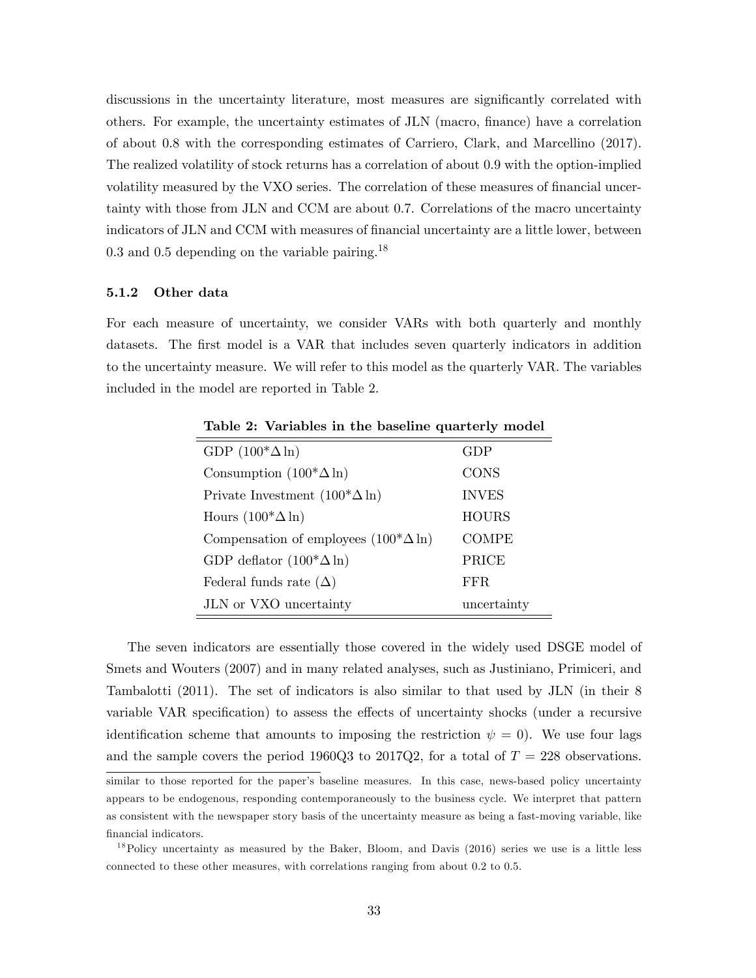discussions in the uncertainty literature, most measures are significantly correlated with others. For example, the uncertainty estimates of JLN (macro, finance) have a correlation of about 0.8 with the corresponding estimates of Carriero, Clark, and Marcellino (2017). The realized volatility of stock returns has a correlation of about 0.9 with the option-implied volatility measured by the VXO series. The correlation of these measures of financial uncertainty with those from JLN and CCM are about 0.7. Correlations of the macro uncertainty indicators of JLN and CCM with measures of financial uncertainty are a little lower, between  $0.3$  and  $0.5$  depending on the variable pairing.<sup>18</sup>

#### 5.1.2 Other data

For each measure of uncertainty, we consider VARs with both quarterly and monthly datasets. The first model is a VAR that includes seven quarterly indicators in addition to the uncertainty measure. We will refer to this model as the quarterly VAR. The variables included in the model are reported in Table 2.

| rable 2. Variables in the basefulle quarterly inouch |              |  |  |  |
|------------------------------------------------------|--------------|--|--|--|
| GDP $(100^* \Delta \ln)$                             | GDP          |  |  |  |
| Consumption $(100^* \Delta \ln)$                     | <b>CONS</b>  |  |  |  |
| Private Investment $(100^* \Delta \ln)$              | <b>INVES</b> |  |  |  |
| Hours $(100^* \Delta \ln)$                           | <b>HOURS</b> |  |  |  |
| Compensation of employees $(100^* \Delta \ln)$       | <b>COMPE</b> |  |  |  |
| GDP deflator $(100^* \Delta \ln)$                    | PRICE        |  |  |  |
| Federal funds rate $(\Delta)$                        | FFR.         |  |  |  |
| JLN or VXO uncertainty                               | uncertainty  |  |  |  |

Table 2: Variables in the baseline quarterly model

The seven indicators are essentially those covered in the widely used DSGE model of Smets and Wouters (2007) and in many related analyses, such as Justiniano, Primiceri, and Tambalotti (2011). The set of indicators is also similar to that used by JLN (in their 8 variable VAR specification) to assess the effects of uncertainty shocks (under a recursive identification scheme that amounts to imposing the restriction  $\psi = 0$ ). We use four lags and the sample covers the period 1960Q3 to 2017Q2, for a total of  $T = 228$  observations.

similar to those reported for the paper's baseline measures. In this case, news-based policy uncertainty appears to be endogenous, responding contemporaneously to the business cycle. We interpret that pattern as consistent with the newspaper story basis of the uncertainty measure as being a fast-moving variable, like financial indicators.

<sup>&</sup>lt;sup>18</sup>Policy uncertainty as measured by the Baker, Bloom, and Davis (2016) series we use is a little less connected to these other measures, with correlations ranging from about 0.2 to 0.5.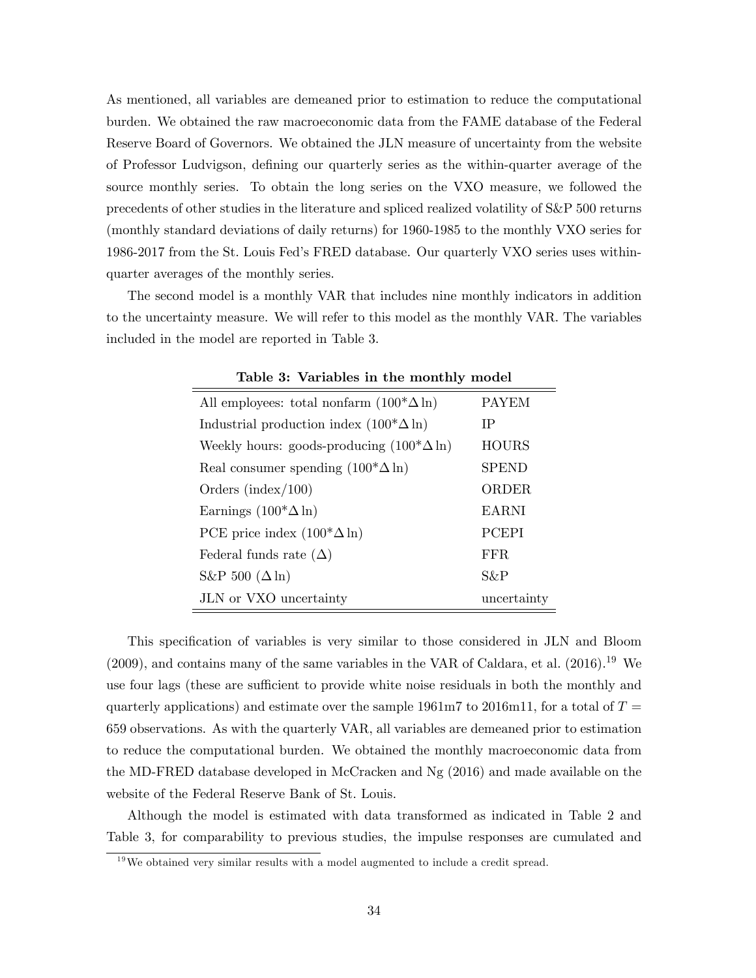As mentioned, all variables are demeaned prior to estimation to reduce the computational burden. We obtained the raw macroeconomic data from the FAME database of the Federal Reserve Board of Governors. We obtained the JLN measure of uncertainty from the website of Professor Ludvigson, defining our quarterly series as the within-quarter average of the source monthly series. To obtain the long series on the VXO measure, we followed the precedents of other studies in the literature and spliced realized volatility of S&P 500 returns (monthly standard deviations of daily returns) for 1960-1985 to the monthly VXO series for 1986-2017 from the St. Louis Fedís FRED database. Our quarterly VXO series uses withinquarter averages of the monthly series.

The second model is a monthly VAR that includes nine monthly indicators in addition to the uncertainty measure. We will refer to this model as the monthly VAR. The variables included in the model are reported in Table 3.

| All employees: total nonfarm $(100^* \Delta \ln)$  | <b>PAYEM</b> |  |  |  |
|----------------------------------------------------|--------------|--|--|--|
| Industrial production index $(100^* \Delta \ln)$   | IΡ           |  |  |  |
| Weekly hours: goods-producing $(100^* \Delta \ln)$ | <b>HOURS</b> |  |  |  |
| Real consumer spending $(100^* \Delta \ln)$        | <b>SPEND</b> |  |  |  |
| Orders (index/ $100$ )                             | ORDER        |  |  |  |
| Earnings $(100^* \Delta \ln)$                      | <b>EARNI</b> |  |  |  |
| PCE price index $(100^* \Delta \ln)$               | <b>PCEPI</b> |  |  |  |
| Federal funds rate $(\Delta)$                      | FFR.         |  |  |  |
| S&P 500 $(\Delta \ln)$                             | S&P          |  |  |  |
| JLN or VXO uncertainty                             | uncertainty  |  |  |  |

Table 3: Variables in the monthly model

This specification of variables is very similar to those considered in JLN and Bloom  $(2009)$ , and contains many of the same variables in the VAR of Caldara, et al.  $(2016).<sup>19</sup>$  We use four lags (these are sufficient to provide white noise residuals in both the monthly and quarterly applications) and estimate over the sample 1961m7 to 2016m11, for a total of  $T =$ 659 observations. As with the quarterly VAR, all variables are demeaned prior to estimation to reduce the computational burden. We obtained the monthly macroeconomic data from the MD-FRED database developed in McCracken and Ng (2016) and made available on the website of the Federal Reserve Bank of St. Louis.

Although the model is estimated with data transformed as indicated in Table 2 and Table 3, for comparability to previous studies, the impulse responses are cumulated and

<sup>&</sup>lt;sup>19</sup>We obtained very similar results with a model augmented to include a credit spread.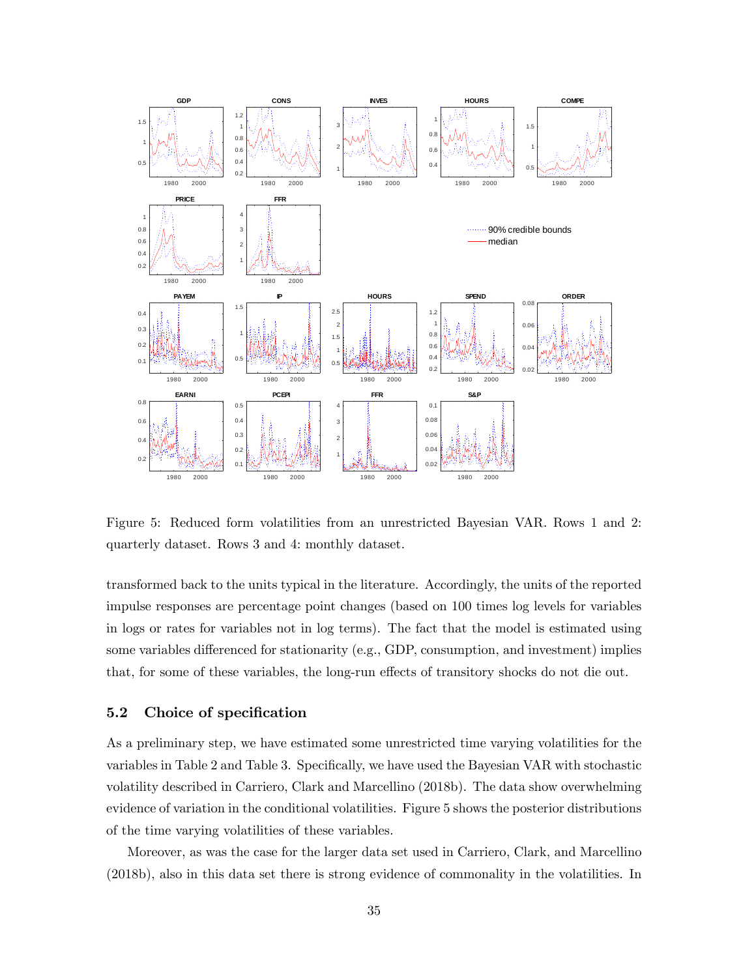

Figure 5: Reduced form volatilities from an unrestricted Bayesian VAR. Rows 1 and 2: quarterly dataset. Rows 3 and 4: monthly dataset.

transformed back to the units typical in the literature. Accordingly, the units of the reported impulse responses are percentage point changes (based on 100 times log levels for variables in logs or rates for variables not in log terms). The fact that the model is estimated using some variables differenced for stationarity (e.g., GDP, consumption, and investment) implies that, for some of these variables, the long-run effects of transitory shocks do not die out.

#### 5.2 Choice of specification

As a preliminary step, we have estimated some unrestricted time varying volatilities for the variables in Table 2 and Table 3. Specifically, we have used the Bayesian VAR with stochastic volatility described in Carriero, Clark and Marcellino (2018b). The data show overwhelming evidence of variation in the conditional volatilities. Figure 5 shows the posterior distributions of the time varying volatilities of these variables.

Moreover, as was the case for the larger data set used in Carriero, Clark, and Marcellino (2018b), also in this data set there is strong evidence of commonality in the volatilities. In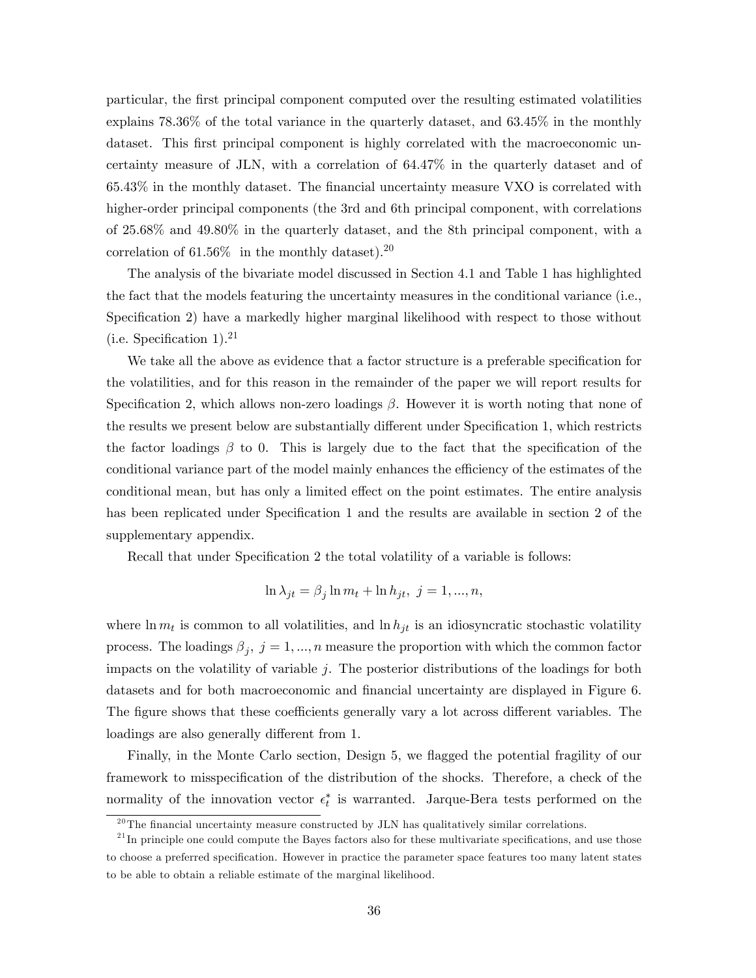particular, the Örst principal component computed over the resulting estimated volatilities explains 78.36% of the total variance in the quarterly dataset, and 63.45% in the monthly dataset. This first principal component is highly correlated with the macroeconomic uncertainty measure of JLN, with a correlation of 64.47% in the quarterly dataset and of  $65.43\%$  in the monthly dataset. The financial uncertainty measure VXO is correlated with higher-order principal components (the 3rd and 6th principal component, with correlations of 25.68% and 49.80% in the quarterly dataset, and the 8th principal component, with a correlation of  $61.56\%$  in the monthly dataset).<sup>20</sup>

The analysis of the bivariate model discussed in Section 4.1 and Table 1 has highlighted the fact that the models featuring the uncertainty measures in the conditional variance (i.e., Specification 2) have a markedly higher marginal likelihood with respect to those without  $(i.e.$  Specification 1).<sup>21</sup>

We take all the above as evidence that a factor structure is a preferable specification for the volatilities, and for this reason in the remainder of the paper we will report results for Specification 2, which allows non-zero loadings  $\beta$ . However it is worth noting that none of the results we present below are substantially different under Specification 1, which restricts the factor loadings  $\beta$  to 0. This is largely due to the fact that the specification of the conditional variance part of the model mainly enhances the efficiency of the estimates of the conditional mean, but has only a limited effect on the point estimates. The entire analysis has been replicated under Specification 1 and the results are available in section 2 of the supplementary appendix.

Recall that under Specification 2 the total volatility of a variable is follows:

$$
\ln \lambda_{jt} = \beta_j \ln m_t + \ln h_{jt}, \ j = 1, ..., n,
$$

where  $\ln m_t$  is common to all volatilities, and  $\ln h_{jt}$  is an idiosyncratic stochastic volatility process. The loadings  $\beta_j$ ,  $j = 1, ..., n$  measure the proportion with which the common factor impacts on the volatility of variable  $j$ . The posterior distributions of the loadings for both datasets and for both macroeconomic and financial uncertainty are displayed in Figure 6. The figure shows that these coefficients generally vary a lot across different variables. The loadings are also generally different from 1.

Finally, in the Monte Carlo section, Design 5, we flagged the potential fragility of our framework to misspecification of the distribution of the shocks. Therefore, a check of the normality of the innovation vector  $\epsilon_t^*$  is warranted. Jarque-Bera tests performed on the

 $^{20}$ The financial uncertainty measure constructed by JLN has qualitatively similar correlations.

 $^{21}$ In principle one could compute the Bayes factors also for these multivariate specifications, and use those to choose a preferred specification. However in practice the parameter space features too many latent states to be able to obtain a reliable estimate of the marginal likelihood.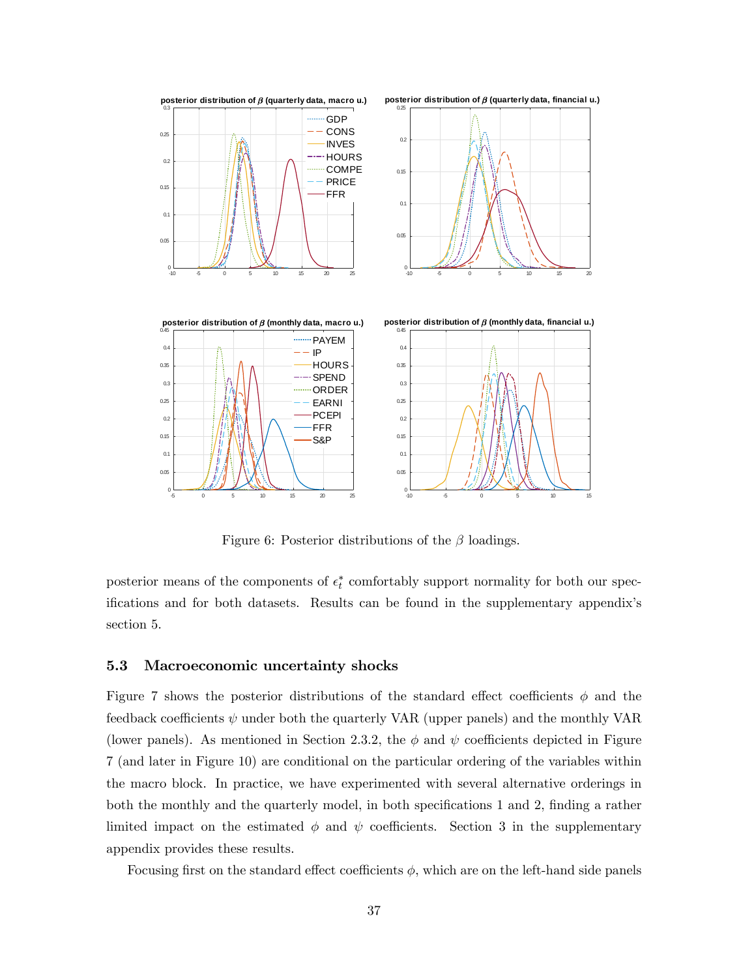

Figure 6: Posterior distributions of the  $\beta$  loadings.

posterior means of the components of  $\epsilon_t^*$  comfortably support normality for both our specifications and for both datasets. Results can be found in the supplementary appendix's section 5.

#### 5.3 Macroeconomic uncertainty shocks

Figure 7 shows the posterior distributions of the standard effect coefficients  $\phi$  and the feedback coefficients  $\psi$  under both the quarterly VAR (upper panels) and the monthly VAR (lower panels). As mentioned in Section 2.3.2, the  $\phi$  and  $\psi$  coefficients depicted in Figure 7 (and later in Figure 10) are conditional on the particular ordering of the variables within the macro block. In practice, we have experimented with several alternative orderings in both the monthly and the quarterly model, in both specifications 1 and 2, finding a rather limited impact on the estimated  $\phi$  and  $\psi$  coefficients. Section 3 in the supplementary appendix provides these results.

Focusing first on the standard effect coefficients  $\phi$ , which are on the left-hand side panels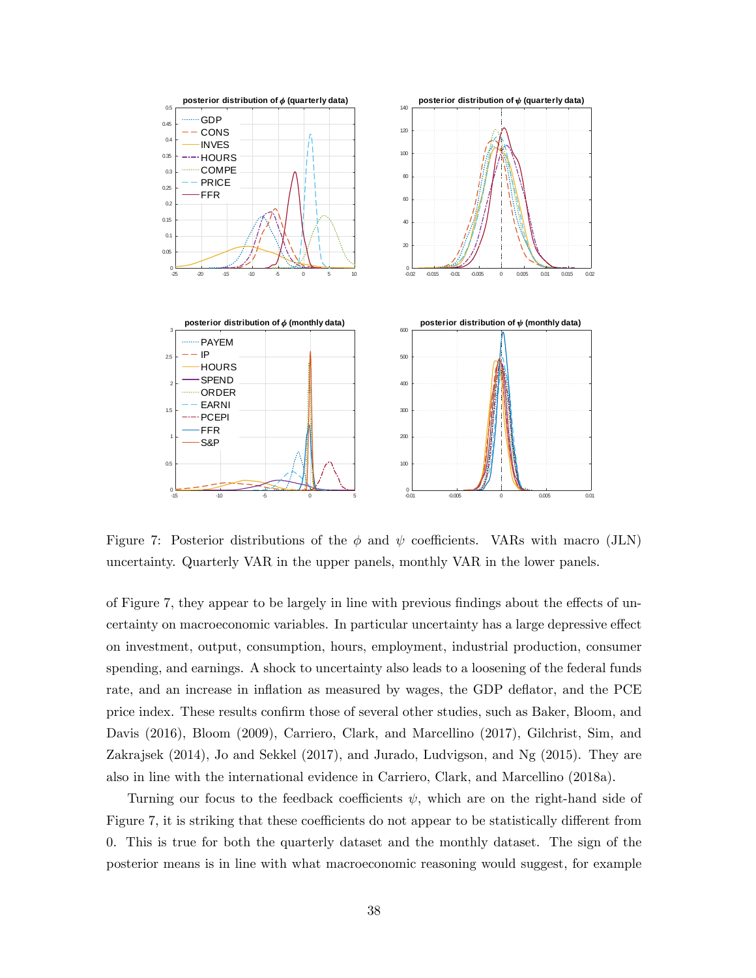

Figure 7: Posterior distributions of the  $\phi$  and  $\psi$  coefficients. VARs with macro (JLN) uncertainty. Quarterly VAR in the upper panels, monthly VAR in the lower panels.

of Figure 7, they appear to be largely in line with previous findings about the effects of uncertainty on macroeconomic variables. In particular uncertainty has a large depressive effect on investment, output, consumption, hours, employment, industrial production, consumer spending, and earnings. A shock to uncertainty also leads to a loosening of the federal funds rate, and an increase in inflation as measured by wages, the GDP deflator, and the PCE price index. These results confirm those of several other studies, such as Baker, Bloom, and Davis (2016), Bloom (2009), Carriero, Clark, and Marcellino (2017), Gilchrist, Sim, and Zakrajsek (2014), Jo and Sekkel (2017), and Jurado, Ludvigson, and Ng (2015). They are also in line with the international evidence in Carriero, Clark, and Marcellino (2018a).

Turning our focus to the feedback coefficients  $\psi$ , which are on the right-hand side of Figure 7, it is striking that these coefficients do not appear to be statistically different from 0. This is true for both the quarterly dataset and the monthly dataset. The sign of the posterior means is in line with what macroeconomic reasoning would suggest, for example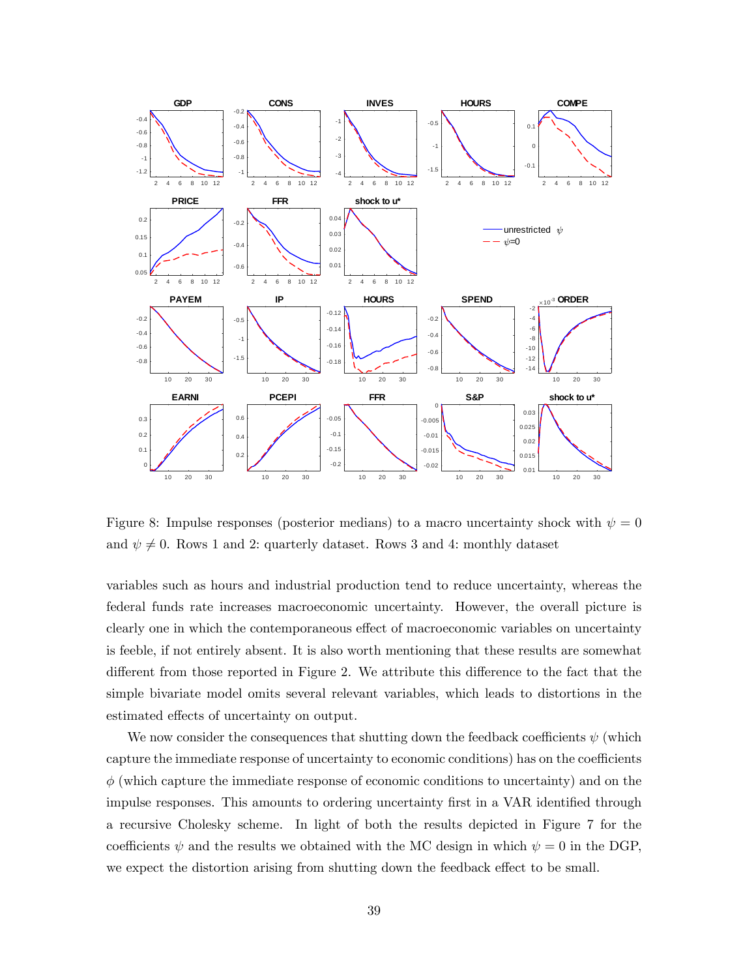

Figure 8: Impulse responses (posterior medians) to a macro uncertainty shock with  $\psi = 0$ and  $\psi \neq 0$ . Rows 1 and 2: quarterly dataset. Rows 3 and 4: monthly dataset

variables such as hours and industrial production tend to reduce uncertainty, whereas the federal funds rate increases macroeconomic uncertainty. However, the overall picture is clearly one in which the contemporaneous effect of macroeconomic variables on uncertainty is feeble, if not entirely absent. It is also worth mentioning that these results are somewhat different from those reported in Figure 2. We attribute this difference to the fact that the simple bivariate model omits several relevant variables, which leads to distortions in the estimated effects of uncertainty on output.

We now consider the consequences that shutting down the feedback coefficients  $\psi$  (which capture the immediate response of uncertainty to economic conditions) has on the coefficients  $\phi$  (which capture the immediate response of economic conditions to uncertainty) and on the impulse responses. This amounts to ordering uncertainty first in a VAR identified through a recursive Cholesky scheme. In light of both the results depicted in Figure 7 for the coefficients  $\psi$  and the results we obtained with the MC design in which  $\psi = 0$  in the DGP, we expect the distortion arising from shutting down the feedback effect to be small.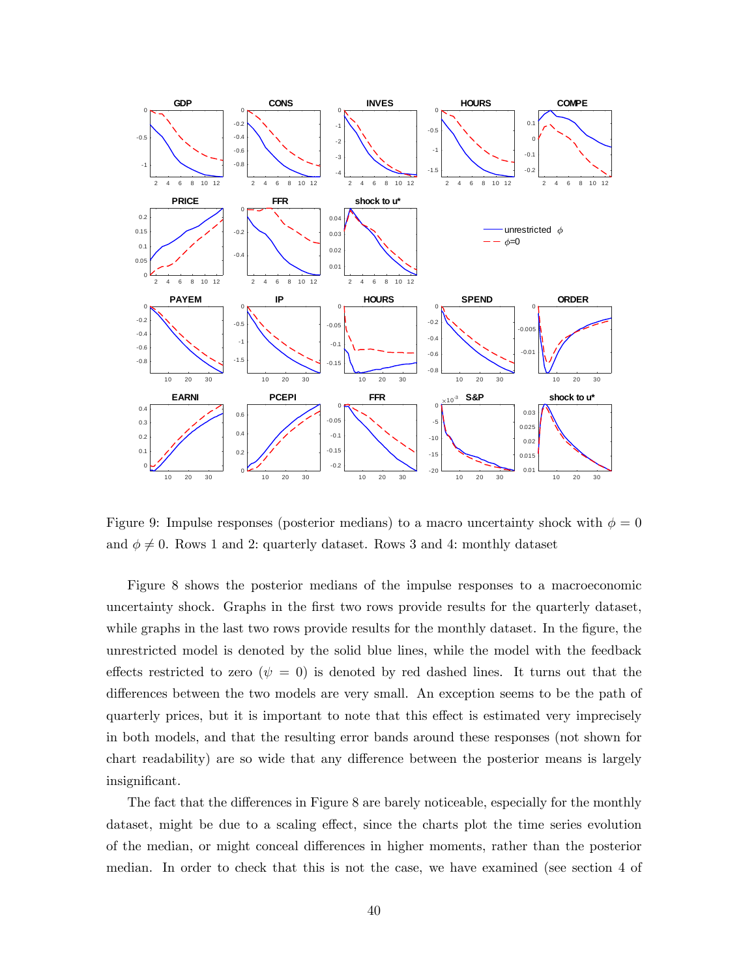

Figure 9: Impulse responses (posterior medians) to a macro uncertainty shock with  $\phi = 0$ and  $\phi \neq 0$ . Rows 1 and 2: quarterly dataset. Rows 3 and 4: monthly dataset

Figure 8 shows the posterior medians of the impulse responses to a macroeconomic uncertainty shock. Graphs in the first two rows provide results for the quarterly dataset, while graphs in the last two rows provide results for the monthly dataset. In the figure, the unrestricted model is denoted by the solid blue lines, while the model with the feedback effects restricted to zero ( $\psi = 0$ ) is denoted by red dashed lines. It turns out that the differences between the two models are very small. An exception seems to be the path of quarterly prices, but it is important to note that this effect is estimated very imprecisely in both models, and that the resulting error bands around these responses (not shown for chart readability) are so wide that any difference between the posterior means is largely insignificant.

The fact that the differences in Figure 8 are barely noticeable, especially for the monthly dataset, might be due to a scaling effect, since the charts plot the time series evolution of the median, or might conceal differences in higher moments, rather than the posterior median. In order to check that this is not the case, we have examined (see section 4 of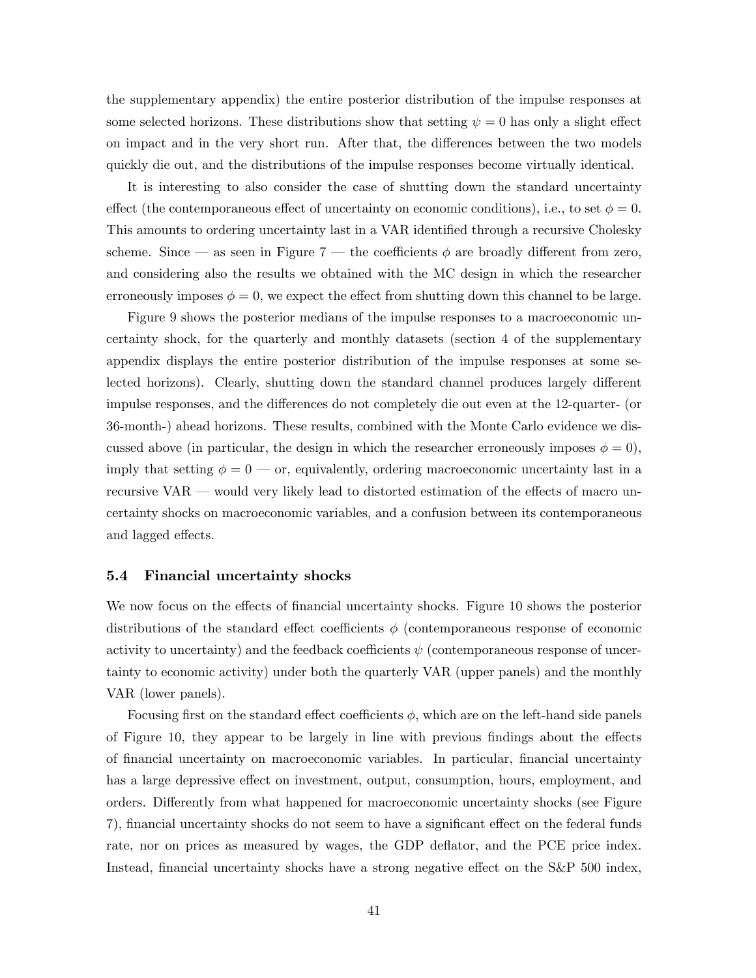the supplementary appendix) the entire posterior distribution of the impulse responses at some selected horizons. These distributions show that setting  $\psi = 0$  has only a slight effect on impact and in the very short run. After that, the differences between the two models quickly die out, and the distributions of the impulse responses become virtually identical.

It is interesting to also consider the case of shutting down the standard uncertainty effect (the contemporaneous effect of uncertainty on economic conditions), i.e., to set  $\phi = 0$ . This amounts to ordering uncertainty last in a VAR identified through a recursive Cholesky scheme. Since  $\sim$  as seen in Figure 7  $\sim$  the coefficients  $\phi$  are broadly different from zero, and considering also the results we obtained with the MC design in which the researcher erroneously imposes  $\phi = 0$ , we expect the effect from shutting down this channel to be large.

Figure 9 shows the posterior medians of the impulse responses to a macroeconomic uncertainty shock, for the quarterly and monthly datasets (section 4 of the supplementary appendix displays the entire posterior distribution of the impulse responses at some selected horizons). Clearly, shutting down the standard channel produces largely different impulse responses, and the differences do not completely die out even at the 12-quarter- (or 36-month-) ahead horizons. These results, combined with the Monte Carlo evidence we discussed above (in particular, the design in which the researcher erroneously imposes  $\phi = 0$ ), imply that setting  $\phi = 0$  or, equivalently, ordering macroeconomic uncertainty last in a recursive VAR  $\sim$  would very likely lead to distorted estimation of the effects of macro uncertainty shocks on macroeconomic variables, and a confusion between its contemporaneous and lagged effects.

#### 5.4 Financial uncertainty shocks

We now focus on the effects of financial uncertainty shocks. Figure 10 shows the posterior distributions of the standard effect coefficients  $\phi$  (contemporaneous response of economic activity to uncertainty) and the feedback coefficients  $\psi$  (contemporaneous response of uncertainty to economic activity) under both the quarterly VAR (upper panels) and the monthly VAR (lower panels).

Focusing first on the standard effect coefficients  $\phi$ , which are on the left-hand side panels of Figure 10, they appear to be largely in line with previous findings about the effects of financial uncertainty on macroeconomic variables. In particular, financial uncertainty has a large depressive effect on investment, output, consumption, hours, employment, and orders. Differently from what happened for macroeconomic uncertainty shocks (see Figure 7), financial uncertainty shocks do not seem to have a significant effect on the federal funds rate, nor on prices as measured by wages, the GDP deflator, and the PCE price index. Instead, financial uncertainty shocks have a strong negative effect on the  $S\&P 500$  index,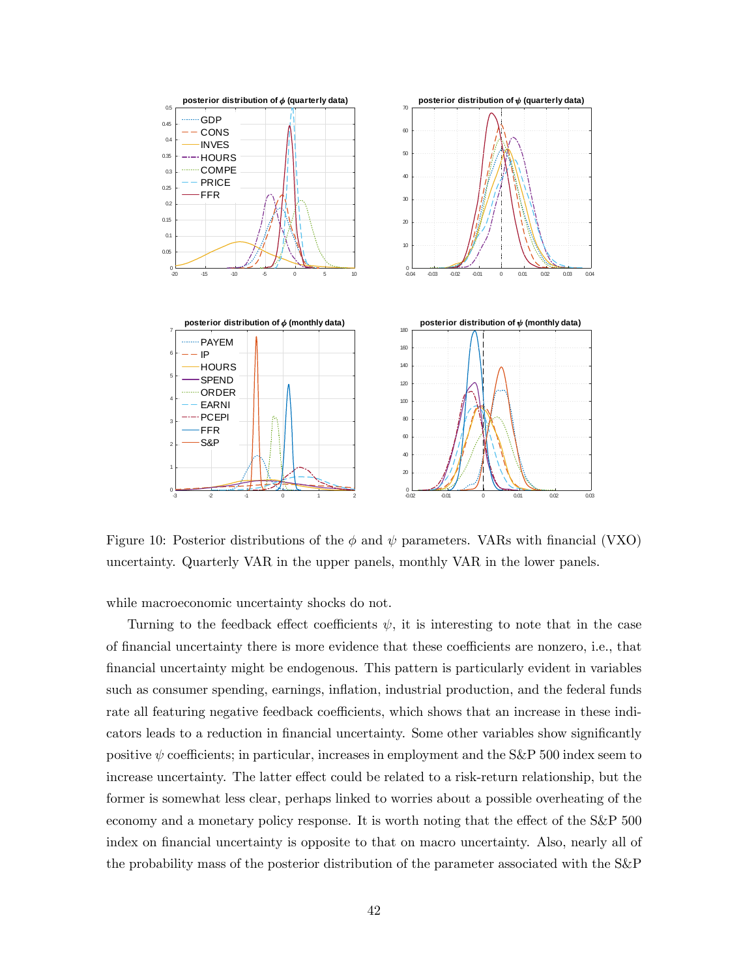

Figure 10: Posterior distributions of the  $\phi$  and  $\psi$  parameters. VARs with financial (VXO) uncertainty. Quarterly VAR in the upper panels, monthly VAR in the lower panels.

while macroeconomic uncertainty shocks do not.

Turning to the feedback effect coefficients  $\psi$ , it is interesting to note that in the case of financial uncertainty there is more evidence that these coefficients are nonzero, i.e., that Önancial uncertainty might be endogenous. This pattern is particularly evident in variables such as consumer spending, earnings, inflation, industrial production, and the federal funds rate all featuring negative feedback coefficients, which shows that an increase in these indicators leads to a reduction in financial uncertainty. Some other variables show significantly positive  $\psi$  coefficients; in particular, increases in employment and the S&P 500 index seem to increase uncertainty. The latter effect could be related to a risk-return relationship, but the former is somewhat less clear, perhaps linked to worries about a possible overheating of the economy and a monetary policy response. It is worth noting that the effect of the S&P 500 index on financial uncertainty is opposite to that on macro uncertainty. Also, nearly all of the probability mass of the posterior distribution of the parameter associated with the S&P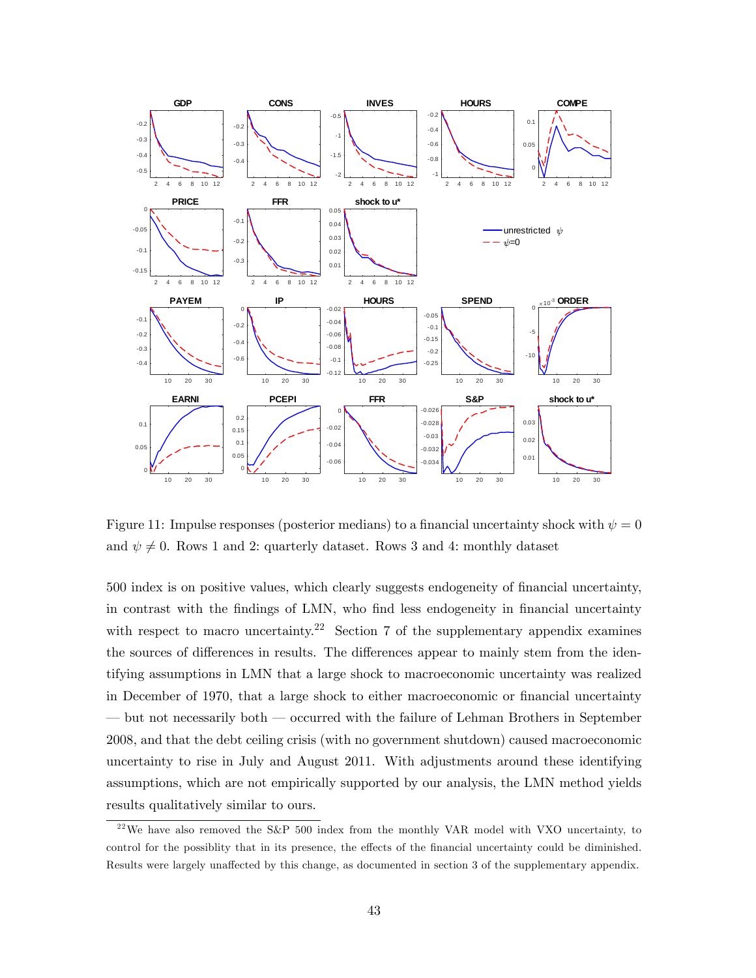

Figure 11: Impulse responses (posterior medians) to a financial uncertainty shock with  $\psi = 0$ and  $\psi \neq 0$ . Rows 1 and 2: quarterly dataset. Rows 3 and 4: monthly dataset

500 index is on positive values, which clearly suggests endogeneity of Önancial uncertainty, in contrast with the findings of LMN, who find less endogeneity in financial uncertainty with respect to macro uncertainty.<sup>22</sup> Section 7 of the supplementary appendix examines the sources of differences in results. The differences appear to mainly stem from the identifying assumptions in LMN that a large shock to macroeconomic uncertainty was realized in December of 1970, that a large shock to either macroeconomic or financial uncertainty  $\overline{\phantom{a}}$  but not necessarily both  $\overline{\phantom{a}}$  occurred with the failure of Lehman Brothers in September 2008, and that the debt ceiling crisis (with no government shutdown) caused macroeconomic uncertainty to rise in July and August 2011. With adjustments around these identifying assumptions, which are not empirically supported by our analysis, the LMN method yields results qualitatively similar to ours.

<sup>&</sup>lt;sup>22</sup>We have also removed the S&P 500 index from the monthly VAR model with VXO uncertainty, to control for the possiblity that in its presence, the effects of the financial uncertainty could be diminished. Results were largely unaffected by this change, as documented in section 3 of the supplementary appendix.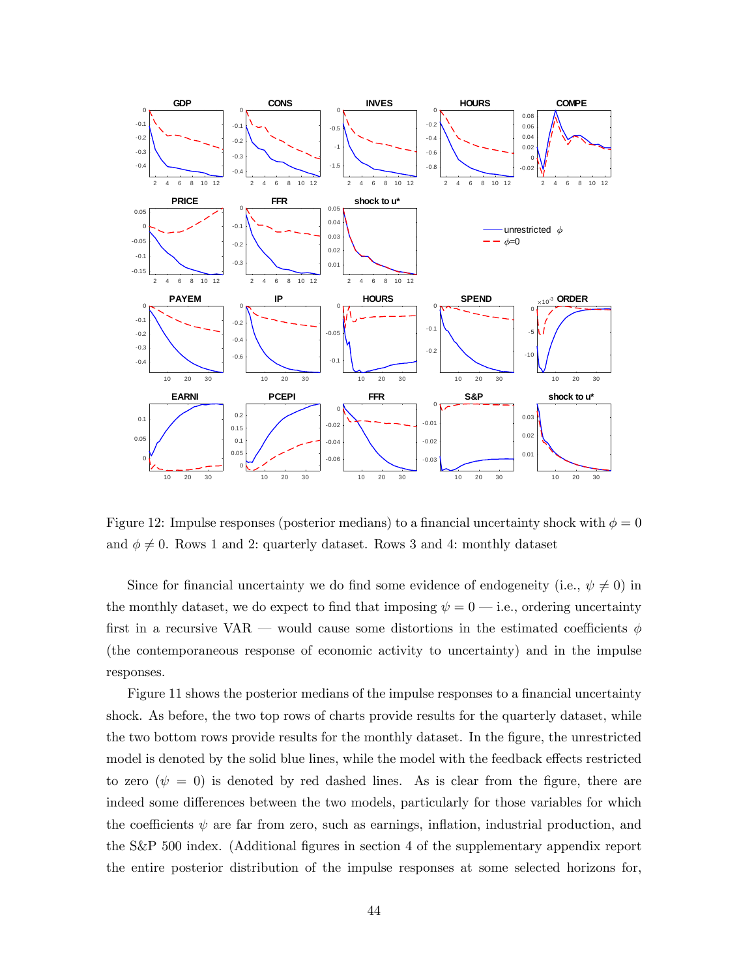

Figure 12: Impulse responses (posterior medians) to a financial uncertainty shock with  $\phi = 0$ and  $\phi \neq 0$ . Rows 1 and 2: quarterly dataset. Rows 3 and 4: monthly dataset

Since for financial uncertainty we do find some evidence of endogeneity (i.e.,  $\psi \neq 0$ ) in the monthly dataset, we do expect to find that imposing  $\psi = 0$  i.e., ordering uncertainty first in a recursive VAR – would cause some distortions in the estimated coefficients  $\phi$ (the contemporaneous response of economic activity to uncertainty) and in the impulse responses.

Figure 11 shows the posterior medians of the impulse responses to a financial uncertainty shock. As before, the two top rows of charts provide results for the quarterly dataset, while the two bottom rows provide results for the monthly dataset. In the figure, the unrestricted model is denoted by the solid blue lines, while the model with the feedback effects restricted to zero ( $\psi = 0$ ) is denoted by red dashed lines. As is clear from the figure, there are indeed some differences between the two models, particularly for those variables for which the coefficients  $\psi$  are far from zero, such as earnings, inflation, industrial production, and the S&P 500 index. (Additional figures in section 4 of the supplementary appendix report the entire posterior distribution of the impulse responses at some selected horizons for,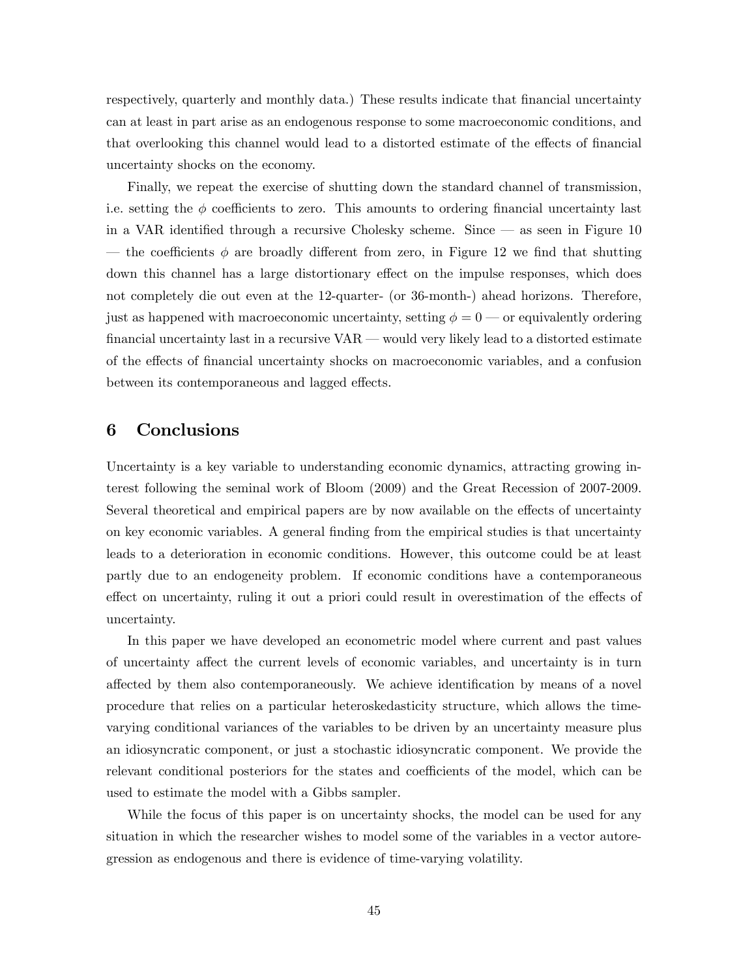respectively, quarterly and monthly data.) These results indicate that financial uncertainty can at least in part arise as an endogenous response to some macroeconomic conditions, and that overlooking this channel would lead to a distorted estimate of the effects of financial uncertainty shocks on the economy.

Finally, we repeat the exercise of shutting down the standard channel of transmission, i.e. setting the  $\phi$  coefficients to zero. This amounts to ordering financial uncertainty last in a VAR identified through a recursive Cholesky scheme. Since  $\sim$  as seen in Figure 10 — the coefficients  $\phi$  are broadly different from zero, in Figure 12 we find that shutting down this channel has a large distortionary effect on the impulse responses, which does not completely die out even at the 12-quarter- (or 36-month-) ahead horizons. Therefore, just as happened with macroeconomic uncertainty, setting  $\phi = 0$  or equivalently ordering financial uncertainty last in a recursive  $VAR$   $\sim$  would very likely lead to a distorted estimate of the effects of financial uncertainty shocks on macroeconomic variables, and a confusion between its contemporaneous and lagged effects.

## 6 Conclusions

Uncertainty is a key variable to understanding economic dynamics, attracting growing interest following the seminal work of Bloom (2009) and the Great Recession of 2007-2009. Several theoretical and empirical papers are by now available on the effects of uncertainty on key economic variables. A general finding from the empirical studies is that uncertainty leads to a deterioration in economic conditions. However, this outcome could be at least partly due to an endogeneity problem. If economic conditions have a contemporaneous effect on uncertainty, ruling it out a priori could result in overestimation of the effects of uncertainty.

In this paper we have developed an econometric model where current and past values of uncertainty affect the current levels of economic variables, and uncertainty is in turn affected by them also contemporaneously. We achieve identification by means of a novel procedure that relies on a particular heteroskedasticity structure, which allows the timevarying conditional variances of the variables to be driven by an uncertainty measure plus an idiosyncratic component, or just a stochastic idiosyncratic component. We provide the relevant conditional posteriors for the states and coefficients of the model, which can be used to estimate the model with a Gibbs sampler.

While the focus of this paper is on uncertainty shocks, the model can be used for any situation in which the researcher wishes to model some of the variables in a vector autoregression as endogenous and there is evidence of time-varying volatility.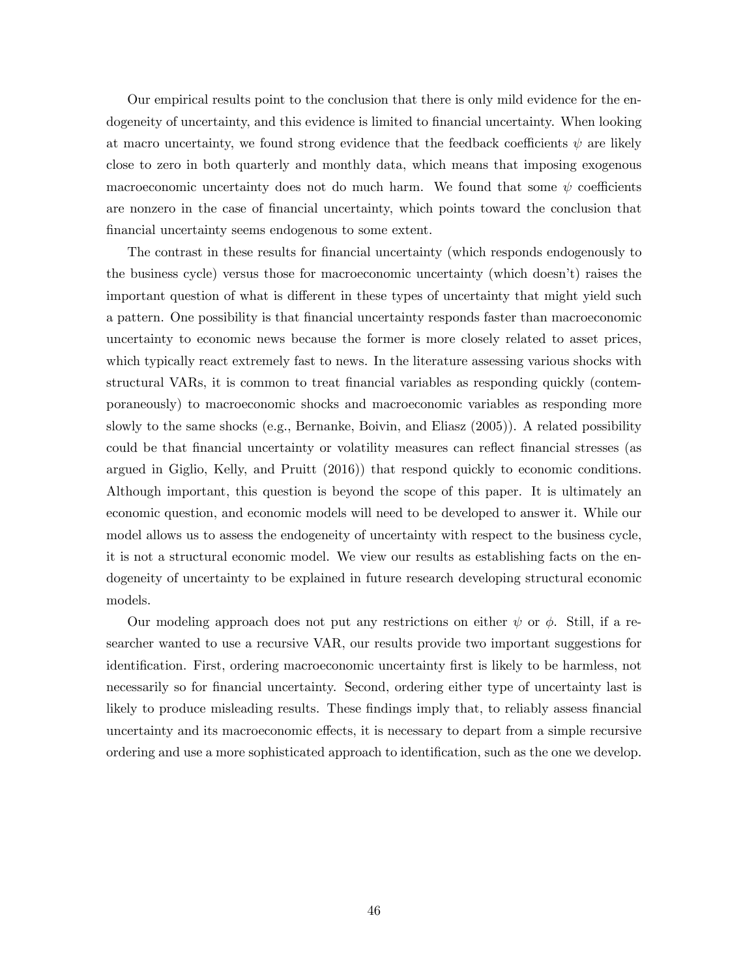Our empirical results point to the conclusion that there is only mild evidence for the endogeneity of uncertainty, and this evidence is limited to financial uncertainty. When looking at macro uncertainty, we found strong evidence that the feedback coefficients  $\psi$  are likely close to zero in both quarterly and monthly data, which means that imposing exogenous macroeconomic uncertainty does not do much harm. We found that some  $\psi$  coefficients are nonzero in the case of Önancial uncertainty, which points toward the conclusion that financial uncertainty seems endogenous to some extent.

The contrast in these results for financial uncertainty (which responds endogenously to the business cycle) versus those for macroeconomic uncertainty (which doesnít) raises the important question of what is different in these types of uncertainty that might yield such a pattern. One possibility is that Önancial uncertainty responds faster than macroeconomic uncertainty to economic news because the former is more closely related to asset prices, which typically react extremely fast to news. In the literature assessing various shocks with structural VARs, it is common to treat financial variables as responding quickly (contemporaneously) to macroeconomic shocks and macroeconomic variables as responding more slowly to the same shocks (e.g., Bernanke, Boivin, and Eliasz (2005)). A related possibility could be that financial uncertainty or volatility measures can reflect financial stresses (as argued in Giglio, Kelly, and Pruitt (2016)) that respond quickly to economic conditions. Although important, this question is beyond the scope of this paper. It is ultimately an economic question, and economic models will need to be developed to answer it. While our model allows us to assess the endogeneity of uncertainty with respect to the business cycle, it is not a structural economic model. We view our results as establishing facts on the endogeneity of uncertainty to be explained in future research developing structural economic models.

Our modeling approach does not put any restrictions on either  $\psi$  or  $\phi$ . Still, if a researcher wanted to use a recursive VAR, our results provide two important suggestions for identification. First, ordering macroeconomic uncertainty first is likely to be harmless, not necessarily so for financial uncertainty. Second, ordering either type of uncertainty last is likely to produce misleading results. These findings imply that, to reliably assess financial uncertainty and its macroeconomic effects, it is necessary to depart from a simple recursive ordering and use a more sophisticated approach to identification, such as the one we develop.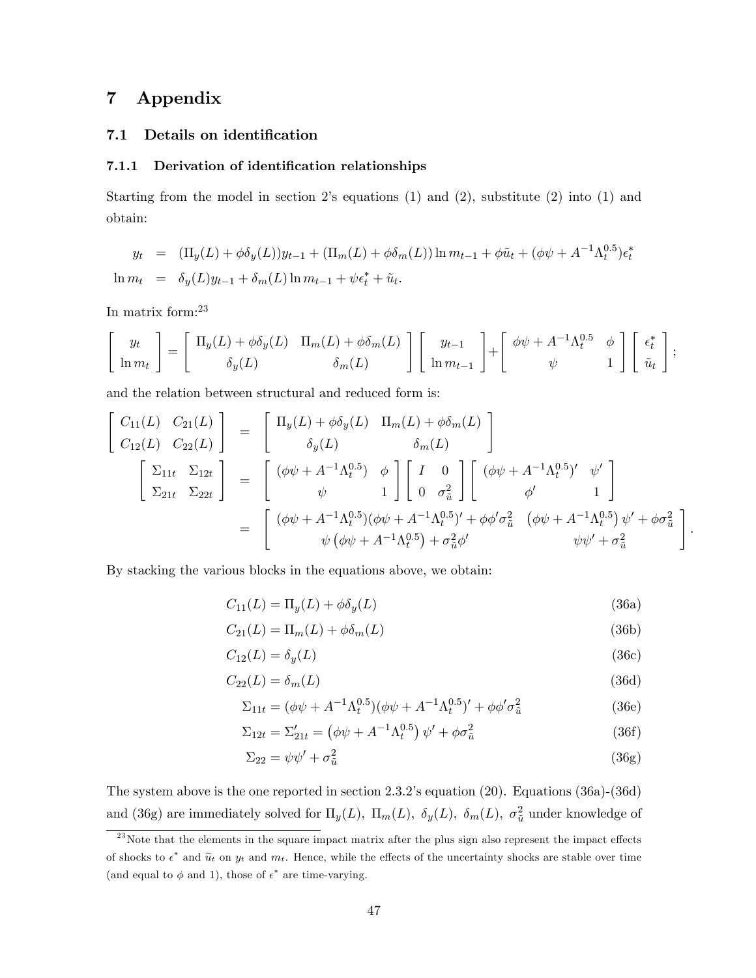# 7 Appendix

#### 7.1 Details on identification

#### 7.1.1 Derivation of identification relationships

Starting from the model in section 2's equations  $(1)$  and  $(2)$ , substitute  $(2)$  into  $(1)$  and obtain:

$$
y_t = (\Pi_y(L) + \phi \delta_y(L))y_{t-1} + (\Pi_m(L) + \phi \delta_m(L))\ln m_{t-1} + \phi \tilde{u}_t + (\phi \psi + A^{-1} \Lambda_t^{0.5}) \epsilon_t^*
$$
  

$$
\ln m_t = \delta_y(L)y_{t-1} + \delta_m(L)\ln m_{t-1} + \psi \epsilon_t^* + \tilde{u}_t.
$$

In matrix form:<sup>23</sup>

$$
\begin{bmatrix} y_t \\ \ln m_t \end{bmatrix} = \begin{bmatrix} \Pi_y(L) + \phi \delta_y(L) & \Pi_m(L) + \phi \delta_m(L) \\ \delta_y(L) & \delta_m(L) \end{bmatrix} \begin{bmatrix} y_{t-1} \\ \ln m_{t-1} \end{bmatrix} + \begin{bmatrix} \phi \psi + A^{-1} \Lambda_t^{0.5} & \phi \\ \psi & 1 \end{bmatrix} \begin{bmatrix} \epsilon_t^* \\ \tilde{u}_t \end{bmatrix};
$$

and the relation between structural and reduced form is:

$$
\begin{bmatrix}\nC_{11}(L) & C_{21}(L) \\
C_{12}(L) & C_{22}(L)\n\end{bmatrix} = \begin{bmatrix}\n\Pi_y(L) + \phi \delta_y(L) & \Pi_m(L) + \phi \delta_m(L) \\
\delta_y(L) & \delta_m(L)\n\end{bmatrix}
$$
\n
$$
\begin{bmatrix}\n\Sigma_{11t} & \Sigma_{12t} \\
\Sigma_{21t} & \Sigma_{22t}\n\end{bmatrix} = \begin{bmatrix}\n(\phi \psi + A^{-1} \Lambda_t^{0.5}) & \phi \\
\psi & 1\n\end{bmatrix} \begin{bmatrix}\nI & 0 \\
0 & \sigma_{\tilde{u}}^2\n\end{bmatrix} \begin{bmatrix}\n(\phi \psi + A^{-1} \Lambda_t^{0.5})' & \psi' \\
\phi' & 1\n\end{bmatrix}
$$
\n
$$
= \begin{bmatrix}\n(\phi \psi + A^{-1} \Lambda_t^{0.5})(\phi \psi + A^{-1} \Lambda_t^{0.5})' + \phi \phi' \sigma_{\tilde{u}}^2 & (\phi \psi + A^{-1} \Lambda_t^{0.5}) \psi' + \phi \sigma_{\tilde{u}}^2 \\
\psi(\phi \psi + A^{-1} \Lambda_t^{0.5}) + \sigma_{\tilde{u}}^2 \phi' & \psi \psi' + \sigma_{\tilde{u}}^2\n\end{bmatrix}
$$

By stacking the various blocks in the equations above, we obtain:

$$
C_{11}(L) = \Pi_y(L) + \phi \delta_y(L) \tag{36a}
$$

:

$$
C_{21}(L) = \Pi_m(L) + \phi \delta_m(L) \tag{36b}
$$

$$
C_{12}(L) = \delta_y(L) \tag{36c}
$$

$$
C_{22}(L) = \delta_m(L) \tag{36d}
$$

$$
\Sigma_{11t} = (\phi\psi + A^{-1}\Lambda_t^{0.5})(\phi\psi + A^{-1}\Lambda_t^{0.5})' + \phi\phi'\sigma_{\tilde{u}}^2
$$
\n(36e)

$$
\Sigma_{12t} = \Sigma'_{21t} = (\phi\psi + A^{-1}\Lambda_t^{0.5})\,\psi' + \phi\sigma_{\tilde{u}}^2 \tag{36f}
$$

$$
\Sigma_{22} = \psi \psi' + \sigma_{\tilde{u}}^2 \tag{36g}
$$

The system above is the one reported in section 2.3.2's equation (20). Equations (36a)-(36d) and (36g) are immediately solved for  $\Pi_y(L)$ ,  $\Pi_m(L)$ ,  $\delta_y(L)$ ,  $\delta_m(L)$ ,  $\sigma_{\tilde{u}}^2$  under knowledge of

 $23$ Note that the elements in the square impact matrix after the plus sign also represent the impact effects of shocks to  $\epsilon^*$  and  $\widetilde{u}_t$  on  $y_t$  and  $m_t$ . Hence, while the effects of the uncertainty shocks are stable over time (and equal to  $\phi$  and 1), those of  $\epsilon^*$  are time-varying.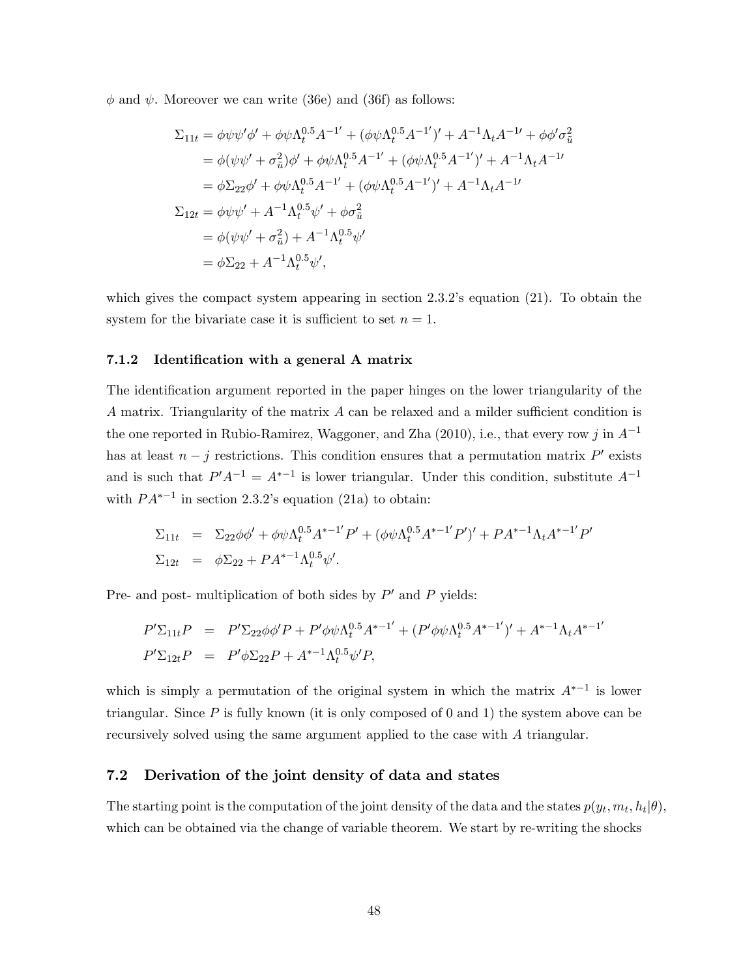$\phi$  and  $\psi$ . Moreover we can write (36e) and (36f) as follows:

$$
\Sigma_{11t} = \phi \psi \psi' \phi' + \phi \psi \Lambda_t^{0.5} A^{-1'} + (\phi \psi \Lambda_t^{0.5} A^{-1'})' + A^{-1} \Lambda_t A^{-1'} + \phi \phi' \sigma_{\tilde{u}}^2
$$
  
=  $\phi(\psi \psi' + \sigma_{\tilde{u}}^2) \phi' + \phi \psi \Lambda_t^{0.5} A^{-1'} + (\phi \psi \Lambda_t^{0.5} A^{-1'})' + A^{-1} \Lambda_t A^{-1}$   
=  $\phi \Sigma_{22} \phi' + \phi \psi \Lambda_t^{0.5} A^{-1'} + (\phi \psi \Lambda_t^{0.5} A^{-1'})' + A^{-1} \Lambda_t A^{-1}$   
 $\Sigma_{12t} = \phi \psi \psi' + A^{-1} \Lambda_t^{0.5} \psi' + \phi \sigma_{\tilde{u}}^2$   
=  $\phi(\psi \psi' + \sigma_{\tilde{u}}^2) + A^{-1} \Lambda_t^{0.5} \psi'$   
=  $\phi \Sigma_{22} + A^{-1} \Lambda_t^{0.5} \psi',$ 

which gives the compact system appearing in section  $2.3.2$ 's equation  $(21)$ . To obtain the system for the bivariate case it is sufficient to set  $n = 1$ .

#### 7.1.2 Identification with a general A matrix

The identification argument reported in the paper hinges on the lower triangularity of the A matrix. Triangularity of the matrix  $A$  can be relaxed and a milder sufficient condition is the one reported in Rubio-Ramirez, Waggoner, and Zha (2010), i.e., that every row j in  $A^{-1}$ has at least  $n - j$  restrictions. This condition ensures that a permutation matrix  $P'$  exists and is such that  $P'A^{-1} = A^{*-1}$  is lower triangular. Under this condition, substitute  $A^{-1}$ with  $PA^{*-1}$  in section 2.3.2's equation (21a) to obtain:

$$
\Sigma_{11t} = \Sigma_{22}\phi\phi' + \phi\psi\Lambda_t^{0.5}A^{*-1'}P' + (\phi\psi\Lambda_t^{0.5}A^{*-1'}P')' + PA^{*-1}\Lambda_tA^{*-1'}P'
$$
  

$$
\Sigma_{12t} = \phi\Sigma_{22} + PA^{*-1}\Lambda_t^{0.5}\psi'.
$$

Pre- and post- multiplication of both sides by  $P'$  and  $P$  yields:

$$
P' \Sigma_{11t} P = P' \Sigma_{22} \phi \phi' P + P' \phi \phi \Lambda_t^{0.5} A^{*-1'} + (P' \phi \phi \Lambda_t^{0.5} A^{*-1'})' + A^{*-1} \Lambda_t A^{*-1'}
$$
  

$$
P' \Sigma_{12t} P = P' \phi \Sigma_{22} P + A^{*-1} \Lambda_t^{0.5} \psi' P,
$$

which is simply a permutation of the original system in which the matrix  $A^{*-1}$  is lower triangular. Since  $P$  is fully known (it is only composed of 0 and 1) the system above can be recursively solved using the same argument applied to the case with A triangular.

#### 7.2 Derivation of the joint density of data and states

The starting point is the computation of the joint density of the data and the states  $p(y_t, m_t, h_t | \theta)$ , which can be obtained via the change of variable theorem. We start by re-writing the shocks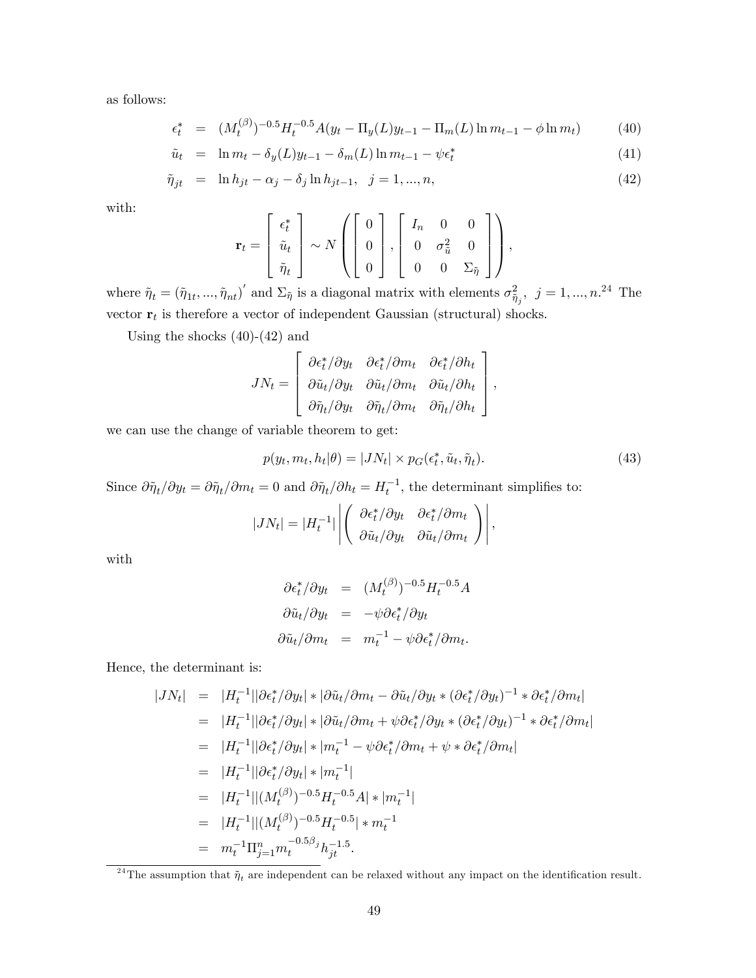as follows:

$$
\epsilon_t^* = (M_t^{(\beta)})^{-0.5} H_t^{-0.5} A(y_t - \Pi_y(L)y_{t-1} - \Pi_m(L) \ln m_{t-1} - \phi \ln m_t)
$$
(40)

$$
\tilde{u}_t = \ln m_t - \delta_y(L)y_{t-1} - \delta_m(L)\ln m_{t-1} - \psi \epsilon_t^* \tag{41}
$$

$$
\tilde{\eta}_{jt} = \ln h_{jt} - \alpha_j - \delta_j \ln h_{jt-1}, \ \ j = 1, ..., n,
$$
\n(42)

with:

$$
\mathbf{r}_t = \begin{bmatrix} \epsilon_t^* \\ \tilde{u}_t \\ \tilde{\eta}_t \end{bmatrix} \sim N \left( \begin{bmatrix} 0 \\ 0 \\ 0 \end{bmatrix}, \begin{bmatrix} I_n & 0 & 0 \\ 0 & \sigma_{\tilde{u}}^2 & 0 \\ 0 & 0 & \Sigma_{\tilde{\eta}} \end{bmatrix} \right),
$$

where  $\tilde{\eta}_t = (\tilde{\eta}_{1t},...,\tilde{\eta}_{nt})'$  and  $\Sigma_{\tilde{\eta}}$  is a diagonal matrix with elements  $\sigma_{\tilde{\eta}_j}^2$ ,  $j = 1,...,n$ .<sup>24</sup> The vector  $r_t$  is therefore a vector of independent Gaussian (structural) shocks.

Using the shocks  $(40)-(42)$  and

$$
JN_t = \begin{bmatrix} \frac{\partial \epsilon_t^*}{\partial y_t} & \frac{\partial \epsilon_t^*}{\partial m_t} & \frac{\partial \epsilon_t^*}{\partial h_t} \\ \frac{\partial \tilde{u}_t}{\partial y_t} & \frac{\partial \tilde{u}_t}{\partial m_t} & \frac{\partial \tilde{u}_t}{\partial h_t} \\ \frac{\partial \tilde{\eta}_t}{\partial y_t} & \frac{\partial \tilde{\eta}_t}{\partial m_t} & \frac{\partial \tilde{\eta}_t}{\partial h_t} \end{bmatrix},
$$

we can use the change of variable theorem to get:

$$
p(y_t, m_t, h_t | \theta) = |J N_t| \times p_G(\epsilon_t^*, \tilde{u}_t, \tilde{\eta}_t). \tag{43}
$$

Since  $\partial \tilde{\eta}_t / \partial y_t = \partial \tilde{\eta}_t / \partial m_t = 0$  and  $\partial \tilde{\eta}_t / \partial h_t = H_t^{-1}$ , the determinant simplifies to:

$$
|JN_t| = |H_t^{-1}| \left| \begin{pmatrix} \frac{\partial \epsilon_t^*}{\partial y_t} & \frac{\partial \epsilon_t^*}{\partial m_t} \\ \frac{\partial \tilde{u}_t}{\partial y_t} & \frac{\partial \tilde{u}_t}{\partial m_t} \end{pmatrix} \right|,
$$

with

$$
\partial \epsilon_t^* / \partial y_t = (M_t^{(\beta)})^{-0.5} H_t^{-0.5} A
$$
  

$$
\partial \tilde{u}_t / \partial y_t = -\psi \partial \epsilon_t^* / \partial y_t
$$
  

$$
\partial \tilde{u}_t / \partial m_t = m_t^{-1} - \psi \partial \epsilon_t^* / \partial m_t.
$$

Hence, the determinant is:

$$
|JN_t| = |H_t^{-1}||\partial \epsilon_t^* / \partial y_t| * |\partial \tilde{u}_t / \partial m_t - \partial \tilde{u}_t / \partial y_t * (\partial \epsilon_t^* / \partial y_t)^{-1} * \partial \epsilon_t^* / \partial m_t|
$$
  
\n
$$
= |H_t^{-1}||\partial \epsilon_t^* / \partial y_t| * |\partial \tilde{u}_t / \partial m_t + \psi \partial \epsilon_t^* / \partial y_t * (\partial \epsilon_t^* / \partial y_t)^{-1} * \partial \epsilon_t^* / \partial m_t|
$$
  
\n
$$
= |H_t^{-1}||\partial \epsilon_t^* / \partial y_t| * |m_t^{-1} - \psi \partial \epsilon_t^* / \partial m_t + \psi * \partial \epsilon_t^* / \partial m_t|
$$
  
\n
$$
= |H_t^{-1}||\partial \epsilon_t^* / \partial y_t| * |m_t^{-1}|
$$
  
\n
$$
= |H_t^{-1}||(M_t^{(\beta)})^{-0.5}H_t^{-0.5}A| * |m_t^{-1}|
$$
  
\n
$$
= |H_t^{-1}||(M_t^{(\beta)})^{-0.5}H_t^{-0.5}| * m_t^{-1}
$$
  
\n
$$
= m_t^{-1} \Pi_{j=1}^n m_t^{-0.5\beta_j} h_{jt}^{-1.5}.
$$

<sup>&</sup>lt;sup>24</sup>The assumption that  $\tilde{\eta}_t$  are independent can be relaxed without any impact on the identification result.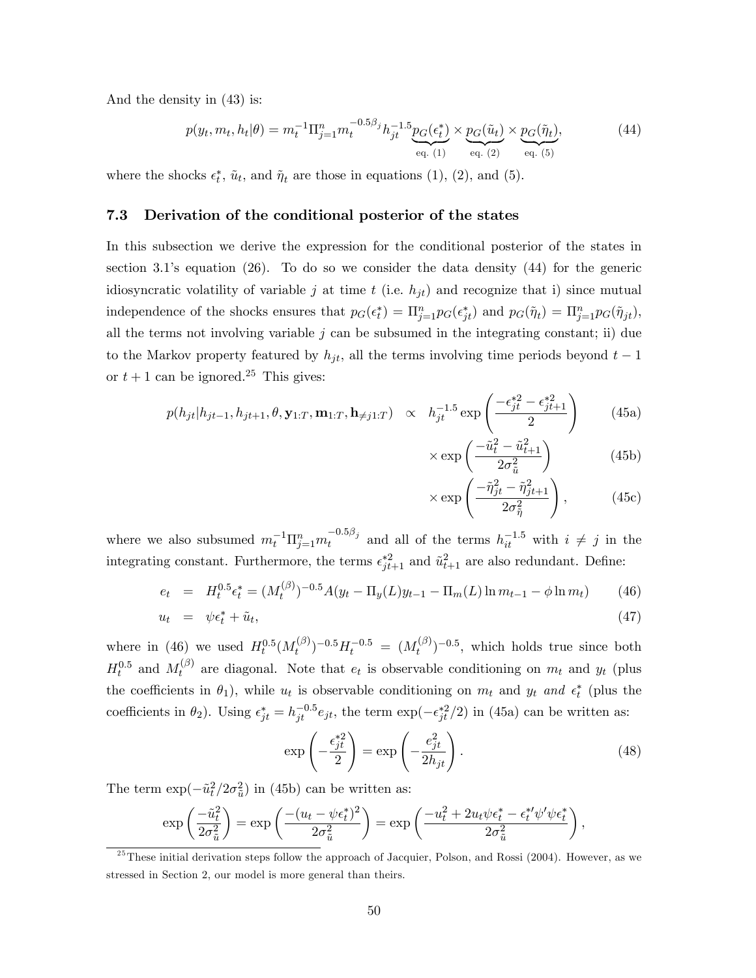And the density in (43) is:

$$
p(y_t, m_t, h_t | \theta) = m_t^{-1} \Pi_{j=1}^n m_t^{-0.5\beta_j} h_{jt}^{-1.5} \underbrace{p_G(\epsilon_t^*)}_{\text{eq. (1)}} \times \underbrace{p_G(\tilde{u}_t)}_{\text{eq. (2)}} \times \underbrace{p_G(\tilde{\eta}_t)}_{\text{eq. (5)}},
$$
(44)

where the shocks  $\epsilon_t^*$ ,  $\tilde{u}_t$ , and  $\tilde{\eta}_t$  are those in equations (1), (2), and (5).

#### 7.3 Derivation of the conditional posterior of the states

In this subsection we derive the expression for the conditional posterior of the states in section 3.1's equation  $(26)$ . To do so we consider the data density  $(44)$  for the generic idiosyncratic volatility of variable j at time t (i.e.  $h_{jt}$ ) and recognize that i) since mutual independence of the shocks ensures that  $p_G(\epsilon_t^*) = \prod_{j=1}^n p_G(\epsilon_{jt}^*)$  and  $p_G(\tilde{\eta}_t) = \prod_{j=1}^n p_G(\tilde{\eta}_{jt}),$ all the terms not involving variable  $j$  can be subsumed in the integrating constant; ii) due to the Markov property featured by  $h_{it}$ , all the terms involving time periods beyond  $t-1$ or  $t + 1$  can be ignored.<sup>25</sup> This gives:

$$
p(h_{jt}|h_{jt-1}, h_{jt+1}, \theta, \mathbf{y}_{1:T}, \mathbf{m}_{1:T}, \mathbf{h}_{\neq j1:T}) \propto h_{jt}^{-1.5} \exp\left(\frac{-\epsilon_{jt}^{*2} - \epsilon_{jt+1}^{*2}}{2}\right)
$$
 (45a)

$$
\times \exp\left(\frac{-\tilde{u}_t^2 - \tilde{u}_{t+1}^2}{2\sigma_{\tilde{u}}^2}\right) \tag{45b}
$$

$$
\times \exp\left(\frac{-\tilde{\eta}_{jt}^2 - \tilde{\eta}_{jt+1}^2}{2\sigma_{\tilde{\eta}}^2}\right),\tag{45c}
$$

where we also subsumed  $m_t^{-1} \prod_{j=1}^n m_t^{-0.5\beta_j}$  and all of the terms  $h_{it}^{-1.5}$  with  $i \neq j$  in the integrating constant. Furthermore, the terms  $\epsilon_{jt+1}^{*2}$  and  $\tilde{u}_{t+1}^2$  are also redundant. Define:

$$
e_t = H_t^{0.5} \epsilon_t^* = (M_t^{(\beta)})^{-0.5} A(y_t - \Pi_y(L)y_{t-1} - \Pi_m(L) \ln m_{t-1} - \phi \ln m_t)
$$
(46)

$$
u_t = \psi \epsilon_t^* + \tilde{u}_t, \tag{47}
$$

where in (46) we used  $H_t^{0.5}(M_t^{(\beta)})$  $(t^{(\beta)})^{-0.5} H^{-0.5}_t = (M^{(\beta)}_t)$  $(t^{(\beta)})^{-0.5}$ , which holds true since both  $H_t^{0.5}$  and  $M_t^{(\beta)}$  $t_t^{(p)}$  are diagonal. Note that  $e_t$  is observable conditioning on  $m_t$  and  $y_t$  (plus the coefficients in  $\theta_1$ ), while  $u_t$  is observable conditioning on  $m_t$  and  $y_t$  and  $\epsilon_t^*$  (plus the coefficients in  $\theta_2$ ). Using  $\epsilon_{jt}^* = h_{jt}^{-0.5} e_{jt}$ , the term  $\exp(-\epsilon_{jt}^{*2}/2)$  in (45a) can be written as:

$$
\exp\left(-\frac{\epsilon_{jt}^{*2}}{2}\right) = \exp\left(-\frac{e_{jt}^2}{2h_{jt}}\right). \tag{48}
$$

The term  $\exp(-\tilde{u}_t^2/2\sigma_{\tilde{u}}^2)$  in (45b) can be written as:

$$
\exp\left(\frac{-\tilde{u}_t^2}{2\sigma_{\tilde{u}}^2}\right) = \exp\left(\frac{-(u_t - \psi \epsilon_t^*)^2}{2\sigma_{\tilde{u}}^2}\right) = \exp\left(\frac{-u_t^2 + 2u_t\psi \epsilon_t^* - \epsilon_t^{*\prime}\psi'\psi \epsilon_t^*}{2\sigma_{\tilde{u}}^2}\right),
$$

 $^{25}$ These initial derivation steps follow the approach of Jacquier, Polson, and Rossi (2004). However, as we stressed in Section 2, our model is more general than theirs.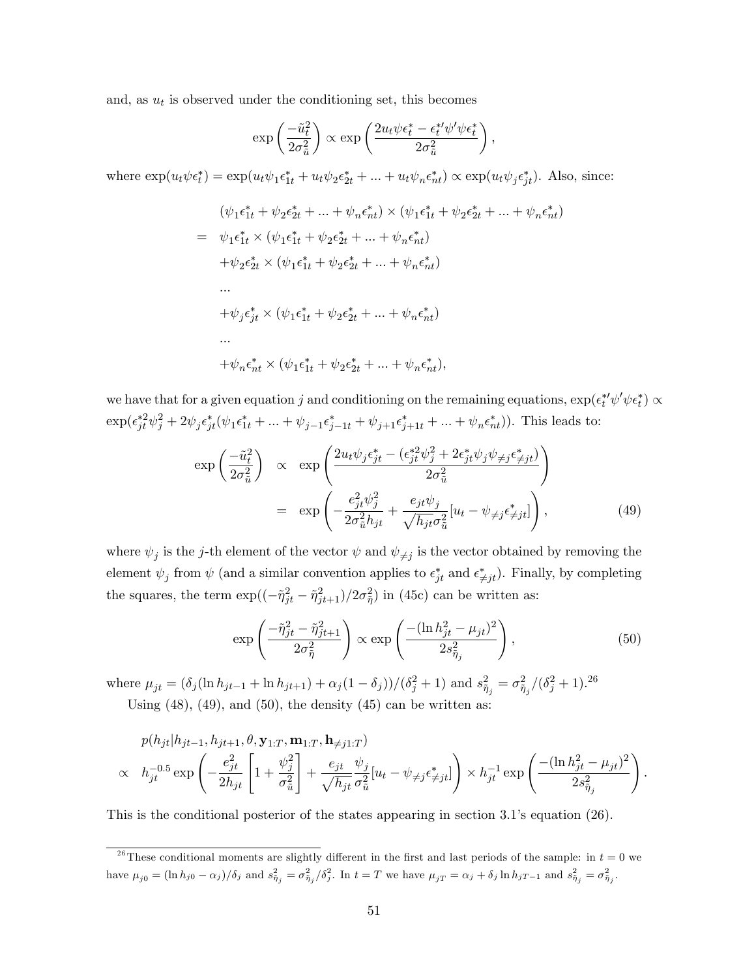and, as  $u_t$  is observed under the conditioning set, this becomes

$$
\exp\left(\frac{-\tilde{u}_t^2}{2\sigma_{\tilde{u}}^2}\right) \propto \exp\left(\frac{2u_t\psi\epsilon_t^* - \epsilon_t^{*\prime}\psi'\psi\epsilon_t^*}{2\sigma_{\tilde{u}}^2}\right),\,
$$

where  $\exp(u_t\psi \epsilon_t^*) = \exp(u_t\psi_1 \epsilon_{1t}^* + u_t\psi_2 \epsilon_{2t}^* + ... + u_t\psi_n \epsilon_{nt}^*) \propto \exp(u_t\psi_j \epsilon_{jt}^*).$  Also, since:

$$
(\psi_1 \epsilon_{1t}^* + \psi_2 \epsilon_{2t}^* + ... + \psi_n \epsilon_{nt}^*) \times (\psi_1 \epsilon_{1t}^* + \psi_2 \epsilon_{2t}^* + ... + \psi_n \epsilon_{nt}^*)
$$
  
\n
$$
= \psi_1 \epsilon_{1t}^* \times (\psi_1 \epsilon_{1t}^* + \psi_2 \epsilon_{2t}^* + ... + \psi_n \epsilon_{nt}^*)
$$
  
\n
$$
+ \psi_2 \epsilon_{2t}^* \times (\psi_1 \epsilon_{1t}^* + \psi_2 \epsilon_{2t}^* + ... + \psi_n \epsilon_{nt}^*)
$$
  
\n...  
\n
$$
+ \psi_j \epsilon_{jt}^* \times (\psi_1 \epsilon_{1t}^* + \psi_2 \epsilon_{2t}^* + ... + \psi_n \epsilon_{nt}^*)
$$
  
\n...  
\n
$$
+ \psi_n \epsilon_{nt}^* \times (\psi_1 \epsilon_{1t}^* + \psi_2 \epsilon_{2t}^* + ... + \psi_n \epsilon_{nt}^*),
$$

we have that for a given equation j and conditioning on the remaining equations,  $\exp(\epsilon_t^{*\prime}\psi'\psi \epsilon_t^*) \propto$  $\exp(\epsilon_{jt}^{*2}\psi_j^2 + 2\psi_j \epsilon_{jt}^*(\psi_1 \epsilon_{1t}^* + ... + \psi_{j-1} \epsilon_{j-1t}^* + \psi_{j+1} \epsilon_{j+1t}^* + ... + \psi_n \epsilon_{nt}^*)).$  This leads to:

$$
\exp\left(\frac{-\tilde{u}_t^2}{2\sigma_{\tilde{u}}^2}\right) \propto \exp\left(\frac{2u_t\psi_j\epsilon_{jt}^* - (\epsilon_{jt}^*\psi_j^2 + 2\epsilon_{jt}^*\psi_j\psi_{\neq j}\epsilon_{\neq jt}^*)}{2\sigma_{\tilde{u}}^2}\right)
$$
\n
$$
= \exp\left(-\frac{e_{jt}^2\psi_j^2}{2\sigma_{\tilde{u}}^2h_{jt}} + \frac{e_{jt}\psi_j}{\sqrt{h_{jt}\sigma_{\tilde{u}}^2}}[u_t - \psi_{\neq j}\epsilon_{\neq jt}^*]\right),
$$
\n(49)

where  $\psi_j$  is the j-th element of the vector  $\psi$  and  $\psi_{\neq j}$  is the vector obtained by removing the element  $\psi_j$  from  $\psi$  (and a similar convention applies to  $\epsilon_{jt}^*$  and  $\epsilon_{\neq jt}^*$ ). Finally, by completing the squares, the term  $\exp((-\tilde{\eta}_{jt}^2 - \tilde{\eta}_{jt+1}^2)/2\sigma_{\tilde{\eta}}^2)$  in (45c) can be written as:

$$
\exp\left(\frac{-\tilde{\eta}_{jt}^2 - \tilde{\eta}_{jt+1}^2}{2\sigma_{\tilde{\eta}}^2}\right) \propto \exp\left(\frac{-(\ln h_{jt}^2 - \mu_{jt})^2}{2s_{\tilde{\eta}_j}^2}\right),\tag{50}
$$

where  $\mu_{jt} = (\delta_j (\ln h_{jt-1} + \ln h_{jt+1}) + \alpha_j (1 - \delta_j)) / (\delta_j^2 + 1)$  and  $s_{\tilde{\eta}_j}^2 = \sigma_{\tilde{\eta}_j}^2 / (\delta_j^2 + 1)$ .<sup>26</sup> Using  $(48)$ ,  $(49)$ , and  $(50)$ , the density  $(45)$  can be written as:

$$
p(h_{jt}|h_{jt-1}, h_{jt+1}, \theta, \mathbf{y}_{1:T}, \mathbf{m}_{1:T}, \mathbf{h}_{\neq j1:T})
$$
  

$$
\propto h_{jt}^{-0.5} \exp\left(-\frac{e_{jt}^2}{2h_{jt}} \left[1 + \frac{\psi_j^2}{\sigma_{\tilde{u}}^2}\right] + \frac{e_{jt}}{\sqrt{h_{jt}}}\frac{\psi_j}{\sigma_{\tilde{u}}^2}[u_t - \psi_{\neq j}\epsilon_{\neq jt}^*]\right) \times h_{jt}^{-1} \exp\left(\frac{-(\ln h_{jt}^2 - \mu_{jt})^2}{2s_{\tilde{\eta}_j}^2}\right).
$$

This is the conditional posterior of the states appearing in section  $3.1$ 's equation  $(26)$ .

<sup>&</sup>lt;sup>26</sup>These conditional moments are slightly different in the first and last periods of the sample: in  $t = 0$  we have  $\mu_{j0} = (\ln h_{j0} - \alpha_j)/\delta_j$  and  $s_{\tilde{\eta}_j}^2 = \sigma_{\tilde{\eta}_j}^2/\delta_j^2$ . In  $t = T$  we have  $\mu_{jT} = \alpha_j + \delta_j \ln h_{jT-1}$  and  $s_{\tilde{\eta}_j}^2 = \sigma_{\tilde{\eta}_j}^2$ .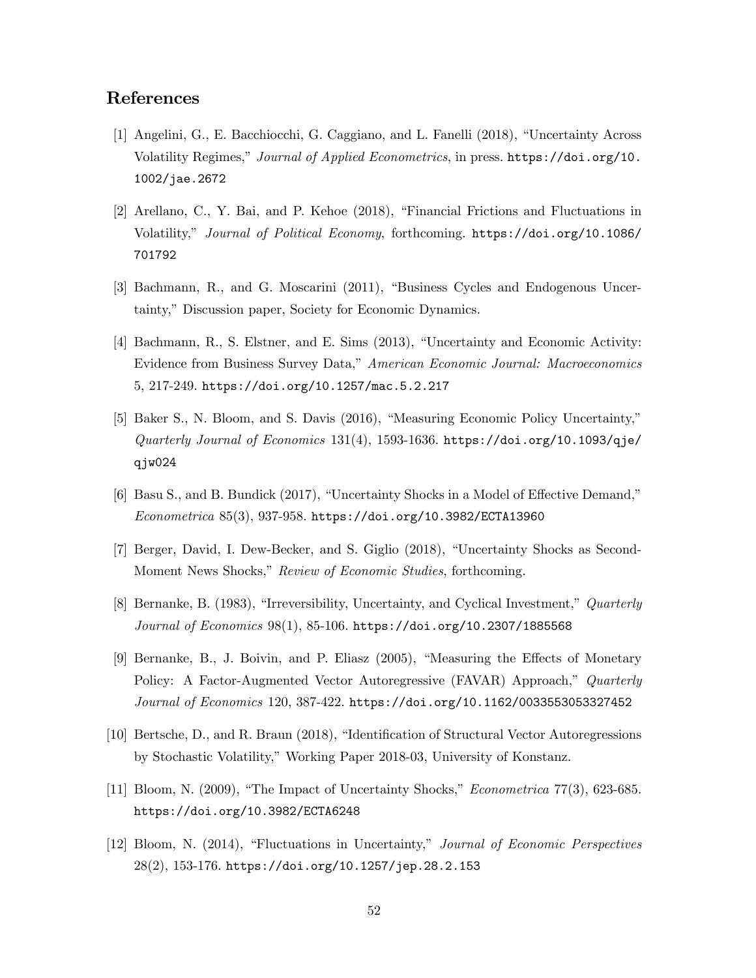## References

- [1] Angelini, G., E. Bacchiocchi, G. Caggiano, and L. Fanelli (2018), "Uncertainty Across Volatility Regimes," Journal of Applied Econometrics, in press. https://doi.org/10. 1002/jae.2672
- $[2]$  Arellano, C., Y. Bai, and P. Kehoe  $(2018)$ , "Financial Frictions and Fluctuations in Volatility,î Journal of Political Economy, forthcoming. https://doi.org/10.1086/ 701792
- [3] Bachmann, R., and G. Moscarini (2011), "Business Cycles and Endogenous Uncertainty," Discussion paper, Society for Economic Dynamics.
- [4] Bachmann, R., S. Elstner, and E. Sims  $(2013)$ , "Uncertainty and Economic Activity: Evidence from Business Survey Data," American Economic Journal: Macroeconomics 5, 217-249. https://doi.org/10.1257/mac.5.2.217
- [5] Baker S., N. Bloom, and S. Davis (2016), "Measuring Economic Policy Uncertainty,"  $Quarterly\ Journal\ of\ Economics\ 131(4),\ 1593-1636.$  https://doi.org/10.1093/qje/ qjw024
- $[6]$  Basu S., and B. Bundick  $(2017)$ , "Uncertainty Shocks in a Model of Effective Demand,"  $Econometrica 85(3), 937-958.$ https://doi.org/10.3982/ECTA13960
- [7] Berger, David, I. Dew-Becker, and S. Giglio (2018), "Uncertainty Shocks as Second-Moment News Shocks," Review of Economic Studies, forthcoming.
- [8] Bernanke, B. (1983), "Irreversibility, Uncertainty, and Cyclical Investment," Quarterly Journal of Economics 98(1), 85-106. https://doi.org/10.2307/1885568
- [9] Bernanke, B., J. Boivin, and P. Eliasz  $(2005)$ , "Measuring the Effects of Monetary Policy: A Factor-Augmented Vector Autoregressive (FAVAR) Approach,<sup>n</sup> Quarterly Journal of Economics 120, 387-422. https://doi.org/10.1162/0033553053327452
- [10] Bertsche, D., and R. Braun (2018), "Identification of Structural Vector Autoregressions by Stochastic Volatility," Working Paper 2018-03, University of Konstanz.
- [11] Bloom, N.  $(2009)$ , "The Impact of Uncertainty Shocks," *Econometrica* 77 $(3)$ , 623-685. https://doi.org/10.3982/ECTA6248
- [12] Bloom, N. (2014), "Fluctuations in Uncertainty," Journal of Economic Perspectives 28(2), 153-176. https://doi.org/10.1257/jep.28.2.153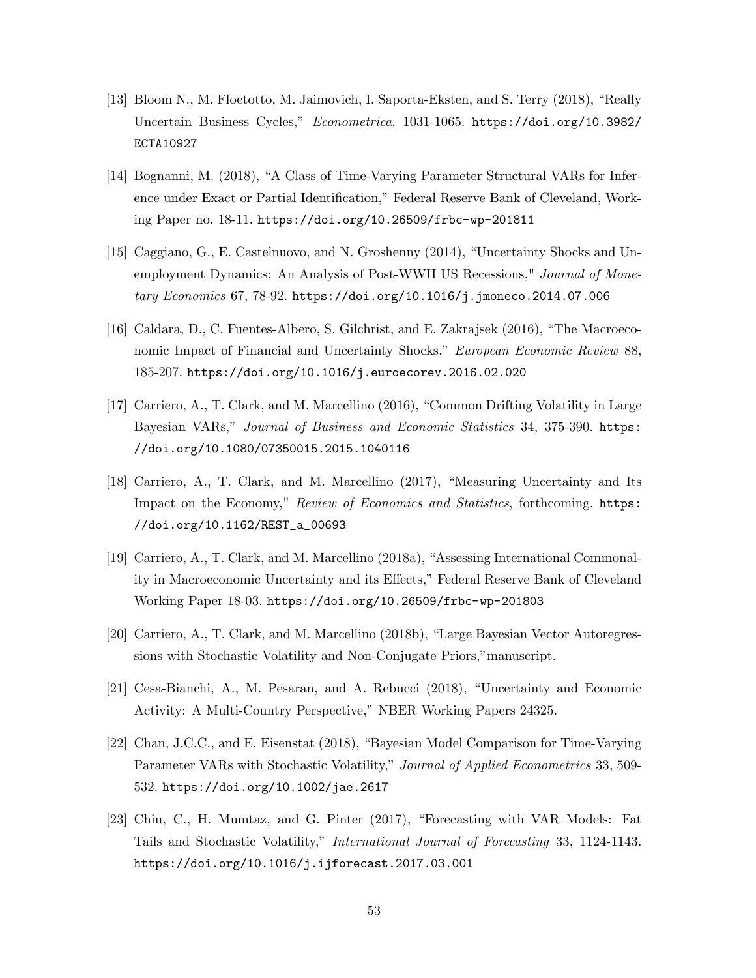- [13] Bloom N., M. Floetotto, M. Jaimovich, I. Saporta-Eksten, and S. Terry (2018), "Really Uncertain Business Cycles," Econometrica, 1031-1065. https://doi.org/10.3982/ ECTA10927
- [14] Bognanni, M. (2018), "A Class of Time-Varying Parameter Structural VARs for Inference under Exact or Partial Identification," Federal Reserve Bank of Cleveland, Working Paper no. 18-11. https://doi.org/10.26509/frbc-wp-201811
- [15] Caggiano, G., E. Castelnuovo, and N. Groshenny (2014), "Uncertainty Shocks and Unemployment Dynamics: An Analysis of Post-WWII US Recessions," Journal of Monetary Economics 67, 78-92. https://doi.org/10.1016/j.jmoneco.2014.07.006
- [16] Caldara, D., C. Fuentes-Albero, S. Gilchrist, and E. Zakrajsek  $(2016)$ , "The Macroeconomic Impact of Financial and Uncertainty Shocks," European Economic Review 88, 185-207. https://doi.org/10.1016/j.euroecorev.2016.02.020
- [17] Carriero, A., T. Clark, and M. Marcellino (2016), "Common Drifting Volatility in Large Bayesian VARs," Journal of Business and Economic Statistics 34, 375-390. https: //doi.org/10.1080/07350015.2015.1040116
- [18] Carriero, A., T. Clark, and M. Marcellino (2017), "Measuring Uncertainty and Its Impact on the Economy," Review of Economics and Statistics, forthcoming. https: //doi.org/10.1162/REST\_a\_00693
- [19] Carriero, A., T. Clark, and M. Marcellino  $(2018a)$ , "Assessing International Commonality in Macroeconomic Uncertainty and its Effects," Federal Reserve Bank of Cleveland Working Paper 18-03. https://doi.org/10.26509/frbc-wp-201803
- [20] Carriero, A., T. Clark, and M. Marcellino (2018b), "Large Bayesian Vector Autoregressions with Stochastic Volatility and Non-Conjugate Priors,"manuscript.
- [21] Cesa-Bianchi, A., M. Pesaran, and A. Rebucci (2018), "Uncertainty and Economic Activity: A Multi-Country Perspective," NBER Working Papers 24325.
- [22] Chan, J.C.C., and E. Eisenstat (2018), "Bayesian Model Comparison for Time-Varying Parameter VARs with Stochastic Volatility," Journal of Applied Econometrics 33, 509-532. https://doi.org/10.1002/jae.2617
- [23] Chiu, C., H. Mumtaz, and G. Pinter (2017), "Forecasting with VAR Models: Fat Tails and Stochastic Volatility," International Journal of Forecasting 33, 1124-1143. https://doi.org/10.1016/j.ijforecast.2017.03.001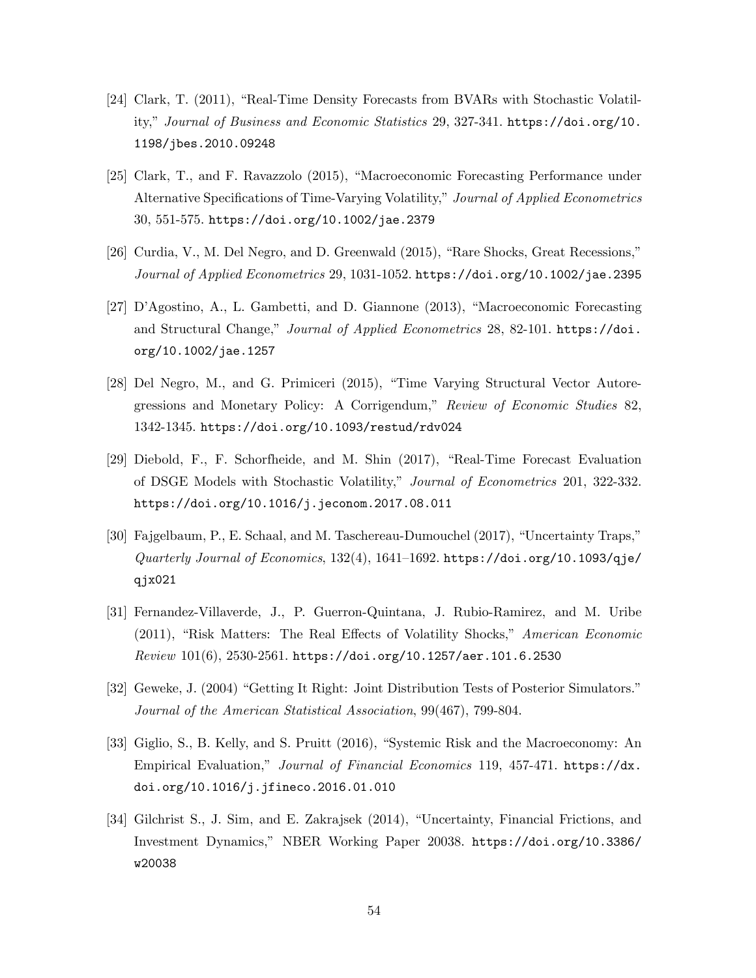- [24] Clark, T. (2011), "Real-Time Density Forecasts from BVARs with Stochastic Volatility," Journal of Business and Economic Statistics 29, 327-341. https://doi.org/10. 1198/jbes.2010.09248
- [25] Clark, T., and F. Ravazzolo (2015), "Macroeconomic Forecasting Performance under Alternative Specifications of Time-Varying Volatility," Journal of Applied Econometrics 30, 551-575. https://doi.org/10.1002/jae.2379
- $[26]$  Curdia, V., M. Del Negro, and D. Greenwald  $(2015)$ , "Rare Shocks, Great Recessions," Journal of Applied Econometrics 29, 1031-1052. https://doi.org/10.1002/jae.2395
- [27] D'Agostino, A., L. Gambetti, and D. Giannone  $(2013)$ , "Macroeconomic Forecasting and Structural Change," Journal of Applied Econometrics 28, 82-101. https://doi. org/10.1002/jae.1257
- [28] Del Negro, M., and G. Primiceri (2015), "Time Varying Structural Vector Autoregressions and Monetary Policy: A Corrigendum," Review of Economic Studies 82, 1342-1345. https://doi.org/10.1093/restud/rdv024
- [29] Diebold, F., F. Schorfheide, and M. Shin  $(2017)$ , "Real-Time Forecast Evaluation of DSGE Models with Stochastic Volatility," Journal of Econometrics 201, 322-332. https://doi.org/10.1016/j.jeconom.2017.08.011
- [30] Fajgelbaum, P., E. Schaal, and M. Taschereau-Dumouchel (2017), "Uncertainty Traps," Quarterly Journal of Economics, 132(4), 1641–1692. https://doi.org/10.1093/qje/ qjx021
- [31] Fernandez-Villaverde, J., P. Guerron-Quintana, J. Rubio-Ramirez, and M. Uribe (2011), "Risk Matters: The Real Effects of Volatility Shocks," American Economic  $Review\ 101(6),\ 2530-2561.$  https://doi.org/10.1257/aer.101.6.2530
- [32] Geweke, J. (2004) "Getting It Right: Joint Distribution Tests of Posterior Simulators." Journal of the American Statistical Association, 99(467), 799-804.
- [33] Giglio, S., B. Kelly, and S. Pruitt (2016), "Systemic Risk and the Macroeconomy: An Empirical Evaluation," Journal of Financial Economics 119, 457-471. https://dx. doi.org/10.1016/j.jfineco.2016.01.010
- [34] Gilchrist S., J. Sim, and E. Zakrajsek (2014), "Uncertainty, Financial Frictions, and Investment Dynamics,î NBER Working Paper 20038. https://doi.org/10.3386/ w20038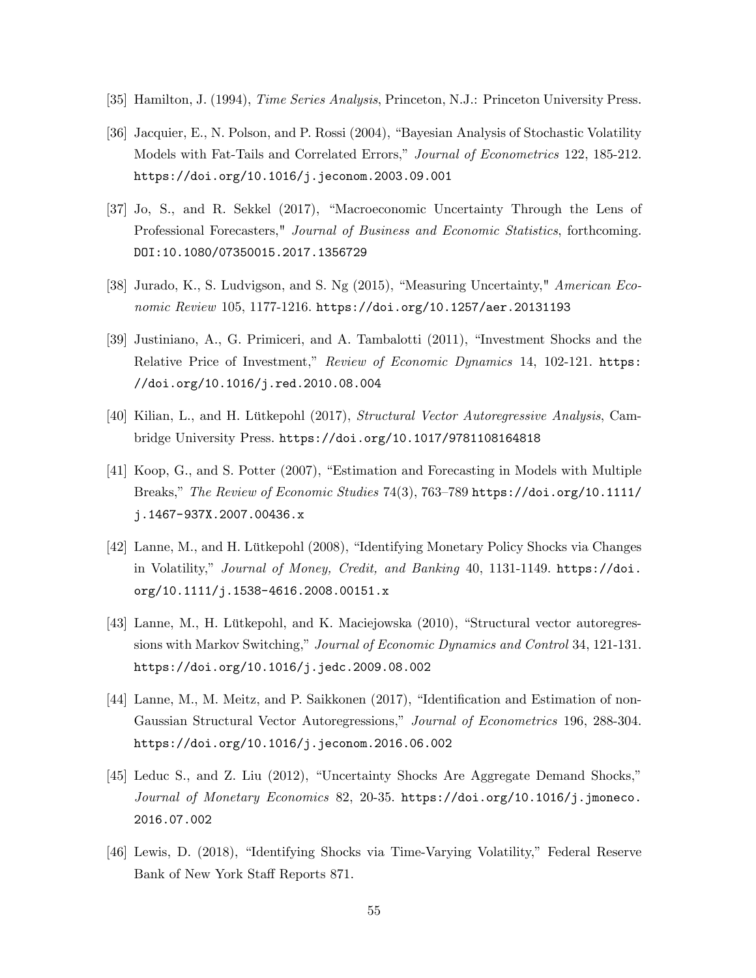- [35] Hamilton, J. (1994), Time Series Analysis, Princeton, N.J.: Princeton University Press.
- [36] Jacquier, E., N. Polson, and P. Rossi (2004), "Bayesian Analysis of Stochastic Volatility Models with Fat-Tails and Correlated Errors," Journal of Econometrics 122, 185-212. https://doi.org/10.1016/j.jeconom.2003.09.001
- [37] Jo, S., and R. Sekkel (2017), "Macroeconomic Uncertainty Through the Lens of Professional Forecasters," Journal of Business and Economic Statistics, forthcoming. DOI:10.1080/07350015.2017.1356729
- [38] Jurado, K., S. Ludvigson, and S. Ng  $(2015)$ , "Measuring Uncertainty," American Economic Review 105, 1177-1216. https://doi.org/10.1257/aer.20131193
- [39] Justiniano, A., G. Primiceri, and A. Tambalotti (2011), "Investment Shocks and the Relative Price of Investment," Review of Economic Dynamics 14, 102-121. https: //doi.org/10.1016/j.red.2010.08.004
- [40] Kilian, L., and H. Lütkepohl (2017), Structural Vector Autoregressive Analysis, Cambridge University Press. https://doi.org/10.1017/9781108164818
- [41] Koop, G., and S. Potter (2007), "Estimation and Forecasting in Models with Multiple Breaks," The Review of Economic Studies 74(3), 763–789 https://doi.org/10.1111/ j.1467-937X.2007.00436.x
- [42] Lanne, M., and H. Lütkepohl (2008), "Identifying Monetary Policy Shocks via Changes in Volatility," Journal of Money, Credit, and Banking 40, 1131-1149. https://doi. org/10.1111/j.1538-4616.2008.00151.x
- [43] Lanne, M., H. Lütkepohl, and K. Maciejowska (2010), "Structural vector autoregressions with Markov Switching," Journal of Economic Dynamics and Control 34, 121-131. https://doi.org/10.1016/j.jedc.2009.08.002
- [44] Lanne, M., M. Meitz, and P. Saikkonen (2017), "Identification and Estimation of non-Gaussian Structural Vector Autoregressions," Journal of Econometrics 196, 288-304. https://doi.org/10.1016/j.jeconom.2016.06.002
- $[45]$  Leduc S., and Z. Liu  $(2012)$ , "Uncertainty Shocks Are Aggregate Demand Shocks," Journal of Monetary Economics 82, 20-35. https://doi.org/10.1016/j.jmoneco. 2016.07.002
- [46] Lewis, D. (2018), "Identifying Shocks via Time-Varying Volatility," Federal Reserve Bank of New York Staff Reports 871.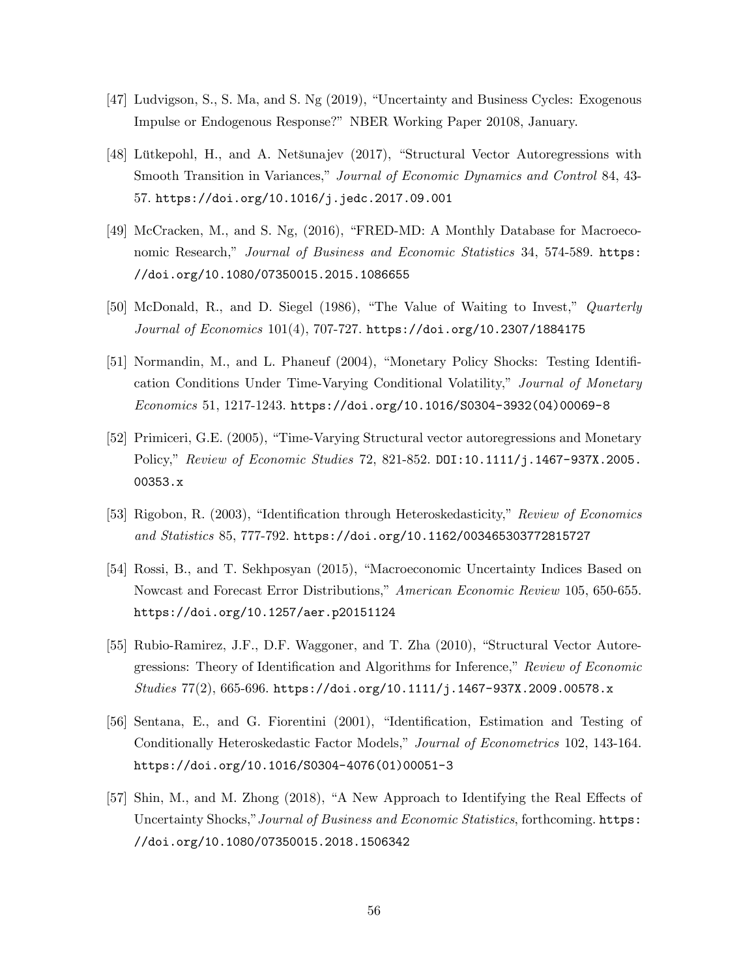- [47] Ludvigson, S., S. Ma, and S. Ng (2019), "Uncertainty and Business Cycles: Exogenous Impulse or Endogenous Response?î NBER Working Paper 20108, January.
- [48] Lütkepohl, H., and A. Netšunajev (2017), "Structural Vector Autoregressions with Smooth Transition in Variances," Journal of Economic Dynamics and Control 84, 43-57. https://doi.org/10.1016/j.jedc.2017.09.001
- [49] McCracken, M., and S. Ng,  $(2016)$ , "FRED-MD: A Monthly Database for Macroeconomic Research," Journal of Business and Economic Statistics 34, 574-589. https: //doi.org/10.1080/07350015.2015.1086655
- [50] McDonald, R., and D. Siegel (1986), "The Value of Waiting to Invest," Quarterly Journal of Economics  $101(4)$ , 707-727. https://doi.org/10.2307/1884175
- [51] Normandin, M., and L. Phaneuf  $(2004)$ , "Monetary Policy Shocks: Testing Identification Conditions Under Time-Varying Conditional Volatility," Journal of Monetary Economics 51, 1217-1243. https://doi.org/10.1016/S0304-3932(04)00069-8
- [52] Primiceri, G.E. (2005), "Time-Varying Structural vector autoregressions and Monetary Policy," Review of Economic Studies 72, 821-852. DOI:10.1111/j.1467-937X.2005. 00353.x
- [53] Rigobon, R. (2003), "Identification through Heteroskedasticity," Review of Economics and Statistics 85, 777-792. https://doi.org/10.1162/003465303772815727
- [54] Rossi, B., and T. Sekhposyan (2015), "Macroeconomic Uncertainty Indices Based on Nowcast and Forecast Error Distributions," American Economic Review 105, 650-655. https://doi.org/10.1257/aer.p20151124
- $[55]$  Rubio-Ramirez, J.F., D.F. Waggoner, and T. Zha  $(2010)$ , "Structural Vector Autoregressions: Theory of Identification and Algorithms for Inference," Review of Economic Studies  $77(2)$ , 665-696. https://doi.org/10.1111/j.1467-937X.2009.00578.x
- [56] Sentana, E., and G. Fiorentini (2001), "Identification, Estimation and Testing of Conditionally Heteroskedastic Factor Models," Journal of Econometrics 102, 143-164. https://doi.org/10.1016/S0304-4076(01)00051-3
- [57] Shin, M., and M. Zhong  $(2018)$ , "A New Approach to Identifying the Real Effects of Uncertainty Shocks," Journal of Business and Economic Statistics, forthcoming. https: //doi.org/10.1080/07350015.2018.1506342